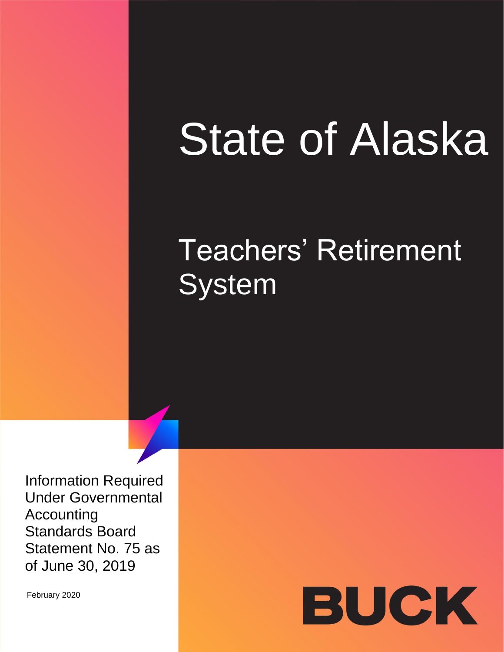# **State of Alaska**

# Teachers' Retirement **System**

Information Required Under Governmental Accounting Standards Board Statement No. 75 as of June 30, 2019

February 2020

# BUCK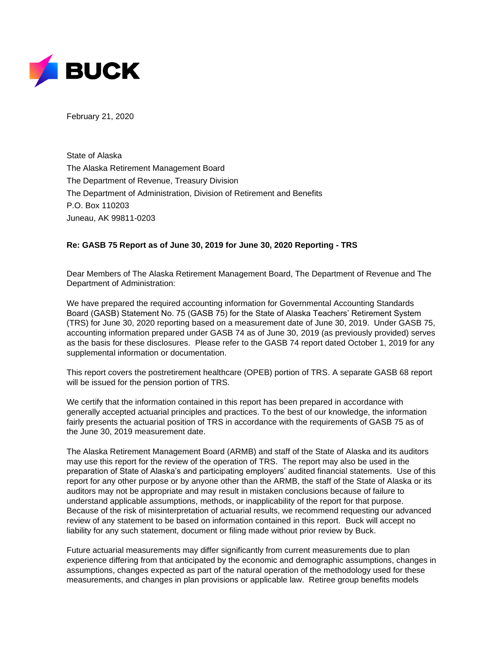

February 21, 2020

State of Alaska The Alaska Retirement Management Board The Department of Revenue, Treasury Division The Department of Administration, Division of Retirement and Benefits P.O. Box 110203 Juneau, AK 99811-0203

#### **Re: GASB 75 Report as of June 30, 2019 for June 30, 2020 Reporting - TRS**

Dear Members of The Alaska Retirement Management Board, The Department of Revenue and The Department of Administration:

We have prepared the required accounting information for Governmental Accounting Standards Board (GASB) Statement No. 75 (GASB 75) for the State of Alaska Teachers' Retirement System (TRS) for June 30, 2020 reporting based on a measurement date of June 30, 2019. Under GASB 75, accounting information prepared under GASB 74 as of June 30, 2019 (as previously provided) serves as the basis for these disclosures. Please refer to the GASB 74 report dated October 1, 2019 for any supplemental information or documentation.

This report covers the postretirement healthcare (OPEB) portion of TRS. A separate GASB 68 report will be issued for the pension portion of TRS.

We certify that the information contained in this report has been prepared in accordance with generally accepted actuarial principles and practices. To the best of our knowledge, the information fairly presents the actuarial position of TRS in accordance with the requirements of GASB 75 as of the June 30, 2019 measurement date.

The Alaska Retirement Management Board (ARMB) and staff of the State of Alaska and its auditors may use this report for the review of the operation of TRS. The report may also be used in the preparation of State of Alaska's and participating employers' audited financial statements. Use of this report for any other purpose or by anyone other than the ARMB, the staff of the State of Alaska or its auditors may not be appropriate and may result in mistaken conclusions because of failure to understand applicable assumptions, methods, or inapplicability of the report for that purpose. Because of the risk of misinterpretation of actuarial results, we recommend requesting our advanced review of any statement to be based on information contained in this report. Buck will accept no liability for any such statement, document or filing made without prior review by Buck.

Future actuarial measurements may differ significantly from current measurements due to plan experience differing from that anticipated by the economic and demographic assumptions, changes in assumptions, changes expected as part of the natural operation of the methodology used for these measurements, and changes in plan provisions or applicable law. Retiree group benefits models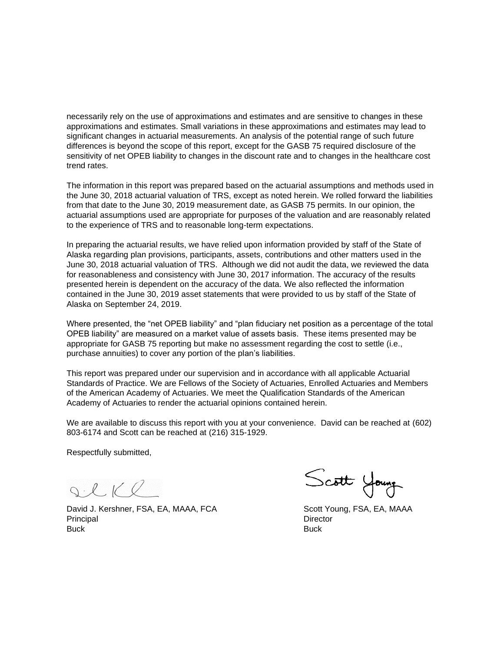necessarily rely on the use of approximations and estimates and are sensitive to changes in these approximations and estimates. Small variations in these approximations and estimates may lead to significant changes in actuarial measurements. An analysis of the potential range of such future differences is beyond the scope of this report, except for the GASB 75 required disclosure of the sensitivity of net OPEB liability to changes in the discount rate and to changes in the healthcare cost trend rates.

The information in this report was prepared based on the actuarial assumptions and methods used in the June 30, 2018 actuarial valuation of TRS, except as noted herein. We rolled forward the liabilities from that date to the June 30, 2019 measurement date, as GASB 75 permits. In our opinion, the actuarial assumptions used are appropriate for purposes of the valuation and are reasonably related to the experience of TRS and to reasonable long-term expectations.

In preparing the actuarial results, we have relied upon information provided by staff of the State of Alaska regarding plan provisions, participants, assets, contributions and other matters used in the June 30, 2018 actuarial valuation of TRS. Although we did not audit the data, we reviewed the data for reasonableness and consistency with June 30, 2017 information. The accuracy of the results presented herein is dependent on the accuracy of the data. We also reflected the information contained in the June 30, 2019 asset statements that were provided to us by staff of the State of Alaska on September 24, 2019.

Where presented, the "net OPEB liability" and "plan fiduciary net position as a percentage of the total OPEB liability" are measured on a market value of assets basis. These items presented may be appropriate for GASB 75 reporting but make no assessment regarding the cost to settle (i.e., purchase annuities) to cover any portion of the plan's liabilities.

This report was prepared under our supervision and in accordance with all applicable Actuarial Standards of Practice. We are Fellows of the Society of Actuaries, Enrolled Actuaries and Members of the American Academy of Actuaries. We meet the Qualification Standards of the American Academy of Actuaries to render the actuarial opinions contained herein.

We are available to discuss this report with you at your convenience. David can be reached at (602) 803-6174 and Scott can be reached at (216) 315-1929.

Respectfully submitted,

 $Q.16Q$ 

David J. Kershner, FSA, EA, MAAA, FCA Scott Young, FSA, EA, MAAA Principal Director Contractor Contractor Contractor Contractor Contractor Contractor Contractor Contractor Contractor Contractor Contractor Contractor Contractor Contractor Contractor Contractor Contractor Contractor Contr Buck Buck

Scott Young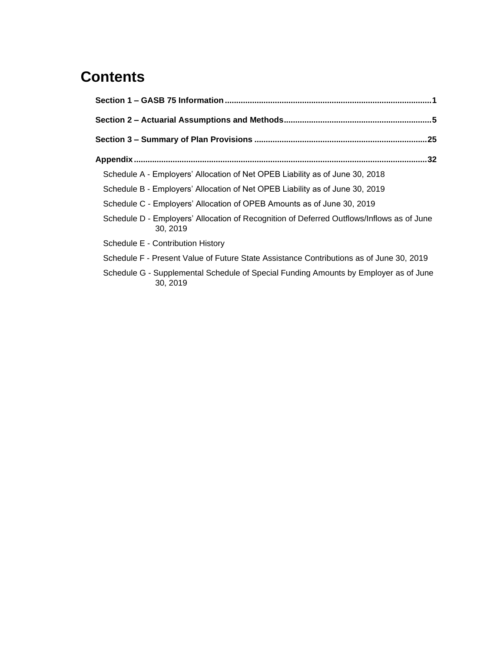## **Contents**

| Schedule A - Employers' Allocation of Net OPEB Liability as of June 30, 2018                         |  |
|------------------------------------------------------------------------------------------------------|--|
| Schedule B - Employers' Allocation of Net OPEB Liability as of June 30, 2019                         |  |
| Schedule C - Employers' Allocation of OPEB Amounts as of June 30, 2019                               |  |
| Schedule D - Employers' Allocation of Recognition of Deferred Outflows/Inflows as of June<br>30.2019 |  |
| Schedule E - Contribution History                                                                    |  |
| Schedule F - Present Value of Future State Assistance Contributions as of June 30, 2019              |  |
| Schedule G - Supplemental Schedule of Special Funding Amounts by Employer as of June<br>30.2019      |  |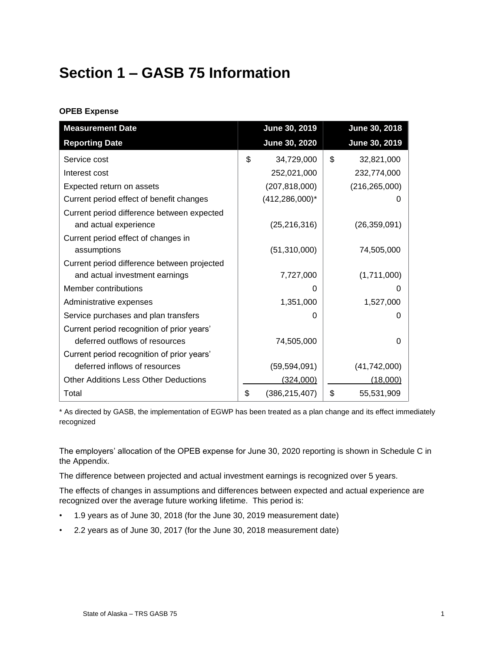## <span id="page-4-0"></span>**Section 1 – GASB 75 Information**

#### **OPEB Expense**

| <b>Measurement Date</b>                      | June 30, 2019         | June 30, 2018    |
|----------------------------------------------|-----------------------|------------------|
| <b>Reporting Date</b>                        | <b>June 30, 2020</b>  | June 30, 2019    |
| Service cost                                 | \$<br>34,729,000      | \$<br>32,821,000 |
| Interest cost                                | 252,021,000           | 232,774,000      |
| Expected return on assets                    | (207, 818, 000)       | (216, 265, 000)  |
| Current period effect of benefit changes     | $(412, 286, 000)^*$   |                  |
| Current period difference between expected   |                       |                  |
| and actual experience                        | (25, 216, 316)        | (26, 359, 091)   |
| Current period effect of changes in          |                       |                  |
| assumptions                                  | (51,310,000)          | 74,505,000       |
| Current period difference between projected  |                       |                  |
| and actual investment earnings               | 7,727,000             | (1,711,000)      |
| Member contributions                         | O                     |                  |
| Administrative expenses                      | 1,351,000             | 1,527,000        |
| Service purchases and plan transfers         | 0                     |                  |
| Current period recognition of prior years'   |                       |                  |
| deferred outflows of resources               | 74,505,000            | O                |
| Current period recognition of prior years'   |                       |                  |
| deferred inflows of resources                | (59, 594, 091)        | (41, 742, 000)   |
| <b>Other Additions Less Other Deductions</b> | (324,000)             | (18,000)         |
| Total                                        | \$<br>(386, 215, 407) | \$<br>55,531,909 |

\* As directed by GASB, the implementation of EGWP has been treated as a plan change and its effect immediately recognized

The employers' allocation of the OPEB expense for June 30, 2020 reporting is shown in Schedule C in the Appendix.

The difference between projected and actual investment earnings is recognized over 5 years.

The effects of changes in assumptions and differences between expected and actual experience are recognized over the average future working lifetime. This period is:

- 1.9 years as of June 30, 2018 (for the June 30, 2019 measurement date)
- 2.2 years as of June 30, 2017 (for the June 30, 2018 measurement date)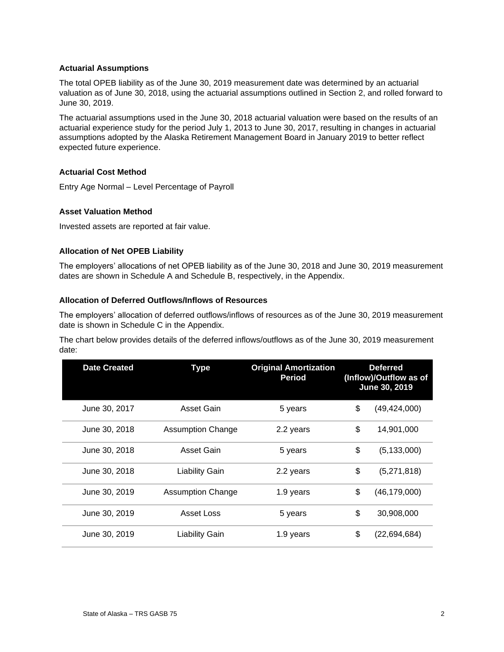#### **Actuarial Assumptions**

The total OPEB liability as of the June 30, 2019 measurement date was determined by an actuarial valuation as of June 30, 2018, using the actuarial assumptions outlined in Section 2, and rolled forward to June 30, 2019.

The actuarial assumptions used in the June 30, 2018 actuarial valuation were based on the results of an actuarial experience study for the period July 1, 2013 to June 30, 2017, resulting in changes in actuarial assumptions adopted by the Alaska Retirement Management Board in January 2019 to better reflect expected future experience.

#### **Actuarial Cost Method**

Entry Age Normal – Level Percentage of Payroll

#### **Asset Valuation Method**

Invested assets are reported at fair value.

#### **Allocation of Net OPEB Liability**

The employers' allocations of net OPEB liability as of the June 30, 2018 and June 30, 2019 measurement dates are shown in Schedule A and Schedule B, respectively, in the Appendix.

#### **Allocation of Deferred Outflows/Inflows of Resources**

The employers' allocation of deferred outflows/inflows of resources as of the June 30, 2019 measurement date is shown in Schedule C in the Appendix.

The chart below provides details of the deferred inflows/outflows as of the June 30, 2019 measurement date:

| <b>Date Created</b> | <b>Type</b>              | <b>Original Amortization</b><br><b>Period</b> | <b>Deferred</b><br>(Inflow)/Outflow as of<br>June 30, 2019 |
|---------------------|--------------------------|-----------------------------------------------|------------------------------------------------------------|
| June 30, 2017       | Asset Gain               | 5 years                                       | \$<br>(49, 424, 000)                                       |
| June 30, 2018       | <b>Assumption Change</b> | 2.2 years                                     | \$<br>14,901,000                                           |
| June 30, 2018       | Asset Gain               | 5 years                                       | \$<br>(5, 133, 000)                                        |
| June 30, 2018       | <b>Liability Gain</b>    | 2.2 years                                     | \$<br>(5,271,818)                                          |
| June 30, 2019       | <b>Assumption Change</b> | 1.9 years                                     | \$<br>(46, 179, 000)                                       |
| June 30, 2019       | Asset Loss               | 5 years                                       | \$<br>30,908,000                                           |
| June 30, 2019       | <b>Liability Gain</b>    | 1.9 years                                     | \$<br>(22,694,684)                                         |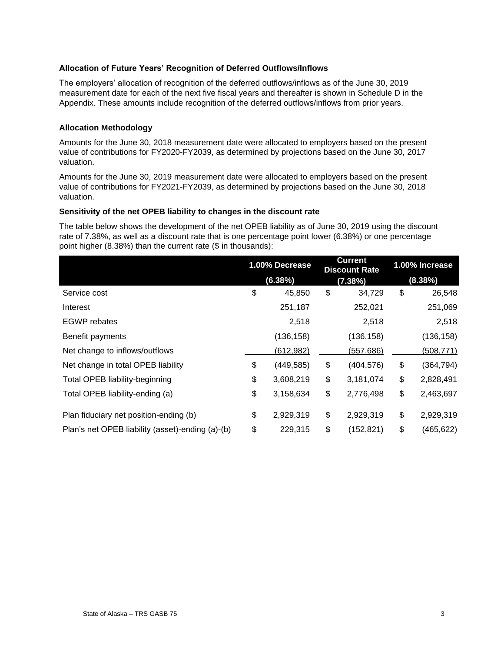#### **Allocation of Future Years' Recognition of Deferred Outflows/Inflows**

The employers' allocation of recognition of the deferred outflows/inflows as of the June 30, 2019 measurement date for each of the next five fiscal years and thereafter is shown in Schedule D in the Appendix. These amounts include recognition of the deferred outflows/inflows from prior years.

#### **Allocation Methodology**

Amounts for the June 30, 2018 measurement date were allocated to employers based on the present value of contributions for FY2020-FY2039, as determined by projections based on the June 30, 2017 valuation.

Amounts for the June 30, 2019 measurement date were allocated to employers based on the present value of contributions for FY2021-FY2039, as determined by projections based on the June 30, 2018 valuation.

#### **Sensitivity of the net OPEB liability to changes in the discount rate**

The table below shows the development of the net OPEB liability as of June 30, 2019 using the discount rate of 7.38%, as well as a discount rate that is one percentage point lower (6.38%) or one percentage point higher (8.38%) than the current rate (\$ in thousands):

|                                                  | 1.00% Decrease |            | <b>Current</b><br><b>Discount Rate</b> |            | 1.00% Increase |            |
|--------------------------------------------------|----------------|------------|----------------------------------------|------------|----------------|------------|
|                                                  |                | (6.38%)    |                                        | (7.38%)    |                | (8.38%)    |
| Service cost                                     | \$             | 45,850     | \$                                     | 34,729     | \$             | 26,548     |
| Interest                                         |                | 251,187    |                                        | 252,021    |                | 251,069    |
| <b>EGWP</b> rebates                              |                | 2,518      |                                        | 2,518      |                | 2,518      |
| Benefit payments                                 |                | (136, 158) |                                        | (136, 158) |                | (136, 158) |
| Net change to inflows/outflows                   |                | (612, 982) |                                        | (557, 686) |                | (508, 771) |
| Net change in total OPEB liability               | \$             | (449, 585) | \$                                     | (404, 576) | \$             | (364,794)  |
| <b>Total OPEB liability-beginning</b>            | \$             | 3,608,219  | \$                                     | 3,181,074  | \$             | 2,828,491  |
| Total OPEB liability-ending (a)                  | \$             | 3,158,634  | \$                                     | 2,776,498  | \$             | 2,463,697  |
| Plan fiduciary net position-ending (b)           | \$             | 2,929,319  | \$                                     | 2,929,319  | \$             | 2,929,319  |
| Plan's net OPEB liability (asset)-ending (a)-(b) | \$             | 229,315    | \$                                     | (152, 821) | \$             | (465, 622) |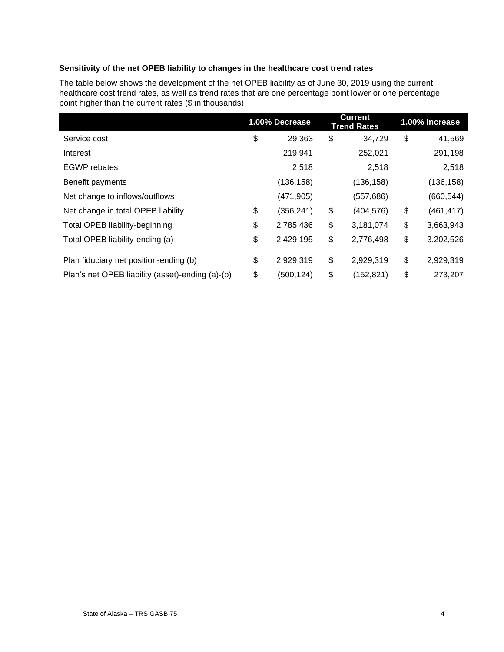#### **Sensitivity of the net OPEB liability to changes in the healthcare cost trend rates**

The table below shows the development of the net OPEB liability as of June 30, 2019 using the current healthcare cost trend rates, as well as trend rates that are one percentage point lower or one percentage point higher than the current rates (\$ in thousands):

|                                                  | 1.00% Decrease   | <b>Current</b><br><b>Trend Rates</b> | 1.00% Increase   |
|--------------------------------------------------|------------------|--------------------------------------|------------------|
| Service cost                                     | \$<br>29,363     | \$<br>34,729                         | \$<br>41,569     |
| Interest                                         | 219,941          | 252,021                              | 291,198          |
| <b>EGWP</b> rebates                              | 2,518            | 2,518                                | 2,518            |
| Benefit payments                                 | (136, 158)       | (136, 158)                           | (136, 158)       |
| Net change to inflows/outflows                   | (471,905)        | (557, 686)                           | (660,544)        |
| Net change in total OPEB liability               | \$<br>(356, 241) | \$<br>(404, 576)                     | \$<br>(461, 417) |
| Total OPEB liability-beginning                   | \$<br>2,785,436  | \$<br>3,181,074                      | \$<br>3,663,943  |
| Total OPEB liability-ending (a)                  | \$<br>2,429,195  | \$<br>2,776,498                      | \$<br>3,202,526  |
| Plan fiduciary net position-ending (b)           | \$<br>2,929,319  | \$<br>2,929,319                      | \$<br>2,929,319  |
| Plan's net OPEB liability (asset)-ending (a)-(b) | \$<br>(500, 124) | \$<br>(152, 821)                     | \$<br>273,207    |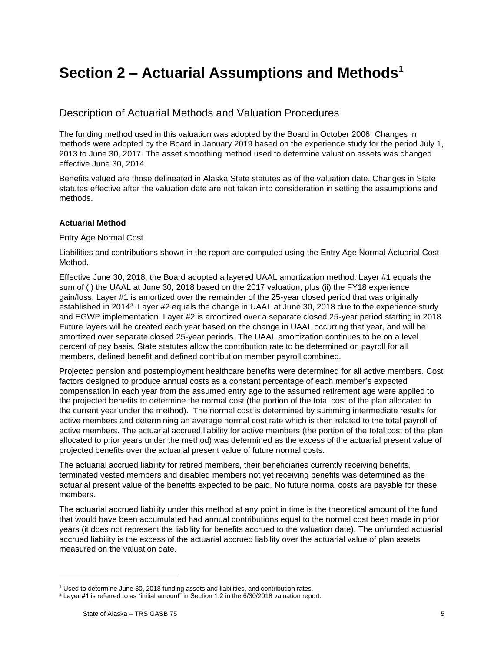## <span id="page-8-0"></span>**Section 2 – Actuarial Assumptions and Methods<sup>1</sup>**

### Description of Actuarial Methods and Valuation Procedures

The funding method used in this valuation was adopted by the Board in October 2006. Changes in methods were adopted by the Board in January 2019 based on the experience study for the period July 1, 2013 to June 30, 2017. The asset smoothing method used to determine valuation assets was changed effective June 30, 2014.

Benefits valued are those delineated in Alaska State statutes as of the valuation date. Changes in State statutes effective after the valuation date are not taken into consideration in setting the assumptions and methods.

#### **Actuarial Method**

#### Entry Age Normal Cost

Liabilities and contributions shown in the report are computed using the Entry Age Normal Actuarial Cost Method.

Effective June 30, 2018, the Board adopted a layered UAAL amortization method: Layer #1 equals the sum of (i) the UAAL at June 30, 2018 based on the 2017 valuation, plus (ii) the FY18 experience gain/loss. Layer #1 is amortized over the remainder of the 25-year closed period that was originally established in 2014<sup>2</sup>. Layer #2 equals the change in UAAL at June 30, 2018 due to the experience study and EGWP implementation. Layer #2 is amortized over a separate closed 25-year period starting in 2018. Future layers will be created each year based on the change in UAAL occurring that year, and will be amortized over separate closed 25-year periods. The UAAL amortization continues to be on a level percent of pay basis. State statutes allow the contribution rate to be determined on payroll for all members, defined benefit and defined contribution member payroll combined.

Projected pension and postemployment healthcare benefits were determined for all active members. Cost factors designed to produce annual costs as a constant percentage of each member's expected compensation in each year from the assumed entry age to the assumed retirement age were applied to the projected benefits to determine the normal cost (the portion of the total cost of the plan allocated to the current year under the method). The normal cost is determined by summing intermediate results for active members and determining an average normal cost rate which is then related to the total payroll of active members. The actuarial accrued liability for active members (the portion of the total cost of the plan allocated to prior years under the method) was determined as the excess of the actuarial present value of projected benefits over the actuarial present value of future normal costs.

The actuarial accrued liability for retired members, their beneficiaries currently receiving benefits, terminated vested members and disabled members not yet receiving benefits was determined as the actuarial present value of the benefits expected to be paid. No future normal costs are payable for these members.

The actuarial accrued liability under this method at any point in time is the theoretical amount of the fund that would have been accumulated had annual contributions equal to the normal cost been made in prior years (it does not represent the liability for benefits accrued to the valuation date). The unfunded actuarial accrued liability is the excess of the actuarial accrued liability over the actuarial value of plan assets measured on the valuation date.

<sup>&</sup>lt;sup>1</sup> Used to determine June 30, 2018 funding assets and liabilities, and contribution rates.

 $2$  Layer #1 is referred to as "initial amount" in Section 1.2 in the 6/30/2018 valuation report.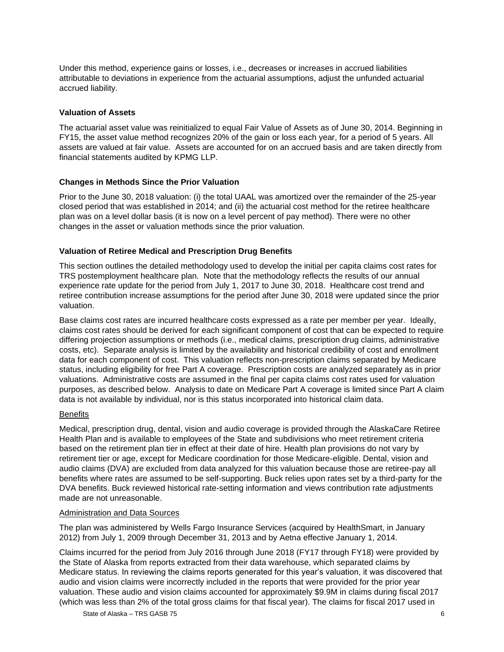Under this method, experience gains or losses, i.e., decreases or increases in accrued liabilities attributable to deviations in experience from the actuarial assumptions, adjust the unfunded actuarial accrued liability.

#### **Valuation of Assets**

The actuarial asset value was reinitialized to equal Fair Value of Assets as of June 30, 2014. Beginning in FY15, the asset value method recognizes 20% of the gain or loss each year, for a period of 5 years. All assets are valued at fair value. Assets are accounted for on an accrued basis and are taken directly from financial statements audited by KPMG LLP.

#### **Changes in Methods Since the Prior Valuation**

Prior to the June 30, 2018 valuation: (i) the total UAAL was amortized over the remainder of the 25-year closed period that was established in 2014; and (ii) the actuarial cost method for the retiree healthcare plan was on a level dollar basis (it is now on a level percent of pay method). There were no other changes in the asset or valuation methods since the prior valuation.

#### **Valuation of Retiree Medical and Prescription Drug Benefits**

This section outlines the detailed methodology used to develop the initial per capita claims cost rates for TRS postemployment healthcare plan. Note that the methodology reflects the results of our annual experience rate update for the period from July 1, 2017 to June 30, 2018. Healthcare cost trend and retiree contribution increase assumptions for the period after June 30, 2018 were updated since the prior valuation.

Base claims cost rates are incurred healthcare costs expressed as a rate per member per year. Ideally, claims cost rates should be derived for each significant component of cost that can be expected to require differing projection assumptions or methods (i.e., medical claims, prescription drug claims, administrative costs, etc). Separate analysis is limited by the availability and historical credibility of cost and enrollment data for each component of cost. This valuation reflects non-prescription claims separated by Medicare status, including eligibility for free Part A coverage. Prescription costs are analyzed separately as in prior valuations. Administrative costs are assumed in the final per capita claims cost rates used for valuation purposes, as described below. Analysis to date on Medicare Part A coverage is limited since Part A claim data is not available by individual, nor is this status incorporated into historical claim data.

#### **Benefits**

Medical, prescription drug, dental, vision and audio coverage is provided through the AlaskaCare Retiree Health Plan and is available to employees of the State and subdivisions who meet retirement criteria based on the retirement plan tier in effect at their date of hire. Health plan provisions do not vary by retirement tier or age, except for Medicare coordination for those Medicare-eligible. Dental, vision and audio claims (DVA) are excluded from data analyzed for this valuation because those are retiree-pay all benefits where rates are assumed to be self-supporting. Buck relies upon rates set by a third-party for the DVA benefits. Buck reviewed historical rate-setting information and views contribution rate adjustments made are not unreasonable.

#### Administration and Data Sources

The plan was administered by Wells Fargo Insurance Services (acquired by HealthSmart, in January 2012) from July 1, 2009 through December 31, 2013 and by Aetna effective January 1, 2014.

Claims incurred for the period from July 2016 through June 2018 (FY17 through FY18) were provided by the State of Alaska from reports extracted from their data warehouse, which separated claims by Medicare status. In reviewing the claims reports generated for this year's valuation, it was discovered that audio and vision claims were incorrectly included in the reports that were provided for the prior year valuation. These audio and vision claims accounted for approximately \$9.9M in claims during fiscal 2017 (which was less than 2% of the total gross claims for that fiscal year). The claims for fiscal 2017 used in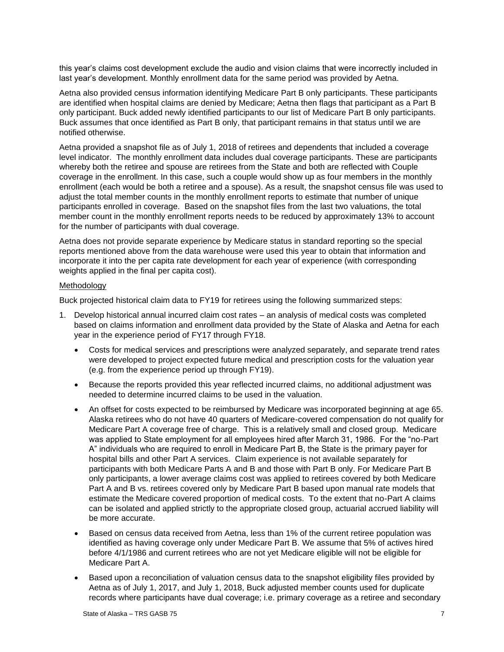this year's claims cost development exclude the audio and vision claims that were incorrectly included in last year's development. Monthly enrollment data for the same period was provided by Aetna.

Aetna also provided census information identifying Medicare Part B only participants. These participants are identified when hospital claims are denied by Medicare; Aetna then flags that participant as a Part B only participant. Buck added newly identified participants to our list of Medicare Part B only participants. Buck assumes that once identified as Part B only, that participant remains in that status until we are notified otherwise.

Aetna provided a snapshot file as of July 1, 2018 of retirees and dependents that included a coverage level indicator. The monthly enrollment data includes dual coverage participants. These are participants whereby both the retiree and spouse are retirees from the State and both are reflected with Couple coverage in the enrollment. In this case, such a couple would show up as four members in the monthly enrollment (each would be both a retiree and a spouse). As a result, the snapshot census file was used to adjust the total member counts in the monthly enrollment reports to estimate that number of unique participants enrolled in coverage. Based on the snapshot files from the last two valuations, the total member count in the monthly enrollment reports needs to be reduced by approximately 13% to account for the number of participants with dual coverage.

Aetna does not provide separate experience by Medicare status in standard reporting so the special reports mentioned above from the data warehouse were used this year to obtain that information and incorporate it into the per capita rate development for each year of experience (with corresponding weights applied in the final per capita cost).

#### Methodology

Buck projected historical claim data to FY19 for retirees using the following summarized steps:

- 1. Develop historical annual incurred claim cost rates an analysis of medical costs was completed based on claims information and enrollment data provided by the State of Alaska and Aetna for each year in the experience period of FY17 through FY18.
	- Costs for medical services and prescriptions were analyzed separately, and separate trend rates were developed to project expected future medical and prescription costs for the valuation year (e.g. from the experience period up through FY19).
	- Because the reports provided this year reflected incurred claims, no additional adjustment was needed to determine incurred claims to be used in the valuation.
	- An offset for costs expected to be reimbursed by Medicare was incorporated beginning at age 65. Alaska retirees who do not have 40 quarters of Medicare-covered compensation do not qualify for Medicare Part A coverage free of charge. This is a relatively small and closed group. Medicare was applied to State employment for all employees hired after March 31, 1986. For the "no-Part A" individuals who are required to enroll in Medicare Part B, the State is the primary payer for hospital bills and other Part A services. Claim experience is not available separately for participants with both Medicare Parts A and B and those with Part B only. For Medicare Part B only participants, a lower average claims cost was applied to retirees covered by both Medicare Part A and B vs. retirees covered only by Medicare Part B based upon manual rate models that estimate the Medicare covered proportion of medical costs. To the extent that no-Part A claims can be isolated and applied strictly to the appropriate closed group, actuarial accrued liability will be more accurate.
	- Based on census data received from Aetna, less than 1% of the current retiree population was identified as having coverage only under Medicare Part B. We assume that 5% of actives hired before 4/1/1986 and current retirees who are not yet Medicare eligible will not be eligible for Medicare Part A.
	- Based upon a reconciliation of valuation census data to the snapshot eligibility files provided by Aetna as of July 1, 2017, and July 1, 2018, Buck adjusted member counts used for duplicate records where participants have dual coverage; i.e. primary coverage as a retiree and secondary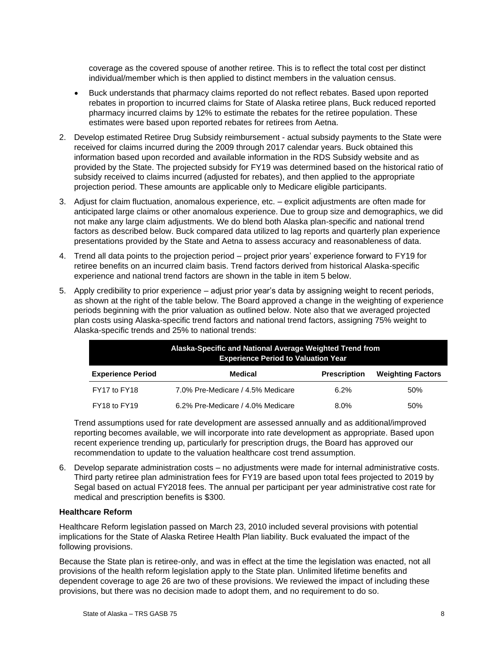coverage as the covered spouse of another retiree. This is to reflect the total cost per distinct individual/member which is then applied to distinct members in the valuation census.

- Buck understands that pharmacy claims reported do not reflect rebates. Based upon reported rebates in proportion to incurred claims for State of Alaska retiree plans, Buck reduced reported pharmacy incurred claims by 12% to estimate the rebates for the retiree population. These estimates were based upon reported rebates for retirees from Aetna.
- 2. Develop estimated Retiree Drug Subsidy reimbursement actual subsidy payments to the State were received for claims incurred during the 2009 through 2017 calendar years. Buck obtained this information based upon recorded and available information in the RDS Subsidy website and as provided by the State. The projected subsidy for FY19 was determined based on the historical ratio of subsidy received to claims incurred (adjusted for rebates), and then applied to the appropriate projection period. These amounts are applicable only to Medicare eligible participants.
- 3. Adjust for claim fluctuation, anomalous experience, etc. explicit adjustments are often made for anticipated large claims or other anomalous experience. Due to group size and demographics, we did not make any large claim adjustments. We do blend both Alaska plan-specific and national trend factors as described below. Buck compared data utilized to lag reports and quarterly plan experience presentations provided by the State and Aetna to assess accuracy and reasonableness of data.
- 4. Trend all data points to the projection period project prior years' experience forward to FY19 for retiree benefits on an incurred claim basis. Trend factors derived from historical Alaska-specific experience and national trend factors are shown in the table in item 5 below.
- 5. Apply credibility to prior experience adjust prior year's data by assigning weight to recent periods, as shown at the right of the table below. The Board approved a change in the weighting of experience periods beginning with the prior valuation as outlined below. Note also that we averaged projected plan costs using Alaska-specific trend factors and national trend factors, assigning 75% weight to Alaska-specific trends and 25% to national trends:

| Alaska-Specific and National Average Weighted Trend from<br><b>Experience Period to Valuation Year</b> |                                   |                     |                          |  |  |  |  |  |
|--------------------------------------------------------------------------------------------------------|-----------------------------------|---------------------|--------------------------|--|--|--|--|--|
| <b>Experience Period</b>                                                                               | Medical                           | <b>Prescription</b> | <b>Weighting Factors</b> |  |  |  |  |  |
| FY17 to FY18                                                                                           | 7.0% Pre-Medicare / 4.5% Medicare | 6.2%                | 50%                      |  |  |  |  |  |
| FY18 to FY19                                                                                           | 6.2% Pre-Medicare / 4.0% Medicare | $8.0\%$             | 50%                      |  |  |  |  |  |

Trend assumptions used for rate development are assessed annually and as additional/improved reporting becomes available, we will incorporate into rate development as appropriate. Based upon recent experience trending up, particularly for prescription drugs, the Board has approved our recommendation to update to the valuation healthcare cost trend assumption.

6. Develop separate administration costs – no adjustments were made for internal administrative costs. Third party retiree plan administration fees for FY19 are based upon total fees projected to 2019 by Segal based on actual FY2018 fees. The annual per participant per year administrative cost rate for medical and prescription benefits is \$300.

#### **Healthcare Reform**

Healthcare Reform legislation passed on March 23, 2010 included several provisions with potential implications for the State of Alaska Retiree Health Plan liability. Buck evaluated the impact of the following provisions.

Because the State plan is retiree-only, and was in effect at the time the legislation was enacted, not all provisions of the health reform legislation apply to the State plan. Unlimited lifetime benefits and dependent coverage to age 26 are two of these provisions. We reviewed the impact of including these provisions, but there was no decision made to adopt them, and no requirement to do so.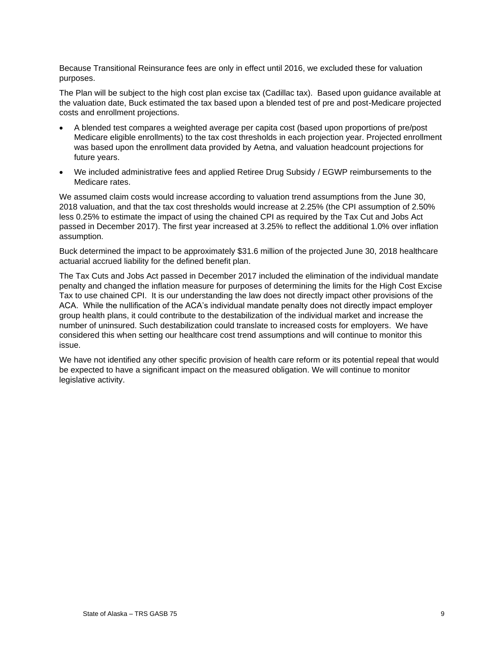Because Transitional Reinsurance fees are only in effect until 2016, we excluded these for valuation purposes.

The Plan will be subject to the high cost plan excise tax (Cadillac tax). Based upon guidance available at the valuation date, Buck estimated the tax based upon a blended test of pre and post-Medicare projected costs and enrollment projections.

- A blended test compares a weighted average per capita cost (based upon proportions of pre/post Medicare eligible enrollments) to the tax cost thresholds in each projection year. Projected enrollment was based upon the enrollment data provided by Aetna, and valuation headcount projections for future years.
- We included administrative fees and applied Retiree Drug Subsidy / EGWP reimbursements to the Medicare rates.

We assumed claim costs would increase according to valuation trend assumptions from the June 30, 2018 valuation, and that the tax cost thresholds would increase at 2.25% (the CPI assumption of 2.50% less 0.25% to estimate the impact of using the chained CPI as required by the Tax Cut and Jobs Act passed in December 2017). The first year increased at 3.25% to reflect the additional 1.0% over inflation assumption.

Buck determined the impact to be approximately \$31.6 million of the projected June 30, 2018 healthcare actuarial accrued liability for the defined benefit plan.

The Tax Cuts and Jobs Act passed in December 2017 included the elimination of the individual mandate penalty and changed the inflation measure for purposes of determining the limits for the High Cost Excise Tax to use chained CPI. It is our understanding the law does not directly impact other provisions of the ACA. While the nullification of the ACA's individual mandate penalty does not directly impact employer group health plans, it could contribute to the destabilization of the individual market and increase the number of uninsured. Such destabilization could translate to increased costs for employers. We have considered this when setting our healthcare cost trend assumptions and will continue to monitor this issue.

We have not identified any other specific provision of health care reform or its potential repeal that would be expected to have a significant impact on the measured obligation. We will continue to monitor legislative activity.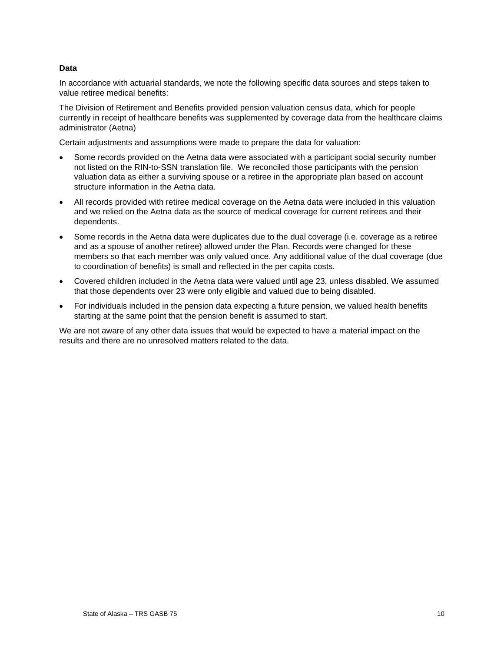#### **Data**

In accordance with actuarial standards, we note the following specific data sources and steps taken to value retiree medical benefits:

The Division of Retirement and Benefits provided pension valuation census data, which for people currently in receipt of healthcare benefits was supplemented by coverage data from the healthcare claims administrator (Aetna)

Certain adjustments and assumptions were made to prepare the data for valuation:

- Some records provided on the Aetna data were associated with a participant social security number not listed on the RIN-to-SSN translation file. We reconciled those participants with the pension valuation data as either a surviving spouse or a retiree in the appropriate plan based on account structure information in the Aetna data.
- All records provided with retiree medical coverage on the Aetna data were included in this valuation and we relied on the Aetna data as the source of medical coverage for current retirees and their dependents.
- Some records in the Aetna data were duplicates due to the dual coverage (i.e. coverage as a retiree and as a spouse of another retiree) allowed under the Plan. Records were changed for these members so that each member was only valued once. Any additional value of the dual coverage (due to coordination of benefits) is small and reflected in the per capita costs.
- Covered children included in the Aetna data were valued until age 23, unless disabled. We assumed that those dependents over 23 were only eligible and valued due to being disabled.
- For individuals included in the pension data expecting a future pension, we valued health benefits starting at the same point that the pension benefit is assumed to start.

We are not aware of any other data issues that would be expected to have a material impact on the results and there are no unresolved matters related to the data.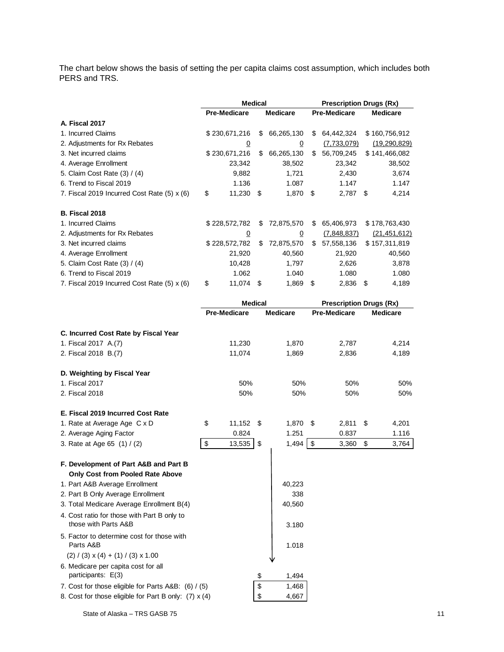The chart below shows the basis of setting the per capita claims cost assumption, which includes both PERS and TRS.

|                                             | <b>Medical</b>      |                |    |                 |                     | <b>Prescription Drugs (Rx)</b> |  |                 |  |
|---------------------------------------------|---------------------|----------------|----|-----------------|---------------------|--------------------------------|--|-----------------|--|
|                                             | <b>Pre-Medicare</b> |                |    | <b>Medicare</b> | <b>Pre-Medicare</b> |                                |  | <b>Medicare</b> |  |
| A. Fiscal 2017                              |                     |                |    |                 |                     |                                |  |                 |  |
| 1. Incurred Claims                          |                     | \$230,671,216  | \$ | 66,265,130      | \$                  | 64,442,324                     |  | \$160,756,912   |  |
| 2. Adjustments for Rx Rebates               |                     | $\overline{0}$ |    | $\overline{0}$  |                     | (7,733,079)                    |  | (19, 290, 829)  |  |
| 3. Net incurred claims                      |                     | \$230,671,216  | \$ | 66,265,130      | \$                  | 56,709,245                     |  | \$141,466,082   |  |
| 4. Average Enrollment                       |                     | 23,342         |    | 38,502          |                     | 23,342                         |  | 38,502          |  |
| 5. Claim Cost Rate (3) / (4)                |                     | 9,882          |    | 1,721           |                     | 2,430                          |  | 3,674           |  |
| 6. Trend to Fiscal 2019                     |                     | 1.136          |    | 1.087           |                     | 1.147                          |  | 1.147           |  |
| 7. Fiscal 2019 Incurred Cost Rate (5) x (6) | \$                  | $11,230$ \$    |    | 1,870 \$        |                     | $2,787$ \$                     |  | 4,214           |  |
| <b>B. Fiscal 2018</b>                       |                     |                |    |                 |                     |                                |  |                 |  |
| 1. Incurred Claims                          |                     | \$228,572,782  | \$ | 72,875,570      | S.                  | 65,406,973                     |  | \$178,763,430   |  |
| 2. Adjustments for Rx Rebates               |                     | <u>0</u>       |    | $\Omega$        |                     | (7,848,837)                    |  | (21, 451, 612)  |  |
| 3. Net incurred claims                      |                     | \$228,572,782  | \$ | 72,875,570      | S.                  | 57,558,136                     |  | \$157,311,819   |  |
| 4. Average Enrollment                       |                     | 21,920         |    | 40,560          |                     | 21,920                         |  | 40,560          |  |
| 5. Claim Cost Rate (3) / (4)                |                     | 10,428         |    | 1,797           |                     | 2,626                          |  | 3,878           |  |
| 6. Trend to Fiscal 2019                     |                     | 1.062          |    | 1.040           |                     | 1.080                          |  | 1.080           |  |
| 7. Fiscal 2019 Incurred Cost Rate (5) x (6) | \$                  | 11,074         | \$ | 1,869           | \$                  | $2,836$ \$                     |  | 4,189           |  |

|                                                         |                     | <b>Medical</b>   | <b>Prescription Drugs (Rx)</b> |                 |  |  |
|---------------------------------------------------------|---------------------|------------------|--------------------------------|-----------------|--|--|
|                                                         | <b>Pre-Medicare</b> | <b>Medicare</b>  | <b>Pre-Medicare</b>            | <b>Medicare</b> |  |  |
| C. Incurred Cost Rate by Fiscal Year                    |                     |                  |                                |                 |  |  |
| 1. Fiscal 2017 A.(7)                                    | 11.230              | 1,870            | 2,787                          | 4,214           |  |  |
| 2. Fiscal 2018 B.(7)                                    | 11,074              | 1,869            | 2,836                          | 4,189           |  |  |
| D. Weighting by Fiscal Year                             |                     |                  |                                |                 |  |  |
| 1. Fiscal 2017                                          | 50%                 | 50%              | 50%                            | 50%             |  |  |
| 2. Fiscal 2018                                          | 50%                 | 50%              | 50%                            | 50%             |  |  |
| E. Fiscal 2019 Incurred Cost Rate                       |                     |                  |                                |                 |  |  |
| 1. Rate at Average Age C x D                            | \$<br>$11,152$ \$   | 1,870            | \$<br>2,811                    | \$<br>4,201     |  |  |
| 2. Average Aging Factor                                 | 0.824               | 1.251            | 0.837                          | 1.116           |  |  |
| 3. Rate at Age 65 (1) / (2)                             | \$<br>13,535        | \$<br>$1,494$ \$ | 3,360                          | \$<br>3,764     |  |  |
| F. Development of Part A&B and Part B                   |                     |                  |                                |                 |  |  |
| <b>Only Cost from Pooled Rate Above</b>                 |                     |                  |                                |                 |  |  |
| 1. Part A&B Average Enrollment                          |                     | 40,223           |                                |                 |  |  |
| 2. Part B Only Average Enrollment                       |                     | 338              |                                |                 |  |  |
| 3. Total Medicare Average Enrollment B(4)               |                     | 40.560           |                                |                 |  |  |
| 4. Cost ratio for those with Part B only to             |                     |                  |                                |                 |  |  |
| those with Parts A&B                                    |                     | 3.180            |                                |                 |  |  |
| 5. Factor to determine cost for those with<br>Parts A&B |                     | 1.018            |                                |                 |  |  |
| $(2) / (3) \times (4) + (1) / (3) \times 1.00$          |                     |                  |                                |                 |  |  |
| 6. Medicare per capita cost for all                     |                     |                  |                                |                 |  |  |
| participants: E(3)                                      |                     | \$<br>1,494      |                                |                 |  |  |
| 7. Cost for those eligible for Parts A&B: (6) / (5)     |                     | \$<br>1,468      |                                |                 |  |  |
| 8. Cost for those eligible for Part B only: (7) x (4)   |                     | \$<br>4,667      |                                |                 |  |  |
|                                                         |                     |                  |                                |                 |  |  |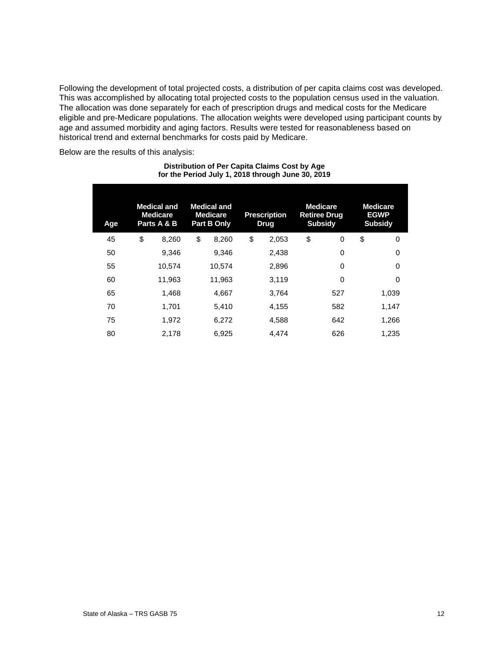Following the development of total projected costs, a distribution of per capita claims cost was developed. This was accomplished by allocating total projected costs to the population census used in the valuation. The allocation was done separately for each of prescription drugs and medical costs for the Medicare eligible and pre-Medicare populations. The allocation weights were developed using participant counts by age and assumed morbidity and aging factors. Results were tested for reasonableness based on historical trend and external benchmarks for costs paid by Medicare.

Below are the results of this analysis:

| Age | <b>Medical and</b><br><b>Medicare</b><br>Parts A & B | <b>Medical and</b><br><b>Medicare</b><br>Part B Only | <b>Prescription</b><br><b>Drug</b> | <b>Medicare</b><br><b>Retiree Drug</b><br><b>Subsidy</b> |     | <b>Medicare</b><br><b>EGWP</b><br><b>Subsidy</b> |
|-----|------------------------------------------------------|------------------------------------------------------|------------------------------------|----------------------------------------------------------|-----|--------------------------------------------------|
| 45  | \$<br>8,260                                          | \$<br>8,260                                          | \$<br>2,053                        | \$                                                       | 0   | \$<br>0                                          |
| 50  | 9,346                                                | 9,346                                                | 2,438                              |                                                          | 0   | $\Omega$                                         |
| 55  | 10,574                                               | 10,574                                               | 2,896                              |                                                          | 0   | $\Omega$                                         |
| 60  | 11,963                                               | 11,963                                               | 3,119                              |                                                          | 0   | 0                                                |
| 65  | 1,468                                                | 4,667                                                | 3,764                              |                                                          | 527 | 1,039                                            |
| 70  | 1,701                                                | 5,410                                                | 4,155                              |                                                          | 582 | 1,147                                            |
| 75  | 1,972                                                | 6,272                                                | 4,588                              |                                                          | 642 | 1,266                                            |
| 80  | 2,178                                                | 6,925                                                | 4.474                              |                                                          | 626 | 1,235                                            |

#### **Distribution of Per Capita Claims Cost by Age for the Period July 1, 2018 through June 30, 2019**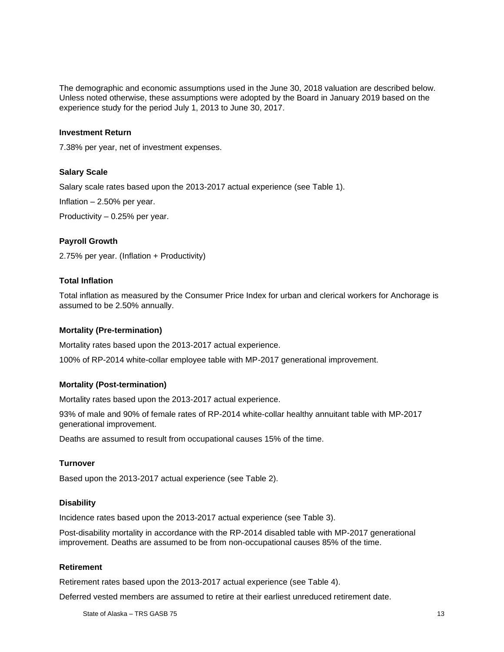The demographic and economic assumptions used in the June 30, 2018 valuation are described below. Unless noted otherwise, these assumptions were adopted by the Board in January 2019 based on the experience study for the period July 1, 2013 to June 30, 2017.

#### **Investment Return**

7.38% per year, net of investment expenses.

#### **Salary Scale**

Salary scale rates based upon the 2013-2017 actual experience (see Table 1).

Inflation – 2.50% per year.

Productivity – 0.25% per year.

#### **Payroll Growth**

2.75% per year. (Inflation + Productivity)

#### **Total Inflation**

Total inflation as measured by the Consumer Price Index for urban and clerical workers for Anchorage is assumed to be 2.50% annually.

#### **Mortality (Pre-termination)**

Mortality rates based upon the 2013-2017 actual experience.

100% of RP-2014 white-collar employee table with MP-2017 generational improvement.

#### **Mortality (Post-termination)**

Mortality rates based upon the 2013-2017 actual experience.

93% of male and 90% of female rates of RP-2014 white-collar healthy annuitant table with MP-2017 generational improvement.

Deaths are assumed to result from occupational causes 15% of the time.

#### **Turnover**

Based upon the 2013-2017 actual experience (see Table 2).

#### **Disability**

Incidence rates based upon the 2013-2017 actual experience (see Table 3).

Post-disability mortality in accordance with the RP-2014 disabled table with MP-2017 generational improvement. Deaths are assumed to be from non-occupational causes 85% of the time.

#### **Retirement**

Retirement rates based upon the 2013-2017 actual experience (see Table 4).

Deferred vested members are assumed to retire at their earliest unreduced retirement date.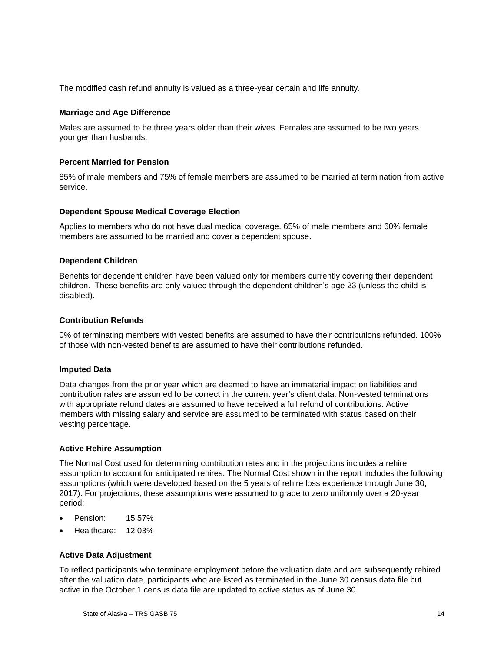The modified cash refund annuity is valued as a three-year certain and life annuity.

#### **Marriage and Age Difference**

Males are assumed to be three years older than their wives. Females are assumed to be two years younger than husbands.

#### **Percent Married for Pension**

85% of male members and 75% of female members are assumed to be married at termination from active service.

#### **Dependent Spouse Medical Coverage Election**

Applies to members who do not have dual medical coverage. 65% of male members and 60% female members are assumed to be married and cover a dependent spouse.

#### **Dependent Children**

Benefits for dependent children have been valued only for members currently covering their dependent children. These benefits are only valued through the dependent children's age 23 (unless the child is disabled).

#### **Contribution Refunds**

0% of terminating members with vested benefits are assumed to have their contributions refunded. 100% of those with non-vested benefits are assumed to have their contributions refunded.

#### **Imputed Data**

Data changes from the prior year which are deemed to have an immaterial impact on liabilities and contribution rates are assumed to be correct in the current year's client data. Non-vested terminations with appropriate refund dates are assumed to have received a full refund of contributions. Active members with missing salary and service are assumed to be terminated with status based on their vesting percentage.

#### **Active Rehire Assumption**

The Normal Cost used for determining contribution rates and in the projections includes a rehire assumption to account for anticipated rehires. The Normal Cost shown in the report includes the following assumptions (which were developed based on the 5 years of rehire loss experience through June 30, 2017). For projections, these assumptions were assumed to grade to zero uniformly over a 20-year period:

- Pension: 15.57%
- Healthcare: 12.03%

#### **Active Data Adjustment**

To reflect participants who terminate employment before the valuation date and are subsequently rehired after the valuation date, participants who are listed as terminated in the June 30 census data file but active in the October 1 census data file are updated to active status as of June 30.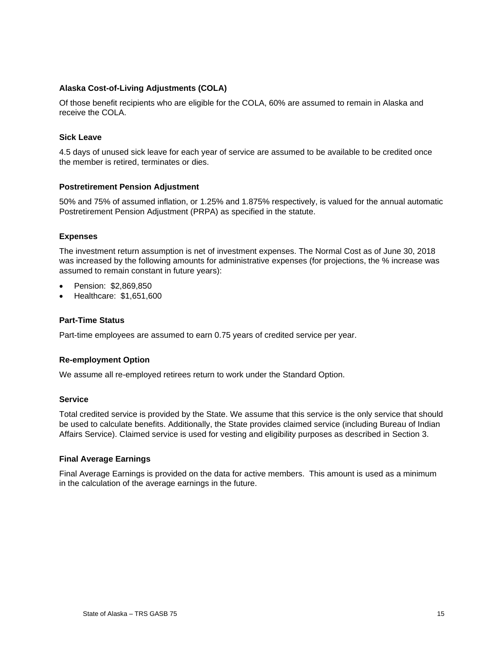#### **Alaska Cost-of-Living Adjustments (COLA)**

Of those benefit recipients who are eligible for the COLA, 60% are assumed to remain in Alaska and receive the COLA.

#### **Sick Leave**

4.5 days of unused sick leave for each year of service are assumed to be available to be credited once the member is retired, terminates or dies.

#### **Postretirement Pension Adjustment**

50% and 75% of assumed inflation, or 1.25% and 1.875% respectively, is valued for the annual automatic Postretirement Pension Adjustment (PRPA) as specified in the statute.

#### **Expenses**

The investment return assumption is net of investment expenses. The Normal Cost as of June 30, 2018 was increased by the following amounts for administrative expenses (for projections, the % increase was assumed to remain constant in future years):

- Pension: \$2,869,850
- Healthcare: \$1,651,600

#### **Part-Time Status**

Part-time employees are assumed to earn 0.75 years of credited service per year.

#### **Re-employment Option**

We assume all re-employed retirees return to work under the Standard Option.

#### **Service**

Total credited service is provided by the State. We assume that this service is the only service that should be used to calculate benefits. Additionally, the State provides claimed service (including Bureau of Indian Affairs Service). Claimed service is used for vesting and eligibility purposes as described in Section 3.

#### **Final Average Earnings**

Final Average Earnings is provided on the data for active members. This amount is used as a minimum in the calculation of the average earnings in the future.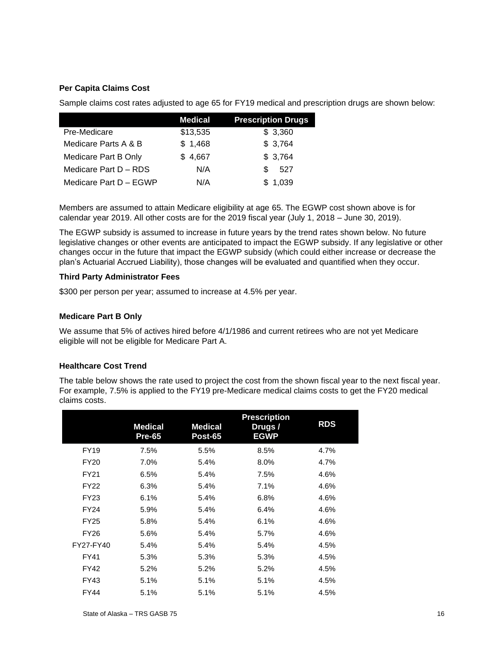#### **Per Capita Claims Cost**

Sample claims cost rates adjusted to age 65 for FY19 medical and prescription drugs are shown below:

|                        | <b>Medical</b> | <b>Prescription Drugs</b> |
|------------------------|----------------|---------------------------|
| Pre-Medicare           | \$13,535       | \$3,360                   |
| Medicare Parts A & B   | \$1,468        | \$3,764                   |
| Medicare Part B Only   | \$4,667        | \$3,764                   |
| Medicare Part D - RDS  | N/A            | 527<br>£.                 |
| Medicare Part D - EGWP | N/A            | \$1,039                   |

Members are assumed to attain Medicare eligibility at age 65. The EGWP cost shown above is for calendar year 2019. All other costs are for the 2019 fiscal year (July 1, 2018 – June 30, 2019).

The EGWP subsidy is assumed to increase in future years by the trend rates shown below. No future legislative changes or other events are anticipated to impact the EGWP subsidy. If any legislative or other changes occur in the future that impact the EGWP subsidy (which could either increase or decrease the plan's Actuarial Accrued Liability), those changes will be evaluated and quantified when they occur.

#### **Third Party Administrator Fees**

\$300 per person per year; assumed to increase at 4.5% per year.

#### **Medicare Part B Only**

We assume that 5% of actives hired before 4/1/1986 and current retirees who are not yet Medicare eligible will not be eligible for Medicare Part A.

#### **Healthcare Cost Trend**

The table below shows the rate used to project the cost from the shown fiscal year to the next fiscal year. For example, 7.5% is applied to the FY19 pre-Medicare medical claims costs to get the FY20 medical claims costs.

|             | <b>Medical</b><br><b>Pre-65</b> | <b>Medical</b><br><b>Post-65</b> | <b>Prescription</b><br>Drugs/<br><b>EGWP</b> | <b>RDS</b> |
|-------------|---------------------------------|----------------------------------|----------------------------------------------|------------|
| <b>FY19</b> | 7.5%                            | 5.5%                             | 8.5%                                         | 4.7%       |
| <b>FY20</b> | 7.0%                            | 5.4%                             | 8.0%                                         | 4.7%       |
| <b>FY21</b> | 6.5%                            | 5.4%                             | 7.5%                                         | 4.6%       |
| <b>FY22</b> | 6.3%                            | 5.4%                             | 7.1%                                         | 4.6%       |
| <b>FY23</b> | 6.1%                            | 5.4%                             | 6.8%                                         | 4.6%       |
| <b>FY24</b> | 5.9%                            | 5.4%                             | 6.4%                                         | 4.6%       |
| <b>FY25</b> | 5.8%                            | 5.4%                             | 6.1%                                         | 4.6%       |
| FY26        | 5.6%                            | 5.4%                             | 5.7%                                         | 4.6%       |
| FY27-FY40   | 5.4%                            | 5.4%                             | 5.4%                                         | 4.5%       |
| <b>FY41</b> | 5.3%                            | 5.3%                             | 5.3%                                         | 4.5%       |
| FY42        | 5.2%                            | 5.2%                             | 5.2%                                         | 4.5%       |
| <b>FY43</b> | 5.1%                            | 5.1%                             | 5.1%                                         | 4.5%       |
| <b>FY44</b> | 5.1%                            | 5.1%                             | 5.1%                                         | 4.5%       |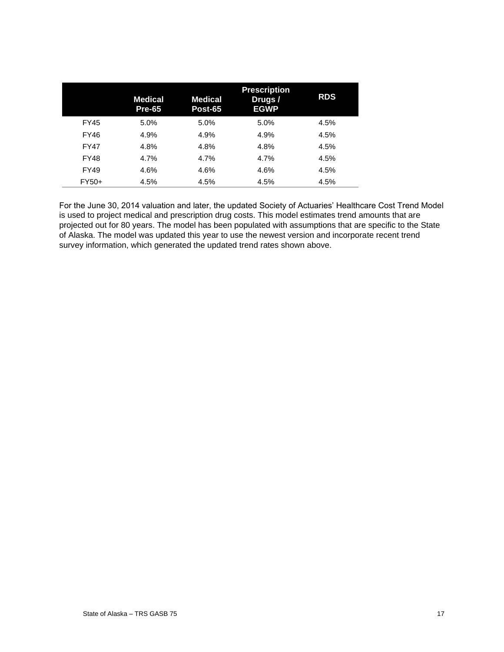|             | Medical<br><b>Pre-65</b> | <b>Medical</b><br>Post-65 | <b>Prescription</b><br>Drugs /<br><b>EGWP</b> | <b>RDS</b> |
|-------------|--------------------------|---------------------------|-----------------------------------------------|------------|
| <b>FY45</b> | 5.0%                     | 5.0%                      | 5.0%                                          | 4.5%       |
| <b>FY46</b> | 4.9%                     | 4.9%                      | 4.9%                                          | 4.5%       |
| <b>FY47</b> | 4.8%                     | 4.8%                      | 4.8%                                          | 4.5%       |
| <b>FY48</b> | 4.7%                     | 4.7%                      | 4.7%                                          | 4.5%       |
| <b>FY49</b> | 4.6%                     | 4.6%                      | 4.6%                                          | 4.5%       |
| FY50+       | 4.5%                     | 4.5%                      | 4.5%                                          | 4.5%       |

For the June 30, 2014 valuation and later, the updated Society of Actuaries' Healthcare Cost Trend Model is used to project medical and prescription drug costs. This model estimates trend amounts that are projected out for 80 years. The model has been populated with assumptions that are specific to the State of Alaska. The model was updated this year to use the newest version and incorporate recent trend survey information, which generated the updated trend rates shown above.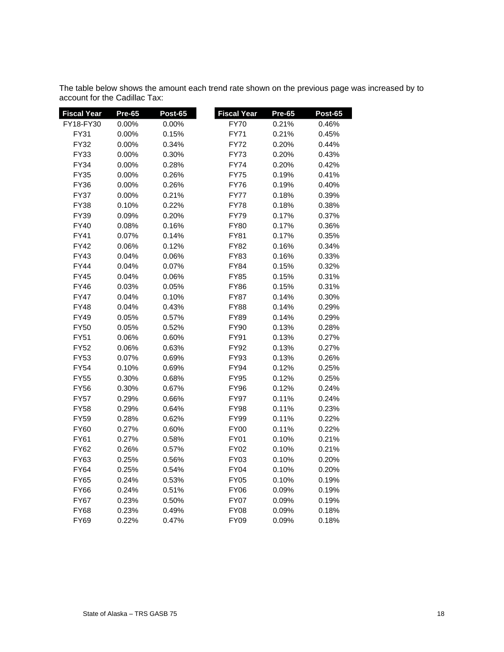| <b>Fiscal Year</b> | Pre-65   | Post-65  | <b>Fiscal Year</b> | <b>Pre-65</b> | Post-65 |
|--------------------|----------|----------|--------------------|---------------|---------|
| FY18-FY30          | 0.00%    | 0.00%    | <b>FY70</b>        | 0.21%         | 0.46%   |
| FY31               | 0.00%    | 0.15%    | <b>FY71</b>        | 0.21%         | 0.45%   |
| FY32               | 0.00%    | 0.34%    | <b>FY72</b>        | 0.20%         | 0.44%   |
| FY33               | 0.00%    | 0.30%    | <b>FY73</b>        | 0.20%         | 0.43%   |
| <b>FY34</b>        | $0.00\%$ | 0.28%    | <b>FY74</b>        | 0.20%         | 0.42%   |
| <b>FY35</b>        | 0.00%    | 0.26%    | <b>FY75</b>        | 0.19%         | 0.41%   |
| <b>FY36</b>        | 0.00%    | 0.26%    | <b>FY76</b>        | 0.19%         | 0.40%   |
| <b>FY37</b>        | 0.00%    | 0.21%    | FY77               | 0.18%         | 0.39%   |
| <b>FY38</b>        | 0.10%    | 0.22%    | <b>FY78</b>        | 0.18%         | 0.38%   |
| FY39               | 0.09%    | 0.20%    | <b>FY79</b>        | 0.17%         | 0.37%   |
| <b>FY40</b>        | 0.08%    | 0.16%    | <b>FY80</b>        | 0.17%         | 0.36%   |
| <b>FY41</b>        | 0.07%    | 0.14%    | <b>FY81</b>        | 0.17%         | 0.35%   |
| <b>FY42</b>        | 0.06%    | 0.12%    | FY82               | 0.16%         | 0.34%   |
| FY43               | 0.04%    | 0.06%    | <b>FY83</b>        | 0.16%         | 0.33%   |
| <b>FY44</b>        | 0.04%    | $0.07\%$ | <b>FY84</b>        | 0.15%         | 0.32%   |
| <b>FY45</b>        | 0.04%    | 0.06%    | <b>FY85</b>        | 0.15%         | 0.31%   |
| FY46               | 0.03%    | 0.05%    | FY86               | 0.15%         | 0.31%   |
| <b>FY47</b>        | 0.04%    | 0.10%    | <b>FY87</b>        | 0.14%         | 0.30%   |
| <b>FY48</b>        | 0.04%    | 0.43%    | <b>FY88</b>        | 0.14%         | 0.29%   |
| <b>FY49</b>        | 0.05%    | 0.57%    | <b>FY89</b>        | 0.14%         | 0.29%   |
| <b>FY50</b>        | 0.05%    | 0.52%    | <b>FY90</b>        | 0.13%         | 0.28%   |
| <b>FY51</b>        | 0.06%    | 0.60%    | FY91               | 0.13%         | 0.27%   |
| <b>FY52</b>        | 0.06%    | 0.63%    | <b>FY92</b>        | 0.13%         | 0.27%   |
| <b>FY53</b>        | 0.07%    | 0.69%    | FY93               | 0.13%         | 0.26%   |
| <b>FY54</b>        | 0.10%    | 0.69%    | <b>FY94</b>        | 0.12%         | 0.25%   |
| <b>FY55</b>        | 0.30%    | 0.68%    | <b>FY95</b>        | 0.12%         | 0.25%   |
| <b>FY56</b>        | 0.30%    | 0.67%    | <b>FY96</b>        | 0.12%         | 0.24%   |
| <b>FY57</b>        | 0.29%    | 0.66%    | <b>FY97</b>        | 0.11%         | 0.24%   |
| <b>FY58</b>        | 0.29%    | 0.64%    | <b>FY98</b>        | 0.11%         | 0.23%   |
| <b>FY59</b>        | 0.28%    | 0.62%    | <b>FY99</b>        | 0.11%         | 0.22%   |
| <b>FY60</b>        | 0.27%    | 0.60%    | <b>FY00</b>        | 0.11%         | 0.22%   |
| <b>FY61</b>        | 0.27%    | 0.58%    | <b>FY01</b>        | 0.10%         | 0.21%   |
| <b>FY62</b>        | 0.26%    | $0.57\%$ | <b>FY02</b>        | 0.10%         | 0.21%   |
| FY63               | 0.25%    | 0.56%    | FY03               | 0.10%         | 0.20%   |
| <b>FY64</b>        | 0.25%    | 0.54%    | <b>FY04</b>        | 0.10%         | 0.20%   |
| <b>FY65</b>        | 0.24%    | 0.53%    | <b>FY05</b>        | 0.10%         | 0.19%   |
| <b>FY66</b>        | 0.24%    | 0.51%    | <b>FY06</b>        | 0.09%         | 0.19%   |
| <b>FY67</b>        | 0.23%    | 0.50%    | <b>FY07</b>        | 0.09%         | 0.19%   |
| <b>FY68</b>        | 0.23%    | 0.49%    | <b>FY08</b>        | 0.09%         | 0.18%   |
| <b>FY69</b>        | 0.22%    | 0.47%    | <b>FY09</b>        | 0.09%         | 0.18%   |

The table below shows the amount each trend rate shown on the previous page was increased by to account for the Cadillac Tax: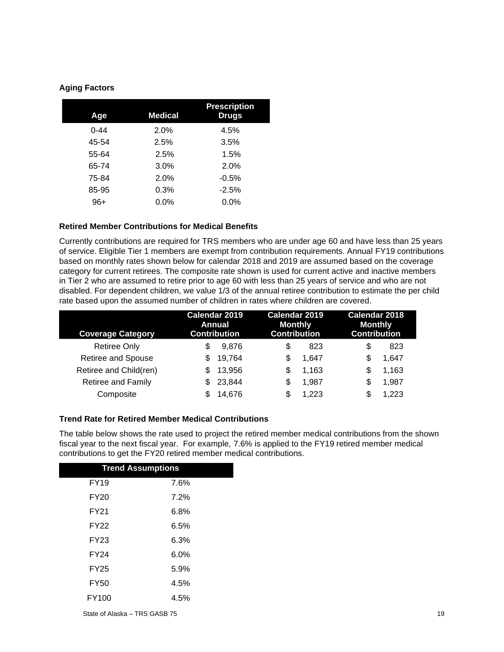#### **Aging Factors**

| Age      | <b>Medical</b> | <b>Prescription</b><br><b>Drugs</b> |
|----------|----------------|-------------------------------------|
| $0 - 44$ | 2.0%           | 4.5%                                |
| 45-54    | 2.5%           | 3.5%                                |
| 55-64    | 2.5%           | 1.5%                                |
| 65-74    | 3.0%           | 2.0%                                |
| 75-84    | 2.0%           | $-0.5%$                             |
| 85-95    | 0.3%           | $-2.5%$                             |
| $96+$    | 0.0%           | 0.0%                                |

#### **Retired Member Contributions for Medical Benefits**

Currently contributions are required for TRS members who are under age 60 and have less than 25 years of service. Eligible Tier 1 members are exempt from contribution requirements. Annual FY19 contributions based on monthly rates shown below for calendar 2018 and 2019 are assumed based on the coverage category for current retirees. The composite rate shown is used for current active and inactive members in Tier 2 who are assumed to retire prior to age 60 with less than 25 years of service and who are not disabled. For dependent children, we value 1/3 of the annual retiree contribution to estimate the per child rate based upon the assumed number of children in rates where children are covered.

| <b>Coverage Category</b>  | Calendar 2019       | Calendar 2019       | Calendar 2018       |  |  |
|---------------------------|---------------------|---------------------|---------------------|--|--|
|                           | Annual              | <b>Monthly</b>      | <b>Monthly</b>      |  |  |
|                           | <b>Contribution</b> | <b>Contribution</b> | <b>Contribution</b> |  |  |
| <b>Retiree Only</b>       | 9.876               | \$                  | 823                 |  |  |
|                           | S                   | 823                 | \$                  |  |  |
| Retiree and Spouse        | 19,764              | \$                  | 1.647               |  |  |
|                           | S                   | 1.647               | S                   |  |  |
| Retiree and Child(ren)    | 13,956              | \$                  | 1,163               |  |  |
|                           | \$.                 | 1.163               | S                   |  |  |
| <b>Retiree and Family</b> | 23,844              | \$                  | 1,987               |  |  |
|                           | \$.                 | 1.987               | S                   |  |  |
| Composite                 | 14,676              | 1.223<br>\$         | 1,223<br>\$         |  |  |

#### **Trend Rate for Retired Member Medical Contributions**

The table below shows the rate used to project the retired member medical contributions from the shown fiscal year to the next fiscal year. For example, 7.6% is applied to the FY19 retired member medical contributions to get the FY20 retired member medical contributions.

| <b>Trend Assumptions</b> |      |  |  |  |  |  |
|--------------------------|------|--|--|--|--|--|
| <b>FY19</b>              | 7.6% |  |  |  |  |  |
| <b>FY20</b>              | 7.2% |  |  |  |  |  |
| <b>FY21</b>              | 6.8% |  |  |  |  |  |
| <b>FY22</b>              | 6.5% |  |  |  |  |  |
| <b>FY23</b>              | 6.3% |  |  |  |  |  |
| <b>FY24</b>              | 6.0% |  |  |  |  |  |
| <b>FY25</b>              | 5.9% |  |  |  |  |  |
| <b>FY50</b>              | 4.5% |  |  |  |  |  |
| <b>FY100</b>             | 4.5% |  |  |  |  |  |
|                          |      |  |  |  |  |  |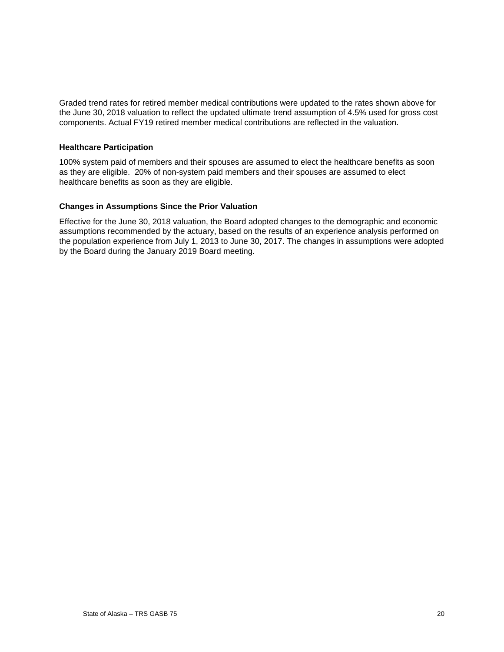Graded trend rates for retired member medical contributions were updated to the rates shown above for the June 30, 2018 valuation to reflect the updated ultimate trend assumption of 4.5% used for gross cost components. Actual FY19 retired member medical contributions are reflected in the valuation.

#### **Healthcare Participation**

100% system paid of members and their spouses are assumed to elect the healthcare benefits as soon as they are eligible. 20% of non-system paid members and their spouses are assumed to elect healthcare benefits as soon as they are eligible.

#### **Changes in Assumptions Since the Prior Valuation**

Effective for the June 30, 2018 valuation, the Board adopted changes to the demographic and economic assumptions recommended by the actuary, based on the results of an experience analysis performed on the population experience from July 1, 2013 to June 30, 2017. The changes in assumptions were adopted by the Board during the January 2019 Board meeting.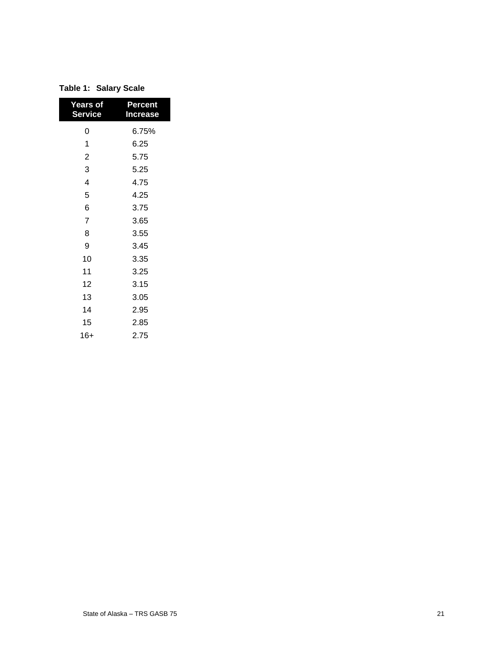| <b>Years of</b><br><b>Service</b> | <b>Percent</b><br><b>Increase</b> |
|-----------------------------------|-----------------------------------|
| 0                                 | 6.75%                             |
| 1                                 | 6.25                              |
| $\overline{c}$                    | 5.75                              |
| 3                                 | 5.25                              |
| 4                                 | 4.75                              |
| 5                                 | 4.25                              |
| 6                                 | 3.75                              |
| $\overline{7}$                    | 3.65                              |
| 8                                 | 3.55                              |
| 9                                 | 3.45                              |
| 10                                | 3.35                              |
| 11                                | 3.25                              |
| 12                                | 3.15                              |
| 13                                | 3.05                              |
| 14                                | 2.95                              |
| 15                                | 2.85                              |
| 16+                               | 2.75                              |

| Table 1: Salary Scale |
|-----------------------|
|-----------------------|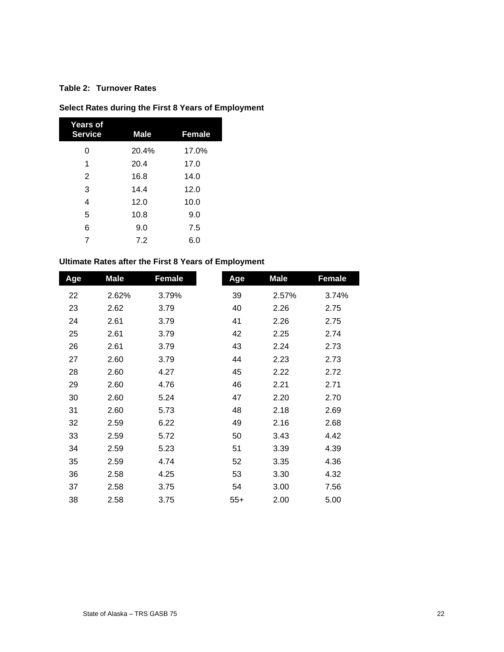#### **Table 2: Turnover Rates**

### **Select Rates during the First 8 Years of Employment**

| Years of<br><b>Service</b> | <b>Male</b> | <b>Female</b> |
|----------------------------|-------------|---------------|
| 0                          | 20.4%       | 17.0%         |
| 1                          | 20.4        | 17.0          |
| $\overline{2}$             | 16.8        | 14.0          |
| 3                          | 14.4        | 12.0          |
| 4                          | 12.0        | 10.0          |
| 5                          | 10.8        | 9.0           |
| 6                          | 9.0         | 7.5           |
| 7                          | 7.2         | 6.0           |

#### **Ultimate Rates after the First 8 Years of Employment**

| Age | <b>Male</b> | <b>Female</b> | Age   | <b>Male</b> | <b>Female</b> |
|-----|-------------|---------------|-------|-------------|---------------|
| 22  | 2.62%       | 3.79%         | 39    | 2.57%       | 3.74%         |
| 23  | 2.62        | 3.79          | 40    | 2.26        | 2.75          |
| 24  | 2.61        | 3.79          | 41    | 2.26        | 2.75          |
| 25  | 2.61        | 3.79          | 42    | 2.25        | 2.74          |
| 26  | 2.61        | 3.79          | 43    | 2.24        | 2.73          |
| 27  | 2.60        | 3.79          | 44    | 2.23        | 2.73          |
| 28  | 2.60        | 4.27          | 45    | 2.22        | 2.72          |
| 29  | 2.60        | 4.76          | 46    | 2.21        | 2.71          |
| 30  | 2.60        | 5.24          | 47    | 2.20        | 2.70          |
| 31  | 2.60        | 5.73          | 48    | 2.18        | 2.69          |
| 32  | 2.59        | 6.22          | 49    | 2.16        | 2.68          |
| 33  | 2.59        | 5.72          | 50    | 3.43        | 4.42          |
| 34  | 2.59        | 5.23          | 51    | 3.39        | 4.39          |
| 35  | 2.59        | 4.74          | 52    | 3.35        | 4.36          |
| 36  | 2.58        | 4.25          | 53    | 3.30        | 4.32          |
| 37  | 2.58        | 3.75          | 54    | 3.00        | 7.56          |
| 38  | 2.58        | 3.75          | $55+$ | 2.00        | 5.00          |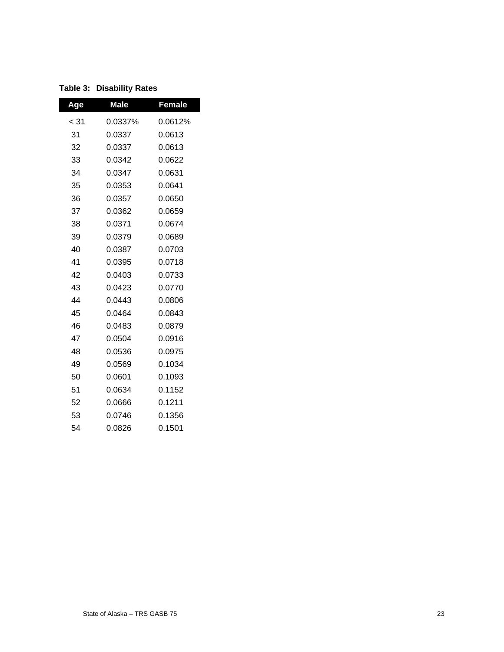| Age  | <b>Male</b> | <b>Female</b> |
|------|-------------|---------------|
| < 31 | 0.0337%     | 0.0612%       |
| 31   | 0.0337      | 0.0613        |
| 32   | 0.0337      | 0.0613        |
| 33   | 0.0342      | 0.0622        |
| 34   | 0.0347      | 0.0631        |
| 35   | 0.0353      | 0.0641        |
| 36   | 0.0357      | 0.0650        |
| 37   | 0.0362      | 0.0659        |
| 38   | 0.0371      | 0.0674        |
| 39   | 0.0379      | 0.0689        |
| 40   | 0.0387      | 0.0703        |
| 41   | 0.0395      | 0.0718        |
| 42   | 0.0403      | 0.0733        |
| 43   | 0.0423      | 0.0770        |
| 44   | 0.0443      | 0.0806        |
| 45   | 0.0464      | 0.0843        |
| 46   | 0.0483      | 0.0879        |
| 47   | 0.0504      | 0.0916        |
| 48   | 0.0536      | 0.0975        |
| 49   | 0.0569      | 0.1034        |
| 50   | 0.0601      | 0.1093        |
| 51   | 0.0634      | 0.1152        |
| 52   | 0.0666      | 0.1211        |
| 53   | 0.0746      | 0.1356        |
| 54   | 0.0826      | 0.1501        |

**Table 3: Disability Rates**

I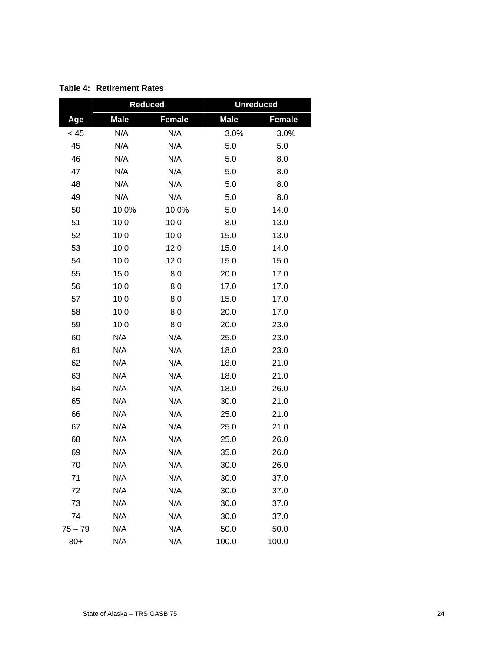|           | <b>Reduced</b> |               | <b>Unreduced</b> |               |  |  |
|-----------|----------------|---------------|------------------|---------------|--|--|
| Age       | <b>Male</b>    | <b>Female</b> | <b>Male</b>      | <b>Female</b> |  |  |
| < 45      | N/A            | N/A           | 3.0%             | 3.0%          |  |  |
| 45        | N/A            | N/A           | 5.0              | 5.0           |  |  |
| 46        | N/A            | N/A           | 5.0              | 8.0           |  |  |
| 47        | N/A            | N/A           | 5.0              | 8.0           |  |  |
| 48        | N/A            | N/A           | 5.0              | 8.0           |  |  |
| 49        | N/A            | N/A           | 5.0              | 8.0           |  |  |
| 50        | 10.0%          | 10.0%         | 5.0              | 14.0          |  |  |
| 51        | 10.0           | 10.0          | 8.0              | 13.0          |  |  |
| 52        | 10.0           | 10.0          | 15.0             | 13.0          |  |  |
| 53        | 10.0           | 12.0          | 15.0             | 14.0          |  |  |
| 54        | 10.0           | 12.0          | 15.0             | 15.0          |  |  |
| 55        | 15.0           | 8.0           | 20.0             | 17.0          |  |  |
| 56        | 10.0           | 8.0           | 17.0             | 17.0          |  |  |
| 57        | 10.0           | 8.0           | 15.0             | 17.0          |  |  |
| 58        | 10.0           | 8.0           | 20.0             | 17.0          |  |  |
| 59        | 10.0           | 8.0           | 20.0             | 23.0          |  |  |
| 60        | N/A            | N/A           | 25.0             | 23.0          |  |  |
| 61        | N/A            | N/A           | 18.0             | 23.0          |  |  |
| 62        | N/A            | N/A           | 18.0             | 21.0          |  |  |
| 63        | N/A            | N/A           | 18.0             | 21.0          |  |  |
| 64        | N/A            | N/A           | 18.0             | 26.0          |  |  |
| 65        | N/A            | N/A           | 30.0             | 21.0          |  |  |
| 66        | N/A            | N/A           | 25.0             | 21.0          |  |  |
| 67        | N/A            | N/A           | 25.0             | 21.0          |  |  |
| 68        | N/A            | N/A           | 25.0             | 26.0          |  |  |
| 69        | N/A            | N/A           | 35.0             | 26.0          |  |  |
| 70        | N/A            | N/A           | 30.0             | 26.0          |  |  |
| 71        | N/A            | N/A           | 30.0             | 37.0          |  |  |
| 72        | N/A            | N/A           | 30.0             | 37.0          |  |  |
| 73        | N/A            | N/A           | 30.0             | 37.0          |  |  |
| 74        | N/A            | N/A           | 30.0             | 37.0          |  |  |
| $75 - 79$ | N/A            | N/A           | 50.0             | 50.0          |  |  |
| $80+$     | N/A            | N/A           | 100.0            | 100.0         |  |  |

**Table 4: Retirement Rates**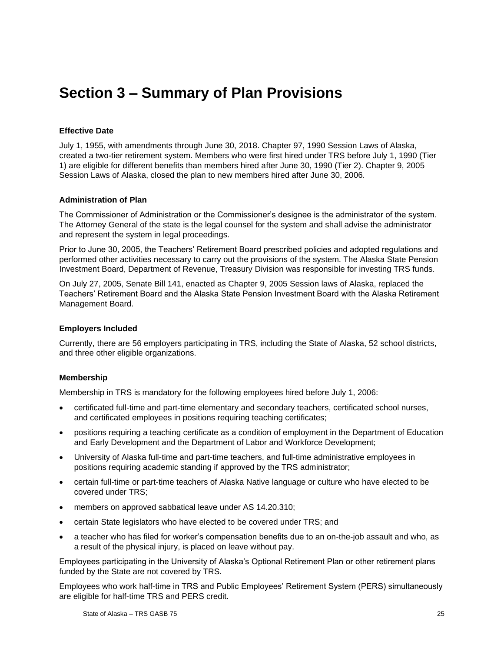## <span id="page-28-0"></span>**Section 3 – Summary of Plan Provisions**

#### **Effective Date**

July 1, 1955, with amendments through June 30, 2018. Chapter 97, 1990 Session Laws of Alaska, created a two-tier retirement system. Members who were first hired under TRS before July 1, 1990 (Tier 1) are eligible for different benefits than members hired after June 30, 1990 (Tier 2). Chapter 9, 2005 Session Laws of Alaska, closed the plan to new members hired after June 30, 2006.

#### **Administration of Plan**

The Commissioner of Administration or the Commissioner's designee is the administrator of the system. The Attorney General of the state is the legal counsel for the system and shall advise the administrator and represent the system in legal proceedings.

Prior to June 30, 2005, the Teachers' Retirement Board prescribed policies and adopted regulations and performed other activities necessary to carry out the provisions of the system. The Alaska State Pension Investment Board, Department of Revenue, Treasury Division was responsible for investing TRS funds.

On July 27, 2005, Senate Bill 141, enacted as Chapter 9, 2005 Session laws of Alaska, replaced the Teachers' Retirement Board and the Alaska State Pension Investment Board with the Alaska Retirement Management Board.

#### **Employers Included**

Currently, there are 56 employers participating in TRS, including the State of Alaska, 52 school districts, and three other eligible organizations.

#### **Membership**

Membership in TRS is mandatory for the following employees hired before July 1, 2006:

- certificated full-time and part-time elementary and secondary teachers, certificated school nurses, and certificated employees in positions requiring teaching certificates;
- positions requiring a teaching certificate as a condition of employment in the Department of Education and Early Development and the Department of Labor and Workforce Development;
- University of Alaska full-time and part-time teachers, and full-time administrative employees in positions requiring academic standing if approved by the TRS administrator;
- certain full-time or part-time teachers of Alaska Native language or culture who have elected to be covered under TRS;
- members on approved sabbatical leave under AS 14.20.310;
- certain State legislators who have elected to be covered under TRS; and
- a teacher who has filed for worker's compensation benefits due to an on-the-job assault and who, as a result of the physical injury, is placed on leave without pay.

Employees participating in the University of Alaska's Optional Retirement Plan or other retirement plans funded by the State are not covered by TRS.

Employees who work half-time in TRS and Public Employees' Retirement System (PERS) simultaneously are eligible for half-time TRS and PERS credit.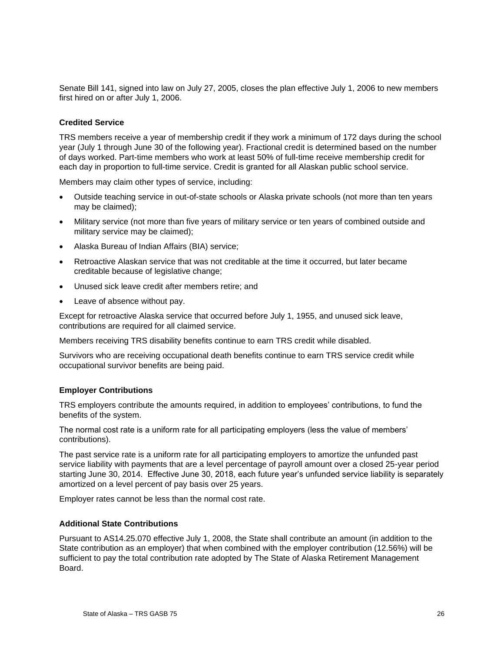Senate Bill 141, signed into law on July 27, 2005, closes the plan effective July 1, 2006 to new members first hired on or after July 1, 2006.

#### **Credited Service**

TRS members receive a year of membership credit if they work a minimum of 172 days during the school year (July 1 through June 30 of the following year). Fractional credit is determined based on the number of days worked. Part-time members who work at least 50% of full-time receive membership credit for each day in proportion to full-time service. Credit is granted for all Alaskan public school service.

Members may claim other types of service, including:

- Outside teaching service in out-of-state schools or Alaska private schools (not more than ten years may be claimed);
- Military service (not more than five years of military service or ten years of combined outside and military service may be claimed);
- Alaska Bureau of Indian Affairs (BIA) service;
- Retroactive Alaskan service that was not creditable at the time it occurred, but later became creditable because of legislative change;
- Unused sick leave credit after members retire; and
- Leave of absence without pay.

Except for retroactive Alaska service that occurred before July 1, 1955, and unused sick leave, contributions are required for all claimed service.

Members receiving TRS disability benefits continue to earn TRS credit while disabled.

Survivors who are receiving occupational death benefits continue to earn TRS service credit while occupational survivor benefits are being paid.

#### **Employer Contributions**

TRS employers contribute the amounts required, in addition to employees' contributions, to fund the benefits of the system.

The normal cost rate is a uniform rate for all participating employers (less the value of members' contributions).

The past service rate is a uniform rate for all participating employers to amortize the unfunded past service liability with payments that are a level percentage of payroll amount over a closed 25-year period starting June 30, 2014. Effective June 30, 2018, each future year's unfunded service liability is separately amortized on a level percent of pay basis over 25 years.

Employer rates cannot be less than the normal cost rate.

#### **Additional State Contributions**

Pursuant to AS14.25.070 effective July 1, 2008, the State shall contribute an amount (in addition to the State contribution as an employer) that when combined with the employer contribution (12.56%) will be sufficient to pay the total contribution rate adopted by The State of Alaska Retirement Management Board.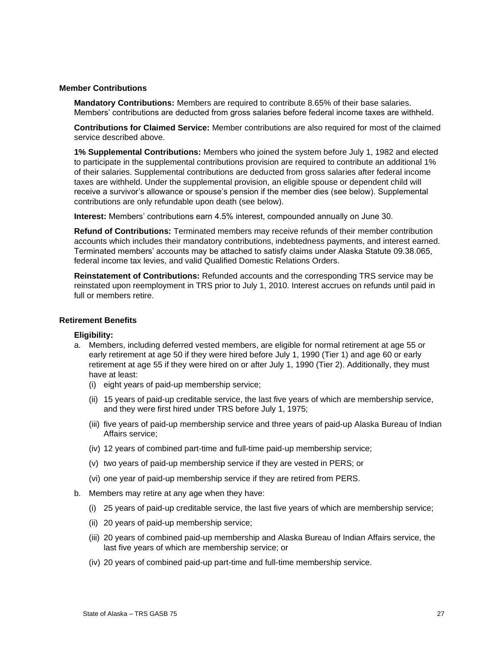#### **Member Contributions**

**Mandatory Contributions:** Members are required to contribute 8.65% of their base salaries. Members' contributions are deducted from gross salaries before federal income taxes are withheld.

**Contributions for Claimed Service:** Member contributions are also required for most of the claimed service described above.

**1% Supplemental Contributions:** Members who joined the system before July 1, 1982 and elected to participate in the supplemental contributions provision are required to contribute an additional 1% of their salaries. Supplemental contributions are deducted from gross salaries after federal income taxes are withheld. Under the supplemental provision, an eligible spouse or dependent child will receive a survivor's allowance or spouse's pension if the member dies (see below). Supplemental contributions are only refundable upon death (see below).

**Interest:** Members' contributions earn 4.5% interest, compounded annually on June 30.

**Refund of Contributions:** Terminated members may receive refunds of their member contribution accounts which includes their mandatory contributions, indebtedness payments, and interest earned. Terminated members' accounts may be attached to satisfy claims under Alaska Statute 09.38.065, federal income tax levies, and valid Qualified Domestic Relations Orders.

**Reinstatement of Contributions:** Refunded accounts and the corresponding TRS service may be reinstated upon reemployment in TRS prior to July 1, 2010. Interest accrues on refunds until paid in full or members retire.

#### **Retirement Benefits**

#### **Eligibility:**

- a. Members, including deferred vested members, are eligible for normal retirement at age 55 or early retirement at age 50 if they were hired before July 1, 1990 (Tier 1) and age 60 or early retirement at age 55 if they were hired on or after July 1, 1990 (Tier 2). Additionally, they must have at least:
	- (i) eight years of paid-up membership service;
	- (ii) 15 years of paid-up creditable service, the last five years of which are membership service, and they were first hired under TRS before July 1, 1975;
	- (iii) five years of paid-up membership service and three years of paid-up Alaska Bureau of Indian Affairs service;
	- (iv) 12 years of combined part-time and full-time paid-up membership service;
	- (v) two years of paid-up membership service if they are vested in PERS; or
	- (vi) one year of paid-up membership service if they are retired from PERS.
- b. Members may retire at any age when they have:
	- (i) 25 years of paid-up creditable service, the last five years of which are membership service;
	- (ii) 20 years of paid-up membership service;
	- (iii) 20 years of combined paid-up membership and Alaska Bureau of Indian Affairs service, the last five years of which are membership service; or
	- (iv) 20 years of combined paid-up part-time and full-time membership service.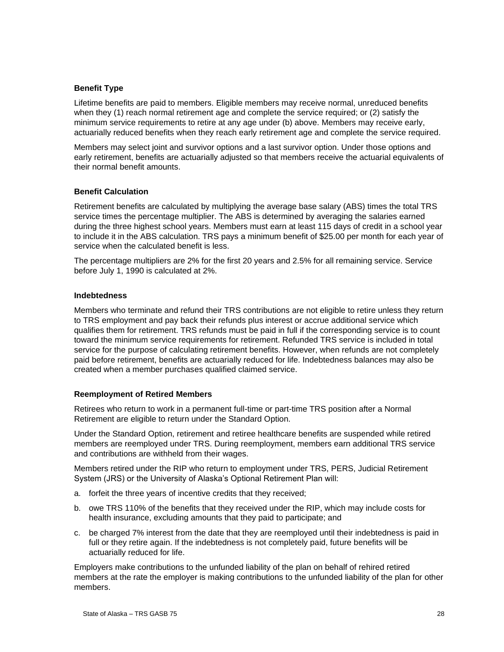#### **Benefit Type**

Lifetime benefits are paid to members. Eligible members may receive normal, unreduced benefits when they (1) reach normal retirement age and complete the service required; or (2) satisfy the minimum service requirements to retire at any age under (b) above. Members may receive early, actuarially reduced benefits when they reach early retirement age and complete the service required.

Members may select joint and survivor options and a last survivor option. Under those options and early retirement, benefits are actuarially adjusted so that members receive the actuarial equivalents of their normal benefit amounts.

#### **Benefit Calculation**

Retirement benefits are calculated by multiplying the average base salary (ABS) times the total TRS service times the percentage multiplier. The ABS is determined by averaging the salaries earned during the three highest school years. Members must earn at least 115 days of credit in a school year to include it in the ABS calculation. TRS pays a minimum benefit of \$25.00 per month for each year of service when the calculated benefit is less.

The percentage multipliers are 2% for the first 20 years and 2.5% for all remaining service. Service before July 1, 1990 is calculated at 2%.

#### **Indebtedness**

Members who terminate and refund their TRS contributions are not eligible to retire unless they return to TRS employment and pay back their refunds plus interest or accrue additional service which qualifies them for retirement. TRS refunds must be paid in full if the corresponding service is to count toward the minimum service requirements for retirement. Refunded TRS service is included in total service for the purpose of calculating retirement benefits. However, when refunds are not completely paid before retirement, benefits are actuarially reduced for life. Indebtedness balances may also be created when a member purchases qualified claimed service.

#### **Reemployment of Retired Members**

Retirees who return to work in a permanent full-time or part-time TRS position after a Normal Retirement are eligible to return under the Standard Option.

Under the Standard Option, retirement and retiree healthcare benefits are suspended while retired members are reemployed under TRS. During reemployment, members earn additional TRS service and contributions are withheld from their wages.

Members retired under the RIP who return to employment under TRS, PERS, Judicial Retirement System (JRS) or the University of Alaska's Optional Retirement Plan will:

- a. forfeit the three years of incentive credits that they received;
- b. owe TRS 110% of the benefits that they received under the RIP, which may include costs for health insurance, excluding amounts that they paid to participate; and
- c. be charged 7% interest from the date that they are reemployed until their indebtedness is paid in full or they retire again. If the indebtedness is not completely paid, future benefits will be actuarially reduced for life.

Employers make contributions to the unfunded liability of the plan on behalf of rehired retired members at the rate the employer is making contributions to the unfunded liability of the plan for other members.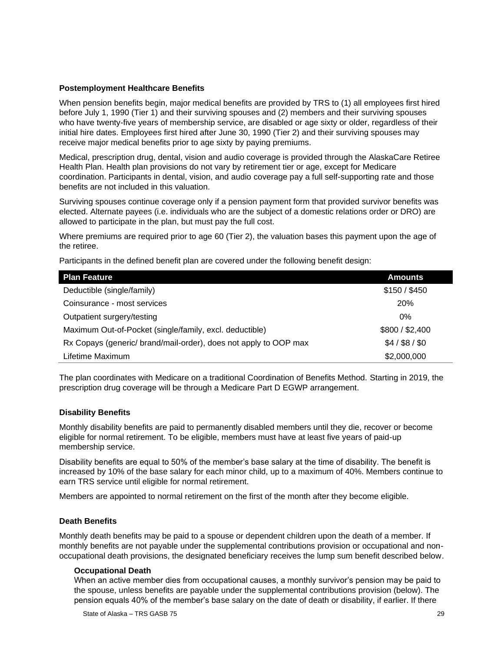#### **Postemployment Healthcare Benefits**

When pension benefits begin, major medical benefits are provided by TRS to (1) all employees first hired before July 1, 1990 (Tier 1) and their surviving spouses and (2) members and their surviving spouses who have twenty-five years of membership service, are disabled or age sixty or older, regardless of their initial hire dates. Employees first hired after June 30, 1990 (Tier 2) and their surviving spouses may receive major medical benefits prior to age sixty by paying premiums.

Medical, prescription drug, dental, vision and audio coverage is provided through the AlaskaCare Retiree Health Plan. Health plan provisions do not vary by retirement tier or age, except for Medicare coordination. Participants in dental, vision, and audio coverage pay a full self-supporting rate and those benefits are not included in this valuation.

Surviving spouses continue coverage only if a pension payment form that provided survivor benefits was elected. Alternate payees (i.e. individuals who are the subject of a domestic relations order or DRO) are allowed to participate in the plan, but must pay the full cost.

Where premiums are required prior to age 60 (Tier 2), the valuation bases this payment upon the age of the retiree.

Participants in the defined benefit plan are covered under the following benefit design:

| <b>Plan Feature</b>                                              | <b>Amounts</b>  |
|------------------------------------------------------------------|-----------------|
| Deductible (single/family)                                       | \$150 / \$450   |
| Coinsurance - most services                                      | <b>20%</b>      |
| Outpatient surgery/testing                                       | $0\%$           |
| Maximum Out-of-Pocket (single/family, excl. deductible)          | \$800 / \$2,400 |
| Rx Copays (generic/ brand/mail-order), does not apply to OOP max | $$4/$ \$8/\$0   |
| Lifetime Maximum                                                 | \$2,000,000     |

The plan coordinates with Medicare on a traditional Coordination of Benefits Method. Starting in 2019, the prescription drug coverage will be through a Medicare Part D EGWP arrangement.

#### **Disability Benefits**

Monthly disability benefits are paid to permanently disabled members until they die, recover or become eligible for normal retirement. To be eligible, members must have at least five years of paid-up membership service.

Disability benefits are equal to 50% of the member's base salary at the time of disability. The benefit is increased by 10% of the base salary for each minor child, up to a maximum of 40%. Members continue to earn TRS service until eligible for normal retirement.

Members are appointed to normal retirement on the first of the month after they become eligible.

#### **Death Benefits**

Monthly death benefits may be paid to a spouse or dependent children upon the death of a member. If monthly benefits are not payable under the supplemental contributions provision or occupational and nonoccupational death provisions, the designated beneficiary receives the lump sum benefit described below.

#### **Occupational Death**

When an active member dies from occupational causes, a monthly survivor's pension may be paid to the spouse, unless benefits are payable under the supplemental contributions provision (below). The pension equals 40% of the member's base salary on the date of death or disability, if earlier. If there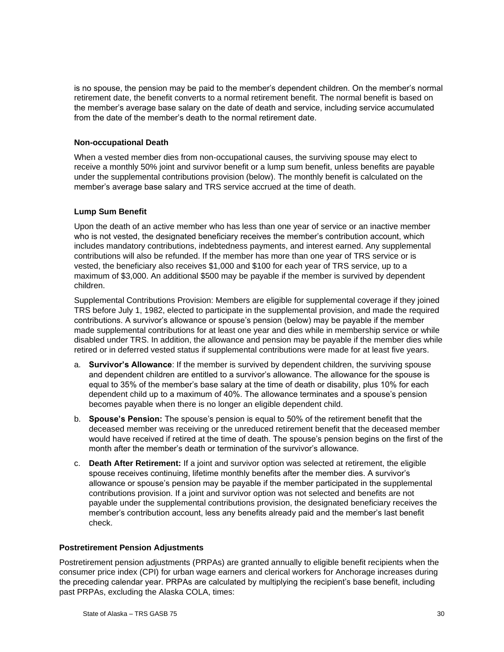is no spouse, the pension may be paid to the member's dependent children. On the member's normal retirement date, the benefit converts to a normal retirement benefit. The normal benefit is based on the member's average base salary on the date of death and service, including service accumulated from the date of the member's death to the normal retirement date.

#### **Non-occupational Death**

When a vested member dies from non-occupational causes, the surviving spouse may elect to receive a monthly 50% joint and survivor benefit or a lump sum benefit, unless benefits are payable under the supplemental contributions provision (below). The monthly benefit is calculated on the member's average base salary and TRS service accrued at the time of death.

#### **Lump Sum Benefit**

Upon the death of an active member who has less than one year of service or an inactive member who is not vested, the designated beneficiary receives the member's contribution account, which includes mandatory contributions, indebtedness payments, and interest earned. Any supplemental contributions will also be refunded. If the member has more than one year of TRS service or is vested, the beneficiary also receives \$1,000 and \$100 for each year of TRS service, up to a maximum of \$3,000. An additional \$500 may be payable if the member is survived by dependent children.

Supplemental Contributions Provision: Members are eligible for supplemental coverage if they joined TRS before July 1, 1982, elected to participate in the supplemental provision, and made the required contributions. A survivor's allowance or spouse's pension (below) may be payable if the member made supplemental contributions for at least one year and dies while in membership service or while disabled under TRS. In addition, the allowance and pension may be payable if the member dies while retired or in deferred vested status if supplemental contributions were made for at least five years.

- a. **Survivor's Allowance**: If the member is survived by dependent children, the surviving spouse and dependent children are entitled to a survivor's allowance. The allowance for the spouse is equal to 35% of the member's base salary at the time of death or disability, plus 10% for each dependent child up to a maximum of 40%. The allowance terminates and a spouse's pension becomes payable when there is no longer an eligible dependent child.
- b. **Spouse's Pension:** The spouse's pension is equal to 50% of the retirement benefit that the deceased member was receiving or the unreduced retirement benefit that the deceased member would have received if retired at the time of death. The spouse's pension begins on the first of the month after the member's death or termination of the survivor's allowance.
- c. **Death After Retirement:** If a joint and survivor option was selected at retirement, the eligible spouse receives continuing, lifetime monthly benefits after the member dies. A survivor's allowance or spouse's pension may be payable if the member participated in the supplemental contributions provision. If a joint and survivor option was not selected and benefits are not payable under the supplemental contributions provision, the designated beneficiary receives the member's contribution account, less any benefits already paid and the member's last benefit check.

#### **Postretirement Pension Adjustments**

Postretirement pension adjustments (PRPAs) are granted annually to eligible benefit recipients when the consumer price index (CPI) for urban wage earners and clerical workers for Anchorage increases during the preceding calendar year. PRPAs are calculated by multiplying the recipient's base benefit, including past PRPAs, excluding the Alaska COLA, times: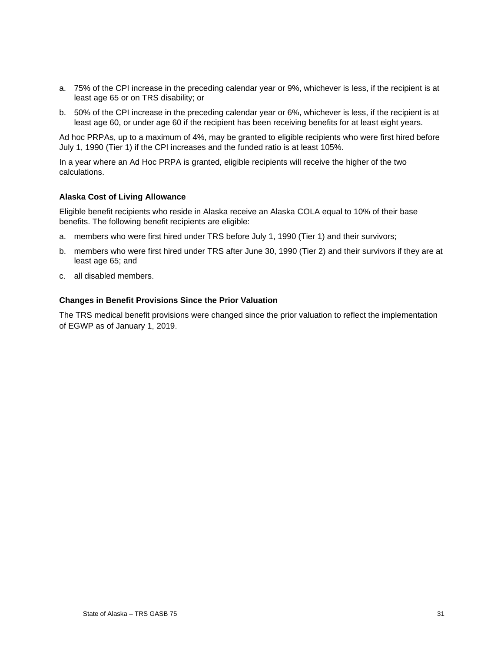- a. 75% of the CPI increase in the preceding calendar year or 9%, whichever is less, if the recipient is at least age 65 or on TRS disability; or
- b. 50% of the CPI increase in the preceding calendar year or 6%, whichever is less, if the recipient is at least age 60, or under age 60 if the recipient has been receiving benefits for at least eight years.

Ad hoc PRPAs, up to a maximum of 4%, may be granted to eligible recipients who were first hired before July 1, 1990 (Tier 1) if the CPI increases and the funded ratio is at least 105%.

In a year where an Ad Hoc PRPA is granted, eligible recipients will receive the higher of the two calculations.

#### **Alaska Cost of Living Allowance**

Eligible benefit recipients who reside in Alaska receive an Alaska COLA equal to 10% of their base benefits. The following benefit recipients are eligible:

- a. members who were first hired under TRS before July 1, 1990 (Tier 1) and their survivors;
- b. members who were first hired under TRS after June 30, 1990 (Tier 2) and their survivors if they are at least age 65; and
- c. all disabled members.

#### **Changes in Benefit Provisions Since the Prior Valuation**

The TRS medical benefit provisions were changed since the prior valuation to reflect the implementation of EGWP as of January 1, 2019.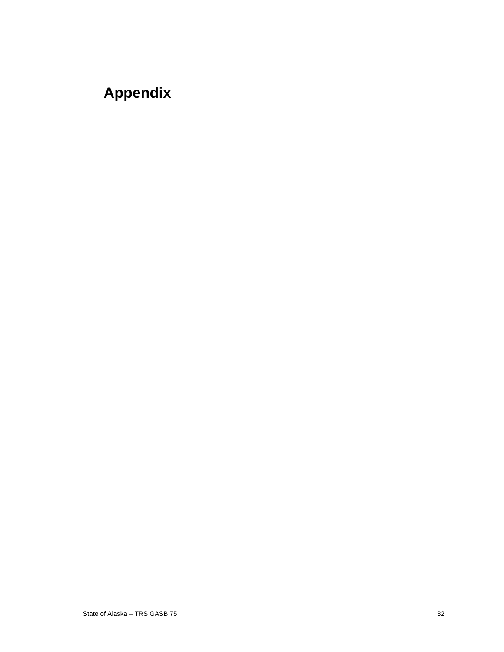## **Appendix**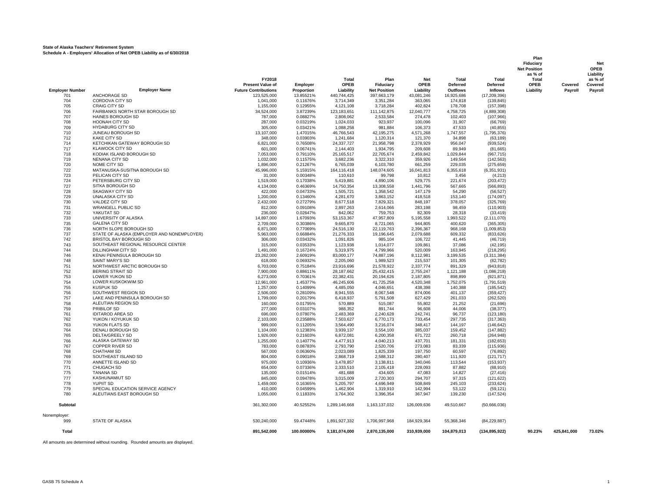#### **State of Alaska Teachers' Retirement System Schedule A - Employers' Allocation of Net OPEB Liability as of 6/30/2018**

|                        |                                                        |                             |                      |                          |                          |                        |                      |                            | Fiduciary<br><b>Net Position</b><br>as % of |             | <b>Net</b><br><b>OPEB</b><br>Liability |
|------------------------|--------------------------------------------------------|-----------------------------|----------------------|--------------------------|--------------------------|------------------------|----------------------|----------------------------|---------------------------------------------|-------------|----------------------------------------|
|                        |                                                        | FY2018                      |                      | Total                    | Plan                     | <b>Net</b>             | Total                | Total                      | Total                                       |             | as % of                                |
|                        |                                                        | <b>Present Value of</b>     | Employer             | OPEB                     | Fiduciary                | OPEB                   | Deferred             | Deferred                   | OPEB                                        | Covered     | Covered                                |
| <b>Employer Number</b> | <b>Employer Name</b>                                   | <b>Future Contributions</b> | Proportion           | Liability                | <b>Net Position</b>      | Liability              | Outflows             | <b>Inflows</b>             | Liability                                   | Payroll     | Payroll                                |
| 701                    | ANCHORAGE SD                                           | 123,525,000                 | 13.85521%            | 440,744,425              | 397,663,179              | 43,081,246             | 16,925,686           | (17, 209, 396)             |                                             |             |                                        |
| 704                    | <b>CORDOVA CITY SD</b>                                 | 1,041,000                   | 0.11676%             | 3,714,349                | 3,351,284                | 363.065                | 174,818              | (139, 845)                 |                                             |             |                                        |
| 705<br>706             | CRAIG CITY SD<br>FAIRBANKS NORTH STAR BOROUGH SD       | 1,155,000<br>34,524,000     | 0.12955%<br>3.87239% | 4,121,108                | 3,718,284                | 402,824<br>12,040,777  | 178,708              | (157, 398)                 |                                             |             |                                        |
| 707                    | HAINES BOROUGH SD                                      | 787.000                     | 0.08827%             | 123,183,651<br>2.808.062 | 111,142,875<br>2.533.584 | 274.478                | 4,758,725<br>102.403 | (4,889,308)<br>(107, 966)  |                                             |             |                                        |
| 708                    | HOONAH CITY SD                                         | 287.000                     | 0.03219%             | 1.024.033                | 923.937                  | 100.096                | 31,907               | (66, 769)                  |                                             |             |                                        |
| 709                    | <b>HYDABURG CITY SD</b>                                | 305,000                     | 0.03421%             | 1,088,258                | 981,884                  | 106,373                | 47,533               | (40, 855)                  |                                             |             |                                        |
| 710                    | JUNEAU BOROUGH SD                                      | 13,107,000                  | 1.47015%             | 46,766,543               | 42,195,275               | 4,571,268              | 1,747,557            | (1,795,376)                |                                             |             |                                        |
| 712                    | <b>KAKE CITY SD</b>                                    | 348,000                     | 0.03903%             | 1.241.684                | 1,120,314                | 121.370                | 34.898               | (63, 189)                  |                                             |             |                                        |
| 714                    | KETCHIKAN GATEWAY BOROUGH SD                           | 6,821,000                   | 0.76508%             | 24.337.727               | 21,958,798               | 2,378,929              | 956,047              | (939, 524)                 |                                             |             |                                        |
| 717                    | <b>KLAWOCK CITY SD</b>                                 | 601,000                     | 0.06741%             | 2,144,403                | 1,934,795                | 209,608                | 89,949               | (81,665)                   |                                             |             |                                        |
| 718<br>719             | KODIAK ISLAND BOROUGH SD                               | 7,053,000                   | 0.79110%             | 25, 165, 517             | 22,705,674               | 2,459,842              | 1,029,844            | (967, 715)                 |                                             |             |                                        |
| 720                    | <b>NENANA CITY SD</b><br>NOME CITY SD                  | 1,032,000<br>1,896,000      | 0.11575%<br>0.21267% | 3,682,236<br>6,765,039   | 3,322,310<br>6,103,780   | 359,926<br>661,259     | 149,564<br>229,035   | (142, 563)<br>(275, 659)   |                                             |             |                                        |
| 722                    | MATANUSKA-SUSITNA BOROUGH SD                           | 45,996,000                  | 5.15915%             | 164,116,418              | 148,074,605              | 16,041,813             | 6,355,618            | (6, 351, 931)              |                                             |             |                                        |
| 723                    | PELICAN CITY SD                                        | 31,000                      | 0.00348%             | 110,610                  | 99,798                   | 10,812                 | 3,456                | (4,213)                    |                                             |             |                                        |
| 724                    | PETERSBURG CITY SD                                     | 1,519,000                   | 0.17038%             | 5,419,881                | 4,890,106                | 529.775                | 221,674              | (203, 472)                 |                                             |             |                                        |
| 727                    | SITKA BOROUGH SD                                       | 4,134,000                   | 0.46369%             | 14,750,354               | 13,308,558               | 1,441,796              | 567,665              | (566, 893)                 |                                             |             |                                        |
| 728                    | <b>SKAGWAY CITY SD</b>                                 | 422.000                     | 0.04733%             | 1,505,721                | 1,358,542                | 147.179                | 54,290               | (56, 527)                  |                                             |             |                                        |
| 729                    | <b>UNALASKA CITY SD</b>                                | 1,200,000                   | 0.13460%             | 4,281,670                | 3,863,152                | 418,518                | 153,140              | (174, 097)                 |                                             |             |                                        |
| 730                    | VALDEZ CITY SD                                         | 2,432,000                   | 0.27279%             | 8,677,518                | 7,829,321                | 848.197                | 378,057              | (325, 769)                 |                                             |             |                                        |
| 731                    | <b>WRANGELL PUBLIC SD</b>                              | 812,000                     | 0.09108%             | 2,897,263                | 2,614,066                | 283,198                | 98,459               | (110, 903)                 |                                             |             |                                        |
| 732<br>733             | YAKUTAT SD<br>UNIVERSITY OF ALASKA                     | 236,000<br>14,897,000       | 0.02647%<br>1.67093% | 842,062<br>53,153,367    | 759.753<br>47,957,809    | 82.309<br>5,195,558    | 28,318<br>1,993,522  | (33, 419)<br>(2, 111, 070) |                                             |             |                                        |
| 735                    | <b>GALENA CITY SD</b>                                  | 2,709,000                   | 0.30386%             | 9,665,870                | 8,721,065                | 944.805                | 400,620              | (365, 305)                 |                                             |             |                                        |
| 736                    | NORTH SLOPE BOROUGH SD                                 | 6,871,000                   | 0.77069%             | 24,516,130               | 22,119,763               | 2,396,367              | 968,168              | (1,009,853)                |                                             |             |                                        |
| 737                    | STATE OF ALASKA (EMPLOYER AND NONEMPLOYER)             | 5,963,000                   | 0.66884%             | 21,276,333               | 19,196,645               | 2.079.688              | 609,332              | (833, 626)                 |                                             |             |                                        |
| 742                    | BRISTOL BAY BOROUGH SD                                 | 306,000                     | 0.03432%             | 1,091,826                | 985,104                  | 106,722                | 41,445               | (46, 719)                  |                                             |             |                                        |
| 743                    | SOUTHEAST REGIONAL RESOURCE CENTER                     | 315,000                     | 0.03533%             | 1,123,938                | 1,014,077                | 109,861                | 37,086               | (42, 195)                  |                                             |             |                                        |
| 744                    | <b>DILLINGHAM CITY SD</b>                              | 1,491,000                   | 0.16724%             | 5,319,975                | 4,799,966                | 520,009                | 163,945              | (218, 295)                 |                                             |             |                                        |
| 746                    | KENAI PENINSULA BOROUGH SD                             | 23,262,000                  | 2.60919%             | 83,000,177               | 74,887,196               | 8,112,981              | 3,199,535            | (3,311,384)                |                                             |             |                                        |
| 748                    | SAINT MARY'S SD                                        | 618,000                     | 0.06932%             | 2,205,060                | 1,989,523                | 215,537                | 101,305              | (82, 782)                  |                                             |             |                                        |
| 751<br>752             | NORTHWEST ARCTIC BOROUGH SD<br><b>BERING STRAIT SD</b> | 6,703,000<br>7,900,000      | 0.75184%<br>0.88611% | 23,916,696<br>28,187,662 | 21,578,922<br>25,432,415 | 2,337,774<br>2,755,247 | 891,329<br>1,121,188 | (943, 818)                 |                                             |             |                                        |
| 753                    | <b>LOWER YUKON SD</b>                                  | 6,273,000                   | 0.70361%             | 22,382,431               | 20,194,626               | 2,187,805              | 898,899              | (1,086,218)<br>(921, 871)  |                                             |             |                                        |
| 754                    | LOWER KUSKOKWIM SD                                     | 12,961,000                  | 1.45377%             | 46,245,606               | 41,725,258               | 4,520,348              | 1,752,075            | (1,791,519)                |                                             |             |                                        |
| 755                    | <b>KUSPUK SD</b>                                       | 1,257,000                   | 0.14099%             | 4,485,050                | 4,046,651                | 438,398                | 140,388              | (185, 542)                 |                                             |             |                                        |
| 756                    | SOUTHWEST REGION SD                                    | 2,506,000                   | 0.28109%             | 8,941,555                | 8,067,548                | 874,006                | 401,137              | (359, 427)                 |                                             |             |                                        |
| 757                    | LAKE AND PENINSULA BOROUGH SD                          | 1,799,000                   | 0.20179%             | 6,418,937                | 5,791,508                | 627,429                | 261,033              | (262, 520)                 |                                             |             |                                        |
| 758                    | ALEUTIAN REGION SD                                     | 160,000                     | 0.01795%             | 570,889                  | 515,087                  | 55,802                 | 21,252               | (21, 696)                  |                                             |             |                                        |
| 759                    | PRIBILOF SD                                            | 277,000                     | 0.03107%             | 988,352                  | 891,744                  | 96,608                 | 44,006               | (38, 377)                  |                                             |             |                                        |
| 761                    | <b>IDITAROD AREA SD</b>                                | 696,000                     | 0.07807%             | 2,483,369                | 2,240,628                | 242,741                | 96,737               | (123, 180)                 |                                             |             |                                        |
| 762<br>763             | YUKON / KOYUKUK SD<br>YUKON FLATS SD                   | 2.103.000<br>999,000        | 0.23588%<br>0.11205% | 7.503.627<br>3.564.490   | 6.770.173<br>3,216,074   | 733.454<br>348.417     | 297.735<br>144.197   | (317.363)<br>(146, 642)    |                                             |             |                                        |
| 764                    | DENALI BOROUGH SD                                      | 1,104,000                   | 0.12383%             | 3,939,137                | 3,554,100                | 385,037                | 159,452              | (147, 882)                 |                                             |             |                                        |
| 765                    | DELTA/GREELY SD                                        | 1,926,000                   | 0.21603%             | 6,872,081                | 6,200,358                | 671,722                | 260,718              | (264, 948)                 |                                             |             |                                        |
| 766                    | ALASKA GATEWAY SD                                      | 1,255,000                   | 0.14077%             | 4.477.913                | 4.040.213                | 437.701                | 181.331              | (182, 653)                 |                                             |             |                                        |
| 767                    | <b>COPPER RIVER SD</b>                                 | 783,000                     | 0.08783%             | 2,793,790                | 2,520,706                | 273.083                | 83,339               | (115,936)                  |                                             |             |                                        |
| 768                    | <b>CHATHAM SD</b>                                      | 567,000                     | 0.06360%             | 2,023,089                | 1,825,339                | 197,750                | 60,597               | (76, 892)                  |                                             |             |                                        |
| 769                    | SOUTHEAST ISLAND SD                                    | 804,000                     | 0.09018%             | 2,868,719                | 2,588,312                | 280,407                | 111,920              | (121, 717)                 |                                             |             |                                        |
| 770                    | ANNETTE ISLAND SD                                      | 975.000                     | 0.10936%             | 3.478.857                | 3.138.811                | 340.046                | 113.544              | (153, 937)                 |                                             |             |                                        |
| 771                    | CHUGACH SD                                             | 654,000                     | 0.07336%             | 2,333,510                | 2,105,418                | 228.093                | 87,882               | (88,910)                   |                                             |             |                                        |
| 775                    | <b>TANANA SD</b><br><b>KASHUNAMIUT SD</b>              | 135,000                     | 0.01514%             | 481,688                  | 434,605                  | 47,083                 | 14,827               | (27, 416)                  |                                             |             |                                        |
| 777<br>778             | YUPIIT SD                                              | 845,000<br>1,459,000        | 0.09478%<br>0.16365% | 3,015,009<br>5,205,797   | 2,720,303<br>4,696,949   | 294,707<br>508.849     | 97,315<br>245.103    | (121, 622)<br>(233, 624)   |                                             |             |                                        |
| 779                    | SPECIAL EDUCATION SERVICE AGENCY                       | 410,000                     | 0.04599%             | 1,462,904                | 1,319,910                | 142.994                | 53,122               | (59, 121)                  |                                             |             |                                        |
| 780                    | ALEUTIANS EAST BOROUGH SD                              | 1,055,000                   | 0.11833%             | 3,764,302                | 3,396,354                | 367,947                | 139,230              | (147, 524)                 |                                             |             |                                        |
| <b>Subtotal</b>        |                                                        | 361,302,000                 | 40.52552%            | 1,289,146,668            | 1,163,137,032            | 126,009,636            | 49,510,667           | (50,666,036)               |                                             |             |                                        |
| Nonemployer:           |                                                        |                             |                      |                          |                          |                        |                      |                            |                                             |             |                                        |
| 999                    | STATE OF ALASKA                                        | 530,240,000                 | 59.47448%            | 1,891,927,332            | 1,706,997,968            | 184,929,364            | 55,368,346           | (84, 229, 887)             |                                             |             |                                        |
| Total                  |                                                        | 891,542,000                 | 100.00000%           | 3,181,074,000            | 2,870,135,000            | 310.939.000            | 104,879,013          | (134, 895, 922)            | 90.23%                                      | 425,841,000 | 73.02%                                 |

All amounts are determined without rounding. Rounded amounts are displayed.

### **Plan**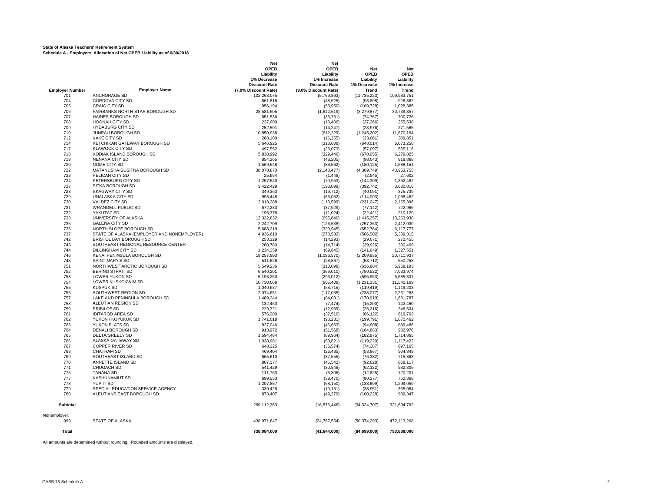#### **State of Alaska Teachers' Retirement System Schedule A - Employers' Allocation of Net OPEB Liability as of 6/30/2018**

**Employer Number Employer Name** 701 ANCHORAGE SD<br>704 CORDOVA CITY S CORDOVA CITY SD 705 CRAIG CITY SD 706 FAIRBANKS NORTH STAR BOROUGH SD 707 HAINES BOROUGH SD<br>708 HOONAH CITY SD 708 HOONAH CITY SD 709 HYDABURG CITY SD<br>710 JUNEAU BOROUGH S 710 JUNEAU BOROUGH SD<br>712 KAKE CITY SD KAKE CITY SD 714 KETCHIKAN GATEWAY BOROUGH SD 717 KLAWOCK CITY SD<br>718 KODIAK ISLAND BOI 718 KODIAK ISLAND BOROUGH SD<br>719 NENANA CITY SD 719 NENANA CITY SD<br>720 NOME CITY SD NOME CITY SD 722 MATANUSKA-SUSITNA BOROUGH SD 723 PELICAN CITY SD 724 PETERSBURG CITY SD 727 SITKA BOROUGH SD<br>728 SKAGWAY CITY SD SKAGWAY CITY SD 729 UNALASKA CITY SD 730 VALDEZ CITY SD 731 WRANGELL PUBLIC SD<br>732 YAKUTAT SD 732 YAKUTAT SD UNIVERSITY OF ALASKA 735 GALENA CITY SD<br>736 NORTH SLOPE BO NORTH SLOPE BOROUGH SD 737 STATE OF ALASKA (EMPLOYER AND NONEMPLOYER)<br>742 BRISTOL BAY BOROUGH SD BRISTOL BAY BOROUGH SD 743 SOUTHEAST REGIONAL RESOURCE CENTER 744 DILLINGHAM CITY SD<br>746 KENAI PENINSULA BC 746 KENAI PENINSULA BOROUGH SD<br>748 SAINT MARY'S SD SAINT MARY'S SD 751 NORTHWEST ARCTIC BOROUGH SD<br>752 BERING STRAIT SD 752 BERING STRAIT SD 753 LOWER YUKON SD 754 LOWER KUSKOKWIM SD **755** KUSPUK SD<br>756 SOUTHWES SOUTHWEST REGION SD 757 LAKE AND PENINSULA BOROUGH SD 758 ALEUTIAN REGION SD<br>759 PRIBILOF SD 759 PRIBILOF SD<br>761 IDITAROD ARI **IDITAROD AREA SD** 762 YUKON / KOYUKUK SD<br>763 YUKON FLATS SD 763 YUKON FLATS SD 764 DENALI BOROUGH SD<br>765 DELTA/GREELY SD 765 DELTA/GREELY SD<br>766 ALASKA GATEWAY 766 ALASKA GATEWAY SD<br>767 COPPER RIVER SD 767 COPPER RIVER SD<br>768 CHATHAM SD CHATHAM SD 769 SOUTHEAST ISLAND SD<br>770 ANNETTE ISLAND SD 770 ANNETTE ISLAND SD 771 CHUGACH SD<br>775 TANANA SD 775 TANANA SD KASHUNAMIUT SD 778 YUPIIT SD 779 SPECIAL EDUCATION SERVICE AGENCY 780 ALEUTIANS EAST BOROUGH SD **Subtotal** Nonemployer:<br>ggg STATE OF ALASKA **Total Net Net OPEB OPEB Net Net Liability Liability OPEB OPEB 1% Decrease 1% Increase Liability Liability Discount Rate Discount Rate 1% Decrease 1% Increase (7.0% Discount Rate) (9.0% Discount Rate) Trend Trend** 109,983,751 (5,769,863) (11,735,223) 109,983,751<br>
861,816 (48,625) (98,898) 926,882 861,816 (48,625) (98,898) 926,882 956,194 (53,950) (109,728) 1,028,385 28,581,505 (1,612,619) (3,279,877) 30,739,357 651,536 (36,761) (74,767) 700,726 237,600 (13,406) (27,266) 255,538 252,501 (14,247) (28,976) 271,565 10,850,938 (612,229) (1,245,202) 11,670,164<br>288,100 (16,255) (33,061) 309,851 288,100 (16,255) (33,061) 309,851 5,646,925 (318,609) (648,014) 6,073,258 497,552 (28,073) (57,097) 535,116 5,838,992 (329,446) (670,055) 6,279,825 854,365 (48,205) (98,043) 918,868 1,569,648 (88,562) (180,125) 1,688,154 38,078,870 (2,148,477) (4,369,749) 40,953,755 25,664 (1,448) (2,945) 27,602 1,257,540 (70,953) (144,309) 1,352,482 3,422,429 (193,099) (392,742) 3,680,816 349,363 (19,712) (40,091) 375,739 993,448 (56,052) (114,003) 1,068,452<br>2,013,388 (113,599) (231,047) 2,165,396 2,013,388 (113,599) (231,047) 2,165,396 672,233 (37,929) (77,142) 722,986 195,378 (11,024) (22,421) 210,129 12,332,832 (695,840) (1,415,257) 13,263,938 2,242,709 (126,538) (257,363) 2,412,030 5,688,319 (320,945) (652,764) 6,117,777 4,936,610 (278,532) (566,502) 5,309,315<br>253,329 (14,293) (29,071) 272,455 253,329 (14,293) (29,071) 272,455 260,780 (14,714) (29,926) 280,469 1,234,359 (69,645) (69,645) (141,649) 1,327,551<br>19,257,993 (1,086,570) (2,209,955) 20,711,937 19,257,993 (1,086,570) (2,209,955) 20,711,937 511,626 (28,867) (58,712) 550,253 5,549,236 (313,098) (636,804) 5,968,193 6,540,201 (369,010) (750,522) 7,033,974 5,193,250 (293,012) (595,953) 5,585,331 0,730,068 (605,409) (1,231,331) 11,540,169<br>1,040,637 (58,715) (119,419) 1,119,203 1,040,637 (58,715) (119,419) 1,119,203<br>2.074.651 (117.055) (238.077) 2.231.283 2,074,651 (117,055) (238,077) 2,231,283 1,489,344 (84,031) (170,910) 1,601,787 132,460 (7,474) (15,200) 142,460 229,321 (12,939) (26,316) 246,634 576,200 (32,510) (66,122) 619,702 1,741,018 (98,231) (199,791) 1,872,462 827,046 (46,663) (94,908) 889,486 913,972 (51,568) (104,883) 982,976 1,594,484 (89,964) (182,975) 1,714,865<br>1,038,981 (58,621) (19,229) 1,117,422 1,038,981 (58,621) (119,229) 1,117,422<br>
648,225 (36,574) (74,387) 697,165 648,225 (36,574) (74,387) 697,165 469,404 (26,485) (53,867) 504,843 665,610 (37,555) (76,382) 715,863 807,177 (45,542) (92,628) 868,117 541,429 (30,548) (62,132) 582,306 111,763 (6,306) (12,825) 120,201 699,553 (39,470) (80,277) 752,368 1,207,867 (68,150) (138,609) 1,299,059 339,428 (19,151) (38,951) 365,054 873,407 (49,279) (100,228) 939,347 299,112,353 (16,876,446) (34,324,707) 321,694,792 438,971,647 (24,767,554) (50,374,293) 472,113,208  **738,084,000 (41,644,000) (84,699,000) 793,808,000**

All amounts are determined without rounding. Rounded amounts are displayed.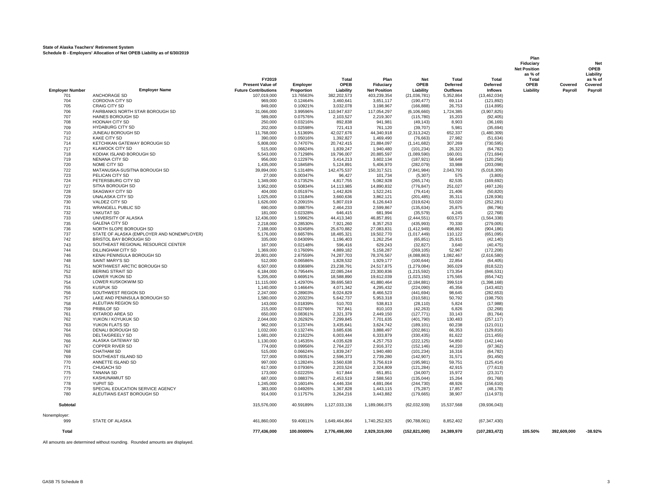#### **State of Alaska Teachers' Retirement System Schedule B - Employers' Allocation of Net OPEB Liability as of 6/30/2019**

|                        |                                                 |                             |                      |                          |                          |                        |                    |                        | <b>Net Position</b> |             | <b>OPEB</b>          |
|------------------------|-------------------------------------------------|-----------------------------|----------------------|--------------------------|--------------------------|------------------------|--------------------|------------------------|---------------------|-------------|----------------------|
|                        |                                                 | FY2019                      |                      | Total                    | Plan                     | <b>Net</b>             | Total              | Total                  | as % of<br>Total    |             | Liability<br>as % of |
|                        |                                                 | <b>Present Value of</b>     | <b>Employer</b>      | <b>OPEB</b>              | Fiduciary                | <b>OPEB</b>            | Deferred           | Deferred               | OPEB                | Covered     | Covered              |
| <b>Employer Number</b> | <b>Employer Name</b>                            | <b>Future Contributions</b> | Proportion           | Liability                | <b>Net Position</b>      | Liability              | Outflows           | <b>Inflows</b>         | Liability           | Payroll     | Payroll              |
| 701                    | ANCHORAGE SD                                    | 107,019,000                 | 13.76563%            | 382,202,573              | 403,239,354              | (21, 036, 781)         | 5,352,864          | (13, 462, 034)         |                     |             |                      |
| 704                    | CORDOVA CITY SD                                 | 969,000                     | 0.12464%             | 3,460,641                | 3,651,117                | (190, 477)             | 69,114             | (121, 892)             |                     |             |                      |
| 705                    | <b>CRAIG CITY SD</b>                            | 849,000                     | 0.10921%             | 3,032,078                | 3,198,967                | (166, 888)             | 26,753             | (114, 895)             |                     |             |                      |
| 706                    | FAIRBANKS NORTH STAR BOROUGH SD                 | 31,066,000                  | 3.99596%             | 110,947,637              | 117,054,297              | (6, 106, 660)          | 1,724,385          | (3,907,825)            |                     |             |                      |
| 707                    | HAINES BOROUGH SD                               | 589,000                     | 0.07576%             | 2,103,527                | 2,219,307                | (115,780)              | 15,203             | (92, 405)              |                     |             |                      |
| 708                    | HOONAH CITY SD                                  | 250,000                     | 0.03216%             | 892,838                  | 941,981                  | (49, 143)              | 8,903              | (36, 169)              |                     |             |                      |
| 709                    | <b>HYDABURG CITY SD</b>                         | 202,000                     | 0.02598%             | 721,413                  | 761,120                  | (39, 707)              | 5,981              | (35,694)               |                     |             |                      |
| 710                    | JUNEAU BOROUGH SD                               | 11,768,000                  | 1.51369%             | 42,027,676               | 44,340,918               | (2,313,242)            | 652,337            | (1,480,309)            |                     |             |                      |
| 712                    | <b>KAKE CITY SD</b>                             | 390,000                     | 0.05016%             | 1,392,827                | 1,469,490                | (76,663)               | 27,982             | (51, 634)              |                     |             |                      |
| 714                    | KETCHIKAN GATEWAY BOROUGH SD                    | 5,808,000                   | 0.74707%             | 20,742,415               | 21,884,097               | (1, 141, 682)          | 307,269            | (730, 595)             |                     |             |                      |
| 717                    | <b>KLAWOCK CITY SD</b>                          | 515,000                     | 0.06624%             | 1,839,247                | 1,940,480                | (101, 234)             | 26,323             | (64, 782)              |                     |             |                      |
| 718                    | KODIAK ISLAND BOROUGH SD                        | 5,543,000                   | 0.71298%             | 19,796,007               | 20,885,597               | (1,089,590)            | 160,001            | (721, 694)             |                     |             |                      |
| 719                    | NENANA CITY SD                                  | 956,000                     | 0.12297%             | 3,414,213                | 3,602,134                | (187, 921)             | 58,649             | (120, 256)             |                     |             |                      |
| 720                    | NOME CITY SD                                    | 1,435,000                   | 0.18458%             | 5,124,891                | 5,406,970                | (282, 079)             | 33,988             | (203, 098)             |                     |             |                      |
| 722                    | MATANUSKA-SUSITNA BOROUGH SD                    | 39,894,000                  | 5.13148%             | 142,475,537              | 150,317,521              | (7,841,984)            | 2,043,793          | (5,018,309)            |                     |             |                      |
| 723                    | PELICAN CITY SD                                 | 27,000                      | 0.00347%             | 96,427                   | 101,734                  | (5,307)                | 575                | (3,805)                |                     |             |                      |
| 724                    | PETERSBURG CITY SD                              | 1,349,000                   | 0.17352%             | 4,817,755                | 5,082,928                | (265, 174)             | 82,535             | (169, 692)             |                     |             |                      |
| 727                    | SITKA BOROUGH SD                                | 3,952,000                   | 0.50834%             | 14,113,985               | 14,890,832               | (776, 847)             | 251,027            | (497, 126)             |                     |             |                      |
| 728                    | <b>SKAGWAY CITY SD</b>                          | 404,000                     | 0.05197%             | 1,442,826                | 1,522,241                | (79, 414)              | 21,406             | (50, 820)              |                     |             |                      |
| 729                    | <b>UNALASKA CITY SD</b>                         | 1,025,000                   | 0.13184%             | 3,660,636                | 3,862,121                | (201, 485)             | 35,311             | (128, 936)             |                     |             |                      |
| 730                    | VALDEZ CITY SD                                  | 1,626,000                   | 0.20915%             | 5,807,019                | 6,126,643                | (319, 624)             | 53,020             | (252, 281)             |                     |             |                      |
| 731                    | <b>WRANGELL PUBLIC SD</b>                       | 690,000                     | 0.08875%             | 2,464,233                | 2,599,867                | (135, 634)             | 25,875             | (86, 796)              |                     |             |                      |
| 732                    | YAKUTAT SD                                      | 181.000                     | 0.02328%             | 646,415                  | 681.994                  | (35, 579)              | 4,245              | (22, 768)              |                     |             |                      |
| 733                    | UNIVERSITY OF ALASKA                            | 12,436,000                  | 1.59962%             | 44,413,340               | 46,857,891               | (2,444,551)            | 603,573            | (1,564,338)            |                     |             |                      |
| 735<br>736             | <b>GALENA CITY SD</b><br>NORTH SLOPE BOROUGH SD | 2,218,000                   | 0.28530%             | 7,921,260                | 8,357,253                | (435,993)              | 70,330             | (279,005)              |                     |             |                      |
| 737                    | STATE OF ALASKA (EMPLOYER AND NONEMPLOYER)      | 7,188,000<br>5,176,000      | 0.92458%             | 25,670,882<br>18,485,321 | 27,083,831<br>19,502,770 | (1,412,949)            | 498.863<br>110,122 | (904, 186)             |                     |             |                      |
| 742                    | BRISTOL BAY BOROUGH SD                          | 335,000                     | 0.66578%<br>0.04309% | 1,196,403                | 1,262,254                | (1,017,449)            | 25,915             | (651,095)              |                     |             |                      |
| 743                    | SOUTHEAST REGIONAL RESOURCE CENTER              | 167,000                     | 0.02148%             | 596.416                  | 629.243                  | (65, 851)<br>(32, 827) | 3,640              | (42, 140)<br>(40, 475) |                     |             |                      |
| 744                    | <b>DILLINGHAM CITY SD</b>                       | 1,369,000                   | 0.17609%             | 4,889,182                | 5,158,287                | (269, 105)             | 52,967             | (172, 208)             |                     |             |                      |
| 746                    | KENAI PENINSULA BOROUGH SD                      | 20,801,000                  | 2.67559%             | 74,287,703               | 78,376,567               | (4,088,863)            | 1,082,467          | (2,616,580)            |                     |             |                      |
| 748                    | SAINT MARY'S SD                                 | 512,000                     | 0.06586%             | 1,828,532                | 1,929,177                | (100, 644)             | 22,854             | (64, 405)              |                     |             |                      |
| 751                    | NORTHWEST ARCTIC BOROUGH SD                     | 6,507,000                   | 0.83698%             | 23,238,791               | 24,517,875               | (1, 279, 084)          | 365,029            | (818, 522)             |                     |             |                      |
| 752                    | <b>BERING STRAIT SD</b>                         | 6,184,000                   | 0.79544%             | 22,085,244               | 23,300,836               | (1, 215, 592)          | 173,354            | (846, 531)             |                     |             |                      |
| 753                    | LOWER YUKON SD                                  | 5,205,000                   | 0.66951%             | 18,588,890               | 19,612,039               | (1,023,150)            | 175,565            | (654, 742)             |                     |             |                      |
| 754                    | <b>LOWER KUSKOKWIM SD</b>                       | 11,115,000                  | 1.42970%             | 39,695,583               | 41,880,464               | (2, 184, 881)          | 399,519            | (1,398,168)            |                     |             |                      |
| 755                    | <b>KUSPUK SD</b>                                | 1,140,000                   | 0.14664%             | 4,071,342                | 4,295,432                | (224,090)              | 45,356             | (143, 402)             |                     |             |                      |
| 756                    | SOUTHWEST REGION SD                             | 2,247,000                   | 0.28903%             | 8,024,829                | 8,466,523                | (441, 694)             | 98,645             | (282, 653)             |                     |             |                      |
| 757                    | LAKE AND PENINSULA BOROUGH SD                   | 1,580,000                   | 0.20323%             | 5,642,737                | 5,953,318                | (310, 581)             | 50,792             | (198, 750)             |                     |             |                      |
| 758                    | ALEUTIAN REGION SD                              | 143,000                     | 0.01839%             | 510,703                  | 538,813                  | (28, 110)              | 5,824              | (17,988)               |                     |             |                      |
| 759                    | <b>PRIBILOF SD</b>                              | 215,000                     | 0.02766%             | 767,841                  | 810,103                  | (42, 263)              | 6,826              | (32, 268)              |                     |             |                      |
| 761                    | <b>IDITAROD AREA SD</b>                         | 650,000                     | 0.08361%             | 2.321.379                | 2.449.150                | (127, 771)             | 33.143             | (81, 764)              |                     |             |                      |
| 762                    | YUKON / KOYUKUK SD                              | 2,044,000                   | 0.26292%             | 7,299,845                | 7,701,635                | (401,790)              | 130,483            | (257, 117)             |                     |             |                      |
| 763                    | YUKON FLATS SD                                  | 962,000                     | 0.12374%             | 3,435,641                | 3,624,742                | (189, 101)             | 60,238             | (121, 011)             |                     |             |                      |
| 764                    | <b>DENALI BOROUGH SD</b>                        | 1.032.000                   | 0.13274%             | 3.685.636                | 3.888.497                | (202.861)              | 66.353             | (129, 816)             |                     |             |                      |
| 765                    | <b>DELTA/GREELY SD</b>                          | 1,681,000                   | 0.21622%             | 6,003,444                | 6,333,879                | (330, 435)             | 81,622             | (211, 455)             |                     |             |                      |
| 766                    | ALASKA GATEWAY SD                               | 1,130,000                   | 0.14535%             | 4,035,628                | 4,257,753                | (222, 125)             | 54,850             | (142, 144)             |                     |             |                      |
| 767                    | <b>COPPER RIVER SD</b>                          | 774.000                     | 0.09956%             | 2,764,227                | 2.916.372                | (152.146)              | 44.220             | (97, 362)              |                     |             |                      |
| 768                    | <b>CHATHAM SD</b>                               | 515,000                     | 0.06624%             | 1,839,247                | 1,940,480                | (101, 234)             | 16,316             | (64, 782)              |                     |             |                      |
| 769                    | SOUTHEAST ISLAND SD                             | 727,000                     | 0.09351%             | 2,596,373                | 2,739,280                | (142, 907)             | 31,571             | (91, 450)              |                     |             |                      |
| 770                    | ANNETTE ISLAND SD                               | 997.000                     | 0.12824%             | 3,560,638                | 3.756.619                | (195, 981)             | 59.751             | (125, 414)             |                     |             |                      |
| 771                    | CHUGACH SD                                      | 617,000                     | 0.07936%             | 2,203,524                | 2,324,809                | (121, 284)             | 42,915             | (77, 613)              |                     |             |                      |
| 775                    | <b>TANANA SD</b>                                | 173,000                     | 0.02225%             | 617,844                  | 651,851                  | (34,007)               | 15,972             | (23, 317)              |                     |             |                      |
| 777                    | <b>KASHUNAMIUT SD</b>                           | 687.000                     | 0.08837%             | 2.453.519                | 2.588.563                | (135.044)              | 15.264             | (91.768)               |                     |             |                      |
| 778                    | YUPIIT SD                                       | 1,245,000                   | 0.16014%             | 4,446,334                | 4.691.064                | (244, 730)             | 48,926             | (156, 610)             |                     |             |                      |
| 779                    | SPECIAL EDUCATION SERVICE AGENCY                | 383,000                     | 0.04926%             | 1,367,828                | 1,443,115                | (75, 287)              | 17,857             | (48, 178)              |                     |             |                      |
| 780                    | ALEUTIANS EAST BOROUGH SD                       | 914.000                     | 0.11757%             | 3.264.216                | 3,443,882                | (179, 665)             | 38.907             | (114, 973)             |                     |             |                      |
| Subtotal               |                                                 | 315,576,000                 | 40.59189%            | 1,127,033,136            | 1,189,066,075            | (62,032,939)           | 15,537,568         | (39,936,043)           |                     |             |                      |
| Nonemployer:           |                                                 |                             |                      |                          |                          |                        |                    |                        |                     |             |                      |
| 999                    | <b>STATE OF ALASKA</b>                          | 461,860,000                 | 59.40811%            | 1,649,464,864            | 1,740,252,925            | (90,788,061)           | 8,852,402          | (67, 347, 430)         |                     |             |                      |
| Total                  |                                                 | 777.436.000                 | 100.00000%           | 2.776.498.000            | 2.929.319.000            | (152.821.000)          | 24.389.970         | (107, 283, 472)        | 105.50%             | 392.609.000 | $-38.92%$            |

All amounts are determined without rounding. Rounded amounts are displayed.

**Fiduciary Net**

**Plan**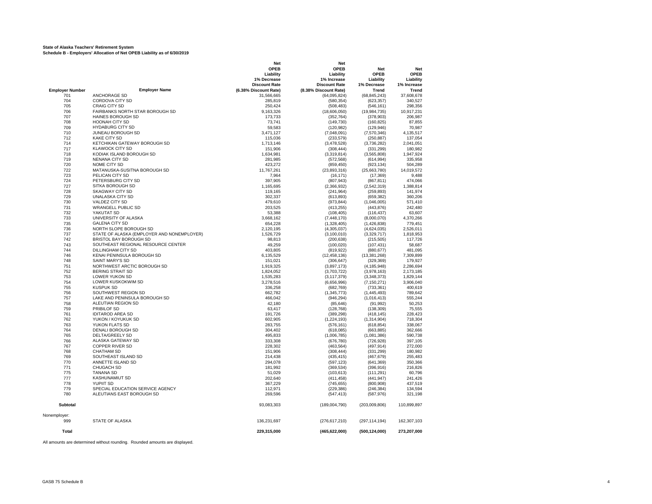#### **State of Alaska Teachers' Retirement System Schedule B - Employers' Allocation of Net OPEB Liability as of 6/30/2019**

|                        |                                            | Net                   | Net                   |                 |             |
|------------------------|--------------------------------------------|-----------------------|-----------------------|-----------------|-------------|
|                        |                                            | <b>OPEB</b>           | OPEB                  | Net             | Net         |
|                        |                                            | Liability             | Liability             | <b>OPEB</b>     | <b>OPEB</b> |
|                        |                                            | 1% Decrease           | 1% Increase           | Liability       | Liability   |
|                        |                                            | <b>Discount Rate</b>  | <b>Discount Rate</b>  | 1% Decrease     | 1% Increase |
| <b>Employer Number</b> | <b>Employer Name</b>                       | (6.38% Discount Rate) | (8.38% Discount Rate) | Trend           | Trend       |
| 701                    | <b>ANCHORAGE SD</b>                        | 31,566,665            | (64,095,824)          | (68, 845, 243)  | 37,608,678  |
| 704                    | <b>CORDOVA CITY SD</b>                     | 285,819               | (580, 354)            | (623, 357)      | 340,527     |
| 705                    | CRAIG CITY SD                              | 250,424               | (508, 483)            | (546, 161)      | 298,356     |
| 706                    | FAIRBANKS NORTH STAR BOROUGH SD            | 9,163,326             | (18,606,050)          | (19,984,735)    | 10,917,231  |
| 707                    | <b>HAINES BOROUGH SD</b>                   | 173,733               | (352, 764)            | (378, 903)      | 206,987     |
| 708                    | <b>HOONAH CITY SD</b>                      | 73.741                | (149, 730)            | (160, 825)      | 87.855      |
| 709                    | <b>HYDABURG CITY SD</b>                    | 59,583                | (120, 982)            | (129, 946)      | 70,987      |
| 710                    | JUNEAU BOROUGH SD                          | 3,471,127             | (7,048,091)           | (7,570,346)     | 4,135,517   |
| 712                    | <b>KAKE CITY SD</b>                        | 115,036               | (233, 579)            | (250, 887)      | 137,054     |
| 714                    | KETCHIKAN GATEWAY BOROUGH SD               | 1.713.146             | (3,478,528)           | (3,736,282)     | 2.041.051   |
| 717                    | <b>KLAWOCK CITY SD</b>                     | 151,906               | (308, 444)            | (331, 299)      | 180,982     |
| 718                    | KODIAK ISLAND BOROUGH SD                   | 1,634,981             | (3,319,814)           | (3,565,808)     | 1,947,924   |
| 719                    | <b>NENANA CITY SD</b>                      | 281,985               | (572, 568)            | (614, 994)      | 335,958     |
| 720                    | NOME CITY SD                               | 423,272               | (859, 450)            | (923, 134)      | 504,289     |
| 722                    | MATANUSKA-SUSITNA BOROUGH SD               | 11,767,261            | (23, 893, 316)        | (25,663,780)    | 14,019,572  |
| 723                    | PELICAN CITY SD                            | 7,964                 | (16, 171)             | (17, 369)       | 9,488       |
| 724                    | PETERSBURG CITY SD                         | 397,905               | (807, 943)            | (867, 811)      | 474,066     |
| 727                    | SITKA BOROUGH SD                           | 1,165,695             | (2,366,932)           | (2,542,319)     | 1,388,814   |
| 728                    | <b>SKAGWAY CITY SD</b>                     | 119,165               | (241, 964)            | (259, 893)      | 141,974     |
| 729                    | UNALASKA CITY SD                           | 302,337               | (613, 893)            | (659, 382)      | 360,206     |
| 730                    | VALDEZ CITY SD                             | 479,610               | (973, 844)            | (1,046,005)     | 571,410     |
| 731                    | <b>WRANGELL PUBLIC SD</b>                  | 203.525               | (413, 255)            | (443, 876)      | 242.480     |
| 732                    | YAKUTAT SD                                 | 53,388                | (108, 405)            | (116, 437)      | 63,607      |
| 733                    | UNIVERSITY OF ALASKA                       |                       |                       |                 |             |
| 735                    |                                            | 3,668,162             | (7, 448, 170)         | (8,000,070)     | 4,370,266   |
|                        | <b>GALENA CITY SD</b>                      | 654,228               | (1,328,405)           | (1,426,838)     | 779,451     |
| 736                    | NORTH SLOPE BOROUGH SD                     | 2.120.195             | (4,305,037)           | (4,624,035)     | 2.526.011   |
| 737                    | STATE OF ALASKA (EMPLOYER AND NONEMPLOYER) | 1,526,729             | (3, 100, 010)         | (3,329,717)     | 1,818,953   |
| 742                    | BRISTOL BAY BOROUGH SD                     | 98,813                | (200, 638)            | (215, 505)      | 117,726     |
| 743                    | SOUTHEAST REGIONAL RESOURCE CENTER         | 49,259                | (100, 020)            | (107, 431)      | 58,687      |
| 744                    | DILLINGHAM CITY SD                         | 403,805               | (819, 922)            | (880, 677)      | 481,095     |
| 746                    | KENAI PENINSULA BOROUGH SD                 | 6,135,529             | (12, 458, 136)        | (13, 381, 268)  | 7,309,899   |
| 748                    | <b>SAINT MARY'S SD</b>                     | 151,021               | (306, 647)            | (329, 369)      | 179,927     |
| 751                    | NORTHWEST ARCTIC BOROUGH SD                | 1,919,325             | (3,897,173)           | (4, 185, 948)   | 2,286,694   |
| 752                    | <b>BERING STRAIT SD</b>                    | 1,824,052             | (3,703,722)           | (3,978,163)     | 2,173,185   |
| 753                    | <b>LOWER YUKON SD</b>                      | 1,535,283             | (3, 117, 379)         | (3,348,373)     | 1,829,144   |
| 754                    | LOWER KUSKOKWIM SD                         | 3,278,516             | (6,656,996)           | (7, 150, 271)   | 3,906,040   |
| 755                    | <b>KUSPUK SD</b>                           | 336,258               | (682, 769)            | (733, 361)      | 400,619     |
| 756                    | SOUTHWEST REGION SD                        | 662,782               | (1, 345, 773)         | (1, 445, 493)   | 789,642     |
| 757                    | LAKE AND PENINSULA BOROUGH SD              | 466.042               | (946, 294)            | (1,016,413)     | 555.244     |
| 758                    | ALEUTIAN REGION SD                         | 42,180                | (85, 646)             | (91, 992)       | 50,253      |
| 759                    | PRIBILOF SD                                | 63,417                | (128, 768)            | (138, 309)      | 75,555      |
| 761                    | <b>IDITAROD AREA SD</b>                    | 191,726               | (389, 298)            | (418, 145)      | 228,423     |
| 762                    | YUKON / KOYUKUK SD                         | 602,905               | (1, 224, 193)         | (1,314,904)     | 718,304     |
| 763                    | YUKON FLATS SD                             | 283,755               | (576, 161)            | (618, 854)      | 338,067     |
| 764                    | DENALI BOROUGH SD                          | 304,402               | (618, 085)            | (663, 885)      | 362,666     |
| 765                    | <b>DELTA/GREELY SD</b>                     | 495,833               | (1,006,785)           | (1,081,386)     | 590,738     |
| 766                    | ALASKA GATEWAY SD                          | 333,308               | (676, 780)            | (726, 928)      | 397,105     |
| 767                    | <b>COPPER RIVER SD</b>                     | 228,302               | (463, 564)            | (497, 914)      | 272,000     |
| 768                    | <b>CHATHAM SD</b>                          | 151,906               | (308, 444)            | (331, 299)      | 180,982     |
| 769                    | SOUTHEAST ISLAND SD                        | 214,438               | (435, 415)            | (467, 679)      | 255,483     |
| 770                    | ANNETTE ISLAND SD                          | 294.078               | (597, 123)            | (641, 369)      | 350.366     |
| 771                    | CHUGACH SD                                 | 181,992               | (369, 534)            | (396, 916)      | 216,826     |
| 775                    | <b>TANANA SD</b>                           | 51,029                | (103, 613)            | (111, 291)      | 60,796      |
| 777                    | <b>KASHUNAMIUT SD</b>                      | 202,640               | (411, 458)            | (441, 947)      | 241,426     |
| 778                    | <b>YUPIIT SD</b>                           | 367.229               | (745, 655)            | (800.908)       | 437.519     |
| 779                    | SPECIAL EDUCATION SERVICE AGENCY           | 112,971               | (229, 386)            | (246, 384)      | 134,594     |
|                        | ALEUTIANS EAST BOROUGH SD                  |                       |                       |                 |             |
| 780                    |                                            | 269,596               | (547, 413)            | (587, 976)      | 321,198     |
| <b>Subtotal</b>        |                                            | 93,083,303            | (189,004,790)         | (203,009,806)   | 110,899,897 |
|                        |                                            |                       |                       |                 |             |
| Nonemployer:           |                                            |                       |                       |                 |             |
| 999                    | STATE OF ALASKA                            | 136,231,697           | (276, 617, 210)       | (297, 114, 194) | 162,307,103 |
| <b>Total</b>           |                                            | 229,315,000           | (465, 622, 000)       | (500, 124, 000) | 273,207,000 |

All amounts are determined without rounding. Rounded amounts are displayed.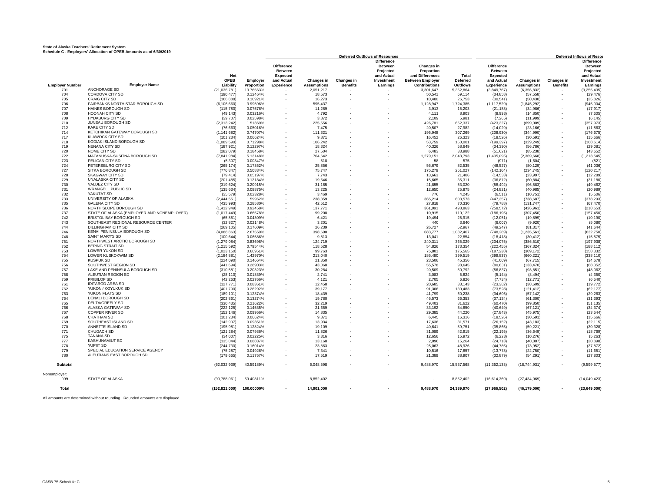#### **State of Alaska Teachers' Retirement System Schedule C - Employers' Allocation of OPEB Amounts as of 6/30/2019**

|                        |                                                         |                             |                      |                               |                    |                   | <b>Deferred Outflows of Resources</b>            |                                            |                     |                                     |                            |                          | <b>Deferred Inflows of Resor</b>                 |
|------------------------|---------------------------------------------------------|-----------------------------|----------------------|-------------------------------|--------------------|-------------------|--------------------------------------------------|--------------------------------------------|---------------------|-------------------------------------|----------------------------|--------------------------|--------------------------------------------------|
|                        |                                                         | <b>Net</b>                  |                      | <b>Difference</b><br>Between  |                    |                   | <b>Difference</b><br><b>Between</b><br>Projected | Changes in<br>Proportion                   | <b>Total</b>        | <b>Difference</b><br><b>Between</b> |                            |                          | <b>Difference</b><br><b>Between</b><br>Projected |
|                        |                                                         | <b>OPEB</b>                 | Employer             | <b>Expected</b><br>and Actual | Changes in         | <b>Changes in</b> | and Actual<br>Investment                         | and Differences<br><b>Between Employer</b> | Deferred            | <b>Expected</b><br>and Actual       | Changes in                 | Changes in               | and Actual<br>Investment                         |
| <b>Employer Number</b> | <b>Employer Name</b>                                    | Liability                   | Proportion           | <b>Experience</b>             | <b>Assumptions</b> | <b>Benefits</b>   | Earnings                                         | <b>Contributions</b>                       | <b>Outflows</b>     | <b>Experience</b>                   | <b>Assumptions</b>         | <b>Benefits</b>          | Earnings                                         |
| 701                    | ANCHORAGE SD                                            | (21,036,781)                | 13.76563%            |                               | 2,051,217          |                   |                                                  | 3,301,647                                  | 5,352,864           | (3,849,767)                         | (6,356,832)                | $\sim$                   | (3, 255, 435)                                    |
| 704                    | <b>CORDOVA CITY SD</b>                                  | (190, 477)                  | 0.12464%             |                               | 18,573             |                   |                                                  | 50,541                                     | 69,114              | (34, 858)                           | (57, 558)                  | $\sim$                   | (29, 476)                                        |
| 705<br>706             | <b>CRAIG CITY SD</b><br>FAIRBANKS NORTH STAR BOROUGH SD | (166, 888)                  | 0.10921%<br>3.99596% |                               | 16,273             |                   |                                                  | 10,480                                     | 26,753              | (30, 541)                           | (50, 430)                  | $\sim$                   | (25, 826)                                        |
| 707                    | HAINES BOROUGH SD                                       | (6, 106, 660)<br>(115,780)  | 0.07576%             |                               | 595,437<br>11,289  |                   |                                                  | 1,128,947<br>3,913                         | 1,724,385<br>15,203 | (1, 117, 529)<br>(21, 188)          | (1, 845, 292)<br>(34,986)  |                          | (945,004)<br>(17, 917)                           |
| 708                    | HOONAH CITY SD                                          | (49, 143)                   | 0.03216%             |                               | 4,792              |                   |                                                  | 4.111                                      | 8.903               | (8.993)                             | (14, 850)                  |                          | (7,605)                                          |
| 709                    | <b>HYDABURG CITY SD</b>                                 | (39.707)                    | 0.02598%             |                               | 3.872              |                   |                                                  | 2.109                                      | 5.981               | (7, 266)                            | (11, 999)                  |                          | (6.145)                                          |
| 710                    | JUNEAU BOROUGH SD                                       | (2,313,242)                 | 1.51369%             |                               | 225,556            |                   |                                                  | 426,781                                    | 652,337             | (423, 327)                          | (699,009)                  |                          | (357, 973)                                       |
| 712                    | <b>KAKE CITY SD</b><br>KETCHIKAN GATEWAY BOROUGH SD     | (76, 663)                   | 0.05016%             |                               | 7,475              |                   |                                                  | 20,507                                     | 27,982              | (14, 029)                           | (23, 166)                  |                          | (11, 863)                                        |
| 714<br>717             | <b>KLAWOCK CITY SD</b>                                  | (1, 141, 682)<br>(101, 234) | 0.74707%<br>0.06624% |                               | 111,321<br>9,871   |                   |                                                  | 195,948<br>16.452                          | 307,269<br>26,323   | (208, 930)<br>(18, 526)             | (344,990)<br>(30, 591)     |                          | (176, 675)<br>(15,666)                           |
| 718                    | KODIAK ISLAND BOROUGH SD                                | (1,089,590)                 | 0.71298%             |                               | 106.242            |                   |                                                  | 53.759                                     | 160.001             | (199, 397)                          | (329.249)                  |                          | (168, 614)                                       |
| 719                    | <b>NENANA CITY SD</b>                                   | (187, 921)                  | 0.12297%             |                               | 18.324             |                   |                                                  | 40.326                                     | 58,649              | (34, 390)                           | (56, 786)                  |                          | (29, 081)                                        |
| 720                    | NOME CITY SD                                            | (282, 079)                  | 0.18458%             |                               | 27,504             |                   |                                                  | 6.483                                      | 33,988              | (51, 621)                           | (85, 238)                  |                          | (43, 652)                                        |
| 722                    | MATANUSKA-SUSITNA BOROUGH SD<br>PELICAN CITY SD         | (7, 841, 984)               | 5.13148%             |                               | 764,642            |                   |                                                  | 1,279,151<br>58                            | 2,043,793           | (1,435,096)                         | (2,369,668)                |                          | (1, 213, 545)                                    |
| 723<br>724             | PETERSBURG CITY SD                                      | (5, 307)<br>(265, 174)      | 0.00347%<br>0.17352% |                               | 518<br>25,856      |                   |                                                  | 56,679                                     | 575<br>82,535       | (971)<br>(48, 527)                  | (1,604)<br>(80, 129)       |                          | (821)<br>(41, 036)                               |
| 727                    | SITKA BOROUGH SD                                        | (776.847)                   | 0.50834%             |                               | 75.747             |                   |                                                  | 175.279                                    | 251.027             | (142.164)                           | (234.745)                  |                          | (120.217)                                        |
| 728                    | <b>SKAGWAY CITY SD</b>                                  | (79, 414)                   | 0.05197%             |                               | 7.743              |                   |                                                  | 13.663                                     | 21,406              | (14, 533)                           | (23,997)                   |                          | (12, 289)                                        |
| 729                    | <b>UNALASKA CITY SD</b>                                 | (201, 485)                  | 0.13184%             |                               | 19,646             |                   |                                                  | 15,665                                     | 35,311              | (36, 872)                           | (60, 884)                  |                          | (31, 180)                                        |
| 730                    | VALDEZ CITY SD                                          | (319, 624)                  | 0.20915%             |                               | 31,165             |                   |                                                  | 21,855                                     | 53,020              | (58, 492)                           | (96, 583)                  |                          | (49, 462)                                        |
| 731                    | <b>WRANGELL PUBLIC SD</b>                               | (135, 634)                  | 0.08875%             |                               | 13,225             |                   |                                                  | 12,650                                     | 25,875              | (24, 821)                           | (40, 985)                  |                          | (20, 989)                                        |
| 732                    | YAKUTAT SD<br>UNIVERSITY OF ALASKA                      | (35, 579)                   | 0.02328%             |                               | 3,469              |                   |                                                  | 776                                        | 4.245               | (6, 511)                            | (10, 751)                  |                          | (5,506)                                          |
| 733<br>735             | <b>GALENA CITY SD</b>                                   | (2, 444, 551)<br>(435, 993) | 1.59962%<br>0.28530% |                               | 238,359<br>42,512  |                   |                                                  | 365,214<br>27,818                          | 603,573<br>70,330   | (447, 357)<br>(79, 788)             | (738,687)<br>(131, 747)    |                          | (378, 293)<br>(67, 470)                          |
| 736                    | NORTH SLOPE BOROUGH SD                                  | (1,412,949)                 | 0.92458%             |                               | 137.771            |                   |                                                  | 361.091                                    | 498.863             | (258, 572)                          | (426, 961)                 |                          | (218, 653)                                       |
| 737                    | STATE OF ALASKA (EMPLOYER AND NONEMPLOYER)              | (1,017,449)                 | 0.66578%             |                               | 99,208             |                   |                                                  | 10,915                                     | 110,122             | (186, 195)                          | (307, 450)                 |                          | (157, 450)                                       |
| 742                    | BRISTOL BAY BOROUGH SD                                  | (65, 851)                   | 0.04309%             |                               | 6,421              |                   |                                                  | 19,494                                     | 25,915              | (12,051)                            | (19, 899)                  |                          | (10, 190)                                        |
| 743                    | SOUTHEAST REGIONAL RESOURCE CENTER                      | (32, 827)                   | 0.02148%             |                               | 3.201              |                   |                                                  | 440                                        | 3,640               | (6,007)                             | (9,920)                    |                          | (5,080)                                          |
| 744                    | <b>DILLINGHAM CITY SD</b>                               | (269, 105)                  | 0.17609%             |                               | 26,239             |                   |                                                  | 26,727                                     | 52,967              | (49, 247)                           | (81, 317)                  |                          | (41, 644)                                        |
| 746<br>748             | KENAI PENINSULA BOROUGH SD<br>SAINT MARY'S SD           | (4,088,863)<br>(100, 644)   | 2.67559%<br>0.06586% |                               | 398,690<br>9,813   |                   |                                                  | 683.777<br>13,041                          | 1,082,467<br>22,854 | (748, 269)<br>(18, 418)             | (1, 235, 561)<br>(30, 412) |                          | (632, 750)<br>(15, 575)                          |
| 751                    | NORTHWEST ARCTIC BOROUGH SD                             | (1,279,084)                 | 0.83698%             |                               | 124,719            |                   |                                                  | 240,311                                    | 365,029             | (234, 075)                          | (386, 510)                 |                          | (197, 938)                                       |
| 752                    | <b>BERING STRAIT SD</b>                                 | (1,215,592)                 | 0.79544%             |                               | 118,528            |                   |                                                  | 54,826                                     | 173,354             | (222, 455)                          | (367, 324)                 |                          | (188, 112)                                       |
| 753                    | LOWER YUKON SD                                          | (1,023,150)                 | 0.66951%             |                               | 99,763             |                   |                                                  | 75,801                                     | 175,565             | (187, 238)                          | (309, 172)                 |                          | (158, 332)                                       |
| 754                    | LOWER KUSKOKWIM SD                                      | (2, 184, 881)               | 1.42970%             |                               | 213,040            |                   |                                                  | 186,480                                    | 399,519             | (399, 837)                          | (660, 221)                 |                          | (338, 110)                                       |
| 755                    | <b>KUSPUK SD</b>                                        | (224.090)                   | 0.14664%             |                               | 21.850             |                   |                                                  | 23,506                                     | 45.356              | (41.009)                            | (67.715)                   |                          | (34.678)                                         |
| 756<br>757             | SOUTHWEST REGION SD<br>LAKE AND PENINSULA BOROUGH SD    | (441, 694)<br>(310, 581)    | 0.28903%<br>0.20323% |                               | 43.068<br>30,284   |                   |                                                  | 55,578<br>20,509                           | 98.645<br>50,792    | (80, 831)<br>(56, 837)              | (133, 470)<br>(93, 851)    |                          | (68, 352)<br>(48,062)                            |
| 758                    | ALEUTIAN REGION SD                                      | (28, 110)                   | 0.01839%             |                               | 2.741              |                   |                                                  | 3,083                                      | 5,824               | (5, 144)                            | (8, 494)                   |                          | (4, 350)                                         |
| 759                    | PRIBILOF SD                                             | (42, 263)                   | 0.02766%             |                               | 4,121              |                   |                                                  | 2,705                                      | 6,826               | (7, 734)                            | (12, 771)                  |                          | (6, 540)                                         |
| 761                    | <b>IDITAROD AREA SD</b>                                 | (127, 771)                  | 0.08361%             |                               | 12,458             |                   |                                                  | 20,685                                     | 33,143              | (23, 382)                           | (38, 609)                  |                          | (19, 772)                                        |
| 762                    | YUKON / KOYUKUK SD                                      | (401,790)                   | 0.26292%             |                               | 39,177             |                   |                                                  | 91,306                                     | 130,483             | (73, 528)                           | (121, 412)                 |                          | (62, 177)                                        |
| 763                    | YUKON FLATS SD                                          | (189, 101)                  | 0.12374%             |                               | 18.439             |                   |                                                  | 41.799                                     | 60.238              | (34.606)                            | (57, 142)                  |                          | (29, 263)                                        |
| 764<br>765             | <b>DENALI BOROUGH SD</b><br>DELTA/GREELY SD             | (202, 861)<br>(330, 435)    | 0.13274%<br>0.21622% |                               | 19,780<br>32,219   |                   |                                                  | 46,573<br>49,403                           | 66,353<br>81,622    | (37, 124)<br>(60, 470)              | (61, 300)<br>(99, 850)     |                          | (31, 393)<br>(51, 135)                           |
| 766                    | ALASKA GATEWAY SD                                       | (222, 125)                  | 0.14535%             |                               | 21,659             |                   |                                                  | 33,192                                     | 54,850              | (40, 649)                           | (67, 121)                  |                          | (34, 374)                                        |
| 767                    | <b>COPPER RIVER SD</b>                                  | (152, 146)                  | 0.09956%             |                               | 14,835             |                   |                                                  | 29.385                                     | 44,220              | (27, 843)                           | (45, 975)                  |                          | (23, 544)                                        |
| 768                    | <b>CHATHAM SD</b>                                       | (101, 234)                  | 0.06624%             |                               | 9,871              |                   |                                                  | 6,445                                      | 16,316              | (18, 526)                           | (30, 591)                  |                          | (15, 666)                                        |
| 769                    | SOUTHEAST ISLAND SD                                     | (142, 907)                  | 0.09351%             |                               | 13.934             |                   |                                                  | 17,636                                     | 31,571              | (26, 152)                           | (43, 183)                  |                          | (22, 115)                                        |
| 770                    | ANNETTE ISLAND SD                                       | (195, 981)                  | 0.12824%             |                               | 19,109             |                   |                                                  | 40.641                                     | 59,751              | (35, 865)                           | (59, 221)                  |                          | (30, 328)                                        |
| 771<br>775             | CHUGACH SD<br><b>TANANA SD</b>                          | (121, 284)<br>(34,007)      | 0.07936%<br>0.02225% |                               | 11.826<br>3,316    |                   |                                                  | 31,089<br>12,656                           | 42,915<br>15,972    | (22, 195)                           | (36, 649)                  |                          | (18, 769)                                        |
| 777                    | KASHUNAMIUT SD                                          | (135, 044)                  | 0.08837%             |                               | 13,168             |                   |                                                  | 2,096                                      | 15,264              | (6, 223)<br>(24, 713)               | (10, 276)<br>(40, 807)     |                          | (5,263)<br>(20, 898)                             |
| 778                    | YUPIIT SD                                               | (244, 730)                  | 0.16014%             |                               | 23.863             |                   |                                                  | 25,063                                     | 48,926              | (44, 786)                           | (73, 952)                  |                          | (37, 872)                                        |
| 779                    | SPECIAL EDUCATION SERVICE AGENCY                        | (75, 287)                   | 0.04926%             |                               | 7.341              |                   |                                                  | 10.516                                     | 17,857              | (13.778)                            | (22, 750)                  |                          | (11, 651)                                        |
| 780                    | ALEUTIANS EAST BOROUGH SD                               | (179, 665)                  | 0.11757%             |                               | 17,519             |                   |                                                  | 21,389                                     | 38,907              | (32, 879)                           | (54, 291)                  |                          | (27, 803)                                        |
| Subtotal               |                                                         | (62,032,939)                | 40.59189%            |                               | 6,048,598          |                   |                                                  | 9,488,970                                  | 15,537,568          | (11, 352, 133)                      | (18, 744, 931)             | $\sim$                   | (9,599,577)                                      |
| Nonemployer:<br>999    | <b>STATE OF ALASKA</b>                                  | (90.788.061)                | 59.40811%            |                               | 8.852.402          |                   |                                                  |                                            | 8.852.402           | (16, 614, 369)                      | (27, 434, 069)             |                          | (14,049,423)                                     |
| Total                  |                                                         | (152, 821, 000)             | 100.00000%           |                               | 14,901,000         |                   |                                                  | 9,488,970                                  | 24,389,970          | (27,966,502)                        | (46, 179, 000)             | $\overline{\phantom{a}}$ | (23, 649, 000)                                   |
|                        |                                                         |                             |                      |                               |                    |                   |                                                  |                                            |                     |                                     |                            |                          |                                                  |

All amounts are determined without rounding. Rounded amounts are displayed.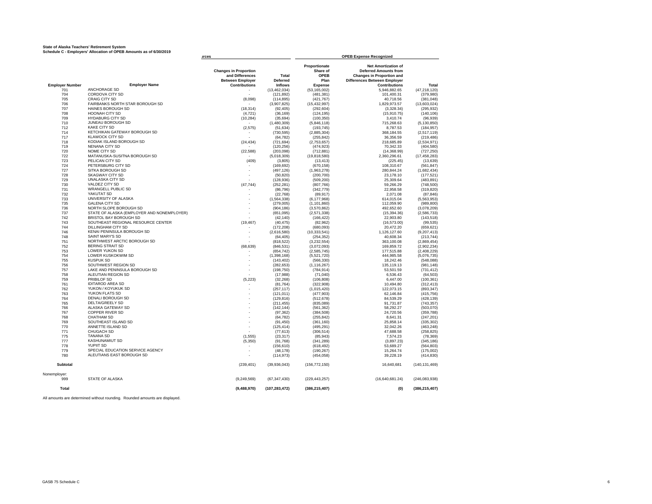#### **State of Alaska Teachers' Retirement System Schedule C - Employers' Allocation of OPEB Amounts as of 6/30/2019**

|                        |                                                                             | <b>urces</b>                                                                                       |                                            |                                                             | <b>OPEB Expense Recognized</b>                                                                                                                                |                 |  |  |  |  |
|------------------------|-----------------------------------------------------------------------------|----------------------------------------------------------------------------------------------------|--------------------------------------------|-------------------------------------------------------------|---------------------------------------------------------------------------------------------------------------------------------------------------------------|-----------------|--|--|--|--|
| <b>Employer Number</b> | <b>Employer Name</b><br>ANCHORAGE SD                                        | <b>Changes in Proportion</b><br>and Differences<br><b>Between Employer</b><br><b>Contributions</b> | Total<br><b>Deferred</b><br><b>Inflows</b> | Proportionate<br>Share of<br>OPEB<br>Plan<br><b>Expense</b> | <b>Net Amortization of</b><br><b>Deferred Amounts from</b><br><b>Changes in Proportion and</b><br><b>Differences Between Employer</b><br><b>Contributions</b> | Total           |  |  |  |  |
| 701                    | CORDOVA CITY SD                                                             | $\mathbf{r}$                                                                                       | (13, 462, 034)                             | (53, 165, 002)                                              | 5,946,882.65                                                                                                                                                  | (47, 218, 120)  |  |  |  |  |
| 704                    |                                                                             |                                                                                                    | (121, 892)                                 | (481, 381)                                                  | 101,400.31                                                                                                                                                    | (379, 980)      |  |  |  |  |
| 705                    | CRAIG CITY SD                                                               | (8,098)                                                                                            | (114, 895)                                 | (421, 767)                                                  | 40,718.56                                                                                                                                                     | (381, 048)      |  |  |  |  |
| 706                    | FAIRBANKS NORTH STAR BOROUGH SD                                             |                                                                                                    | (3,907,825)                                | (15, 432, 997)                                              | 1,829,973.57                                                                                                                                                  | (13,603,024)    |  |  |  |  |
| 707                    | HAINES BOROUGH SD                                                           | (18, 314)                                                                                          | (92, 405)                                  | (292, 604)                                                  | (3,328.34)                                                                                                                                                    | (295, 932)      |  |  |  |  |
| 708                    | <b>HOONAH CITY SD</b>                                                       | (4, 721)                                                                                           | (36, 169)                                  | (124, 195)                                                  | (15,910.75)                                                                                                                                                   | (140, 106)      |  |  |  |  |
| 709                    | <b>HYDABURG CITY SD</b>                                                     | (10, 284)                                                                                          | (35, 694)                                  | (100, 350)                                                  | 3,410.74                                                                                                                                                      | (96, 939)       |  |  |  |  |
| 710                    | JUNEAU BOROUGH SD                                                           |                                                                                                    | (1,480,309)                                | (5,846,118)                                                 | 715,268.63                                                                                                                                                    | (5, 130, 850)   |  |  |  |  |
| 712                    | <b>KAKE CITY SD</b>                                                         | (2, 575)                                                                                           | (51, 634)                                  | (193, 745)                                                  | 8,787.53                                                                                                                                                      | (184, 957)      |  |  |  |  |
| 714                    | KETCHIKAN GATEWAY BOROUGH SD                                                |                                                                                                    | (730, 595)                                 | (2,885,304)                                                 | 368,184.55                                                                                                                                                    | (2, 517, 119)   |  |  |  |  |
| 717                    | <b>KLAWOCK CITY SD</b>                                                      |                                                                                                    | (64, 782)                                  | (255, 842)                                                  | 36,356.59                                                                                                                                                     | (219, 486)      |  |  |  |  |
| 718                    | KODIAK ISLAND BOROUGH SD                                                    | (24, 434)                                                                                          | (721, 694)                                 | (2,753,657)                                                 | 218,685.89                                                                                                                                                    | (2,534,971)     |  |  |  |  |
| 719                    | NENANA CITY SD                                                              |                                                                                                    | (120, 256)                                 | (474, 923)                                                  | 70,342.33                                                                                                                                                     | (404, 580)      |  |  |  |  |
| 720                    | NOME CITY SD                                                                | (22, 588)                                                                                          | (203, 098)                                 | (712, 881)                                                  | (14, 368.99)                                                                                                                                                  | (727, 250)      |  |  |  |  |
| 722                    | MATANUSKA-SUSITNA BOROUGH SD                                                |                                                                                                    | (5,018,309)                                | (19, 818, 580)                                              | 2,360,296.61                                                                                                                                                  | (17, 458, 283)  |  |  |  |  |
| 723                    | PELICAN CITY SD                                                             | (409)                                                                                              | (3,805)                                    | (13, 413)                                                   | (225.45)                                                                                                                                                      | (13, 639)       |  |  |  |  |
| 724                    | PETERSBURG CITY SD                                                          |                                                                                                    | (169.692)                                  | (670.158)                                                   | 108.310.67                                                                                                                                                    | (561.847)       |  |  |  |  |
| 727                    | SITKA BOROUGH SD                                                            |                                                                                                    | (497, 126)                                 | (1,963,278)                                                 | 280.844.24                                                                                                                                                    | (1.682.434)     |  |  |  |  |
| 728                    | SKAGWAY CITY SD                                                             |                                                                                                    | (50, 820)                                  | (200, 700)                                                  | 23,178.10                                                                                                                                                     | (177, 521)      |  |  |  |  |
| 729                    | <b>UNALASKA CITY SD</b>                                                     |                                                                                                    | (128, 936)                                 | (509, 200)                                                  | 25,309.64                                                                                                                                                     | (483, 891)      |  |  |  |  |
| 730                    | VALDEZ CITY SD                                                              | (47, 744)                                                                                          | (252, 281)                                 | (807,766)                                                   | 59,266.29                                                                                                                                                     | (748, 500)      |  |  |  |  |
| 731                    | <b>WRANGELL PUBLIC SD</b>                                                   |                                                                                                    | (86, 796)                                  | (342, 779)                                                  | 22,958.58                                                                                                                                                     | (319, 820)      |  |  |  |  |
| 732                    | YAKUTAT SD                                                                  |                                                                                                    | (22, 768)                                  | (89, 917)                                                   | 2.071.08                                                                                                                                                      | (87, 846)       |  |  |  |  |
| 733                    | UNIVERSITY OF ALASKA                                                        |                                                                                                    | (1,564,338)                                | (6, 177, 968)                                               | 614,015.04                                                                                                                                                    | (5,563,953)     |  |  |  |  |
| 735                    | <b>GALENA CITY SD</b>                                                       |                                                                                                    | (279,005)                                  | (1, 101, 860)                                               | 112,059.90                                                                                                                                                    | (989, 800)      |  |  |  |  |
| 736                    | NORTH SLOPE BOROUGH SD                                                      |                                                                                                    | (904, 186)                                 | (3,570,862)                                                 | 492.652.60                                                                                                                                                    | (3,078,209)     |  |  |  |  |
| 737                    | STATE OF ALASKA (EMPLOYER AND NONEMPLOYER)                                  |                                                                                                    | (651,095)                                  | (2,571,338)                                                 | (15, 394.36)                                                                                                                                                  | (2,586,733)     |  |  |  |  |
| 742                    | BRISTOL BAY BOROUGH SD                                                      |                                                                                                    |                                            |                                                             |                                                                                                                                                               |                 |  |  |  |  |
| 743                    | SOUTHEAST REGIONAL RESOURCE CENTER                                          |                                                                                                    | (42, 140)                                  | (166, 422)                                                  | 22,903.80                                                                                                                                                     | (143, 518)      |  |  |  |  |
|                        | <b>DILLINGHAM CITY SD</b>                                                   | (19, 467)                                                                                          | (40, 475)                                  | (82, 962)                                                   | (16, 573.00)                                                                                                                                                  | (99, 535)       |  |  |  |  |
| 744                    | KENAI PENINSULA BOROUGH SD                                                  |                                                                                                    | (172, 208)                                 | (680, 093)                                                  | 20,472.20                                                                                                                                                     | (659, 621)      |  |  |  |  |
| 746                    | SAINT MARY'S SD                                                             |                                                                                                    | (2,616,580)                                | (10, 333, 541)                                              | 1,126,127.60                                                                                                                                                  | (9,207,413)     |  |  |  |  |
| 748                    |                                                                             |                                                                                                    | (64, 405)                                  | (254, 352)                                                  | 40,608.34                                                                                                                                                     | (213, 744)      |  |  |  |  |
| 751                    | NORTHWEST ARCTIC BOROUGH SD                                                 |                                                                                                    | (818, 522)                                 | (3,232,554)                                                 | 363,100.08                                                                                                                                                    | (2,869,454)     |  |  |  |  |
| 752                    | <b>BERING STRAIT SD</b>                                                     | (68, 639)                                                                                          | (846, 531)                                 | (3,072,093)                                                 | 169,859.72                                                                                                                                                    | (2,902,234)     |  |  |  |  |
| 753                    | LOWER YUKON SD                                                              |                                                                                                    | (654.742)                                  | (2.585.745)                                                 | 177.515.88                                                                                                                                                    | (2.408.229)     |  |  |  |  |
| 754                    | LOWER KUSKOKWIM SD                                                          |                                                                                                    | (1,398,168)                                | (5,521,720)                                                 | 444.985.58                                                                                                                                                    | (5,076,735)     |  |  |  |  |
| 755                    | <b>KUSPUK SD</b>                                                            |                                                                                                    | (143, 402)                                 | (566, 330)                                                  | 18,242.46                                                                                                                                                     | (548, 088)      |  |  |  |  |
| 756                    | SOUTHWEST REGION SD                                                         |                                                                                                    | (282, 653)                                 | (1, 116, 267)                                               | 135,119.13                                                                                                                                                    | (981, 148)      |  |  |  |  |
| 757                    | LAKE AND PENINSULA BOROUGH SD                                               |                                                                                                    | (198, 750)                                 | (784, 914)                                                  | 53,501.59                                                                                                                                                     | (731, 412)      |  |  |  |  |
| 758                    | ALEUTIAN REGION SD                                                          |                                                                                                    | (17,988)                                   | (71,040)                                                    | 6,536.43                                                                                                                                                      | (64, 503)       |  |  |  |  |
| 759                    | PRIBILOF SD                                                                 | (5, 223)                                                                                           | (32, 268)                                  | (106, 808)                                                  | 6,447.00                                                                                                                                                      | (100, 361)      |  |  |  |  |
| 761                    | <b>IDITAROD AREA SD</b>                                                     |                                                                                                    | (81, 764)                                  | (322, 908)                                                  | 10,494.80                                                                                                                                                     | (312, 413)      |  |  |  |  |
| 762                    | YUKON / KOYUKUK SD                                                          |                                                                                                    | (257, 117)                                 | (1,015,420)                                                 | 122,073.15                                                                                                                                                    | (893, 347)      |  |  |  |  |
| 763                    | YUKON FLATS SD                                                              |                                                                                                    | (121, 011)                                 | (477, 903)                                                  | 62,146.84                                                                                                                                                     | (415, 756)      |  |  |  |  |
| 764                    | DENALI BOROUGH SD                                                           |                                                                                                    | (129, 816)                                 | (512, 678)                                                  | 84.539.29                                                                                                                                                     | (428, 139)      |  |  |  |  |
| 765                    | DELTA/GREELY SD                                                             |                                                                                                    | (211, 455)                                 | (835,089)                                                   | 91,731.87                                                                                                                                                     | (743, 357)      |  |  |  |  |
| 766                    | ALASKA GATEWAY SD                                                           |                                                                                                    | (142, 144)                                 | (561, 362)                                                  | 58,292.27                                                                                                                                                     | (503,070)       |  |  |  |  |
| 767                    | <b>COPPER RIVER SD</b>                                                      |                                                                                                    | (97, 362)                                  | (384, 508)                                                  | 24,720.56                                                                                                                                                     | (359, 788)      |  |  |  |  |
| 768                    | CHATHAM SD                                                                  |                                                                                                    | (64, 782)                                  | (255, 842)                                                  | 8,641.31                                                                                                                                                      | (247, 201)      |  |  |  |  |
| 769                    | SOUTHEAST ISLAND SD                                                         | ÷.                                                                                                 | (91, 450)                                  | (361, 160)                                                  | 25,858.14                                                                                                                                                     | (335, 302)      |  |  |  |  |
| 770                    | ANNETTE ISLAND SD                                                           |                                                                                                    | (125, 414)                                 | (495, 291)                                                  | 32,042.26                                                                                                                                                     | (463, 248)      |  |  |  |  |
| 771                    | <b>CHUGACH SD</b>                                                           |                                                                                                    | (77, 613)                                  | (306, 514)                                                  | 47,688.58                                                                                                                                                     | (258, 825)      |  |  |  |  |
| 775                    | <b>TANANA SD</b>                                                            | (1.555)                                                                                            | (23.317)                                   | (85.943)                                                    | 7.574.23                                                                                                                                                      | (78.369)        |  |  |  |  |
| 777                    | <b>KASHUNAMIUT SD</b>                                                       | (5,350)                                                                                            | (91.768)                                   | (341.289)                                                   | (3.897.23)                                                                                                                                                    | (345.186)       |  |  |  |  |
| 778                    | YUPIIT SD                                                                   |                                                                                                    | (156, 610)                                 | (618, 492)                                                  | 53.689.27                                                                                                                                                     | (564, 803)      |  |  |  |  |
| 779                    | SPECIAL EDUCATION SERVICE AGENCY                                            | ä,                                                                                                 | (48.178)                                   | (190, 267)                                                  | 15.264.74                                                                                                                                                     | (175,002)       |  |  |  |  |
| 780                    | ALEUTIANS EAST BOROUGH SD                                                   |                                                                                                    | (114, 973)                                 | (454, 058)                                                  | 39,228.19                                                                                                                                                     | (414, 830)      |  |  |  |  |
| Subtotal               |                                                                             | (239, 401)                                                                                         | (39,936,043)                               | (156, 772, 150)                                             | 16,640,681                                                                                                                                                    | (140, 131, 469) |  |  |  |  |
| Nonemployer:<br>999    | STATE OF ALASKA                                                             | (9, 249, 569)                                                                                      | (67, 347, 430)                             | (229, 443, 257)                                             | (16,640,681.24)                                                                                                                                               | (246, 083, 938) |  |  |  |  |
| <b>Total</b>           |                                                                             | (9,488,970)                                                                                        | (107, 283, 472)                            | (386, 215, 407)                                             | (0)                                                                                                                                                           | (386, 215, 407) |  |  |  |  |
|                        | All amounts are determined without rounding. Rounded amounts are displayed. |                                                                                                    |                                            |                                                             |                                                                                                                                                               |                 |  |  |  |  |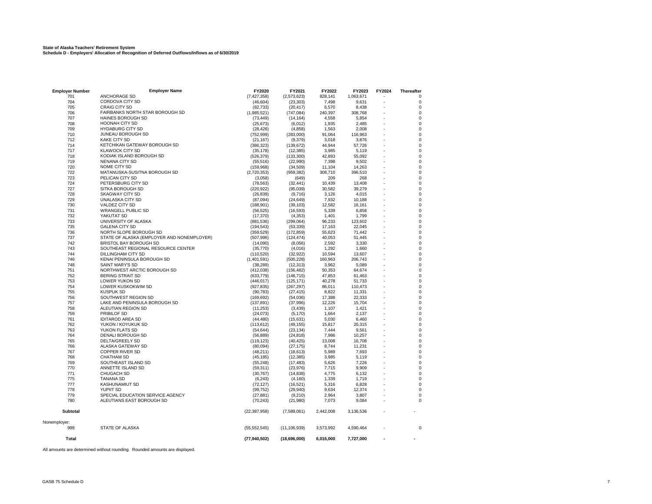#### All amounts are determined without rounding. Rounded amounts are displayed.

| 701             | ANCHORAGE SD                               | (7, 427, 358)         | (2,573,623)    | 828,141   | 1,063,671         | 0           |
|-----------------|--------------------------------------------|-----------------------|----------------|-----------|-------------------|-------------|
| 704             | CORDOVA CITY SD                            | (46, 604)             | (23, 303)      | 7,498     | 9,631             | 0           |
| 705             | <b>CRAIG CITY SD</b>                       | (82, 733)             | (20, 417)      | 6,570     | 8,438             | 0           |
| 706             | FAIRBANKS NORTH STAR BOROUGH SD            | (1,985,521)           | (747, 084)     | 240,397   | 308,768           | $\pmb{0}$   |
| 707             | <b>HAINES BOROUGH SD</b>                   | (73, 449)             | (14, 164)      | 4,558     | 5,854             | $\mathbf 0$ |
| 708             | <b>HOONAH CITY SD</b>                      | (25.673)              | (6.012)        | 1.935     | 2.485             | $\mathbf 0$ |
| 709             | <b>HYDABURG CITY SD</b>                    | (28, 426)             | (4, 858)       | 1,563     | 2,008             | 0           |
| 710             | JUNEAU BOROUGH SD                          | (752, 999)            | (283,000)      | 91.064    | 116,963           | 0           |
| 712             | <b>KAKE CITY SD</b>                        | (21, 167)             | (9,379)        | 3,018     | 3,876             | $\mathbf 0$ |
| 714             | KETCHIKAN GATEWAY BOROUGH SD               | (386, 323)            | (139, 672)     | 44,944    | 57,726            | $\pmb{0}$   |
| 717             | <b>KLAWOCK CITY SD</b>                     | (35, 178)             | (12, 385)      | 3,985     | 5,119             | $\mathbf 0$ |
| 718             | KODIAK ISLAND BOROUGH SD                   | (526, 379)            | (133, 300)     | 42,893    | 55,092            | $\mathbf 0$ |
| 719             | NENANA CITY SD                             | (55, 516)             | (22, 990)      | 7,398     | 9,502             | 0           |
| 720             | NOME CITY SD                               |                       |                | 11.104    |                   | 0           |
| 722             |                                            | (159,968)             | (34, 509)      |           | 14,263<br>396,510 | 0           |
|                 | MATANUSKA-SUSITNA BOROUGH SD               | (2,720,353)           | (959, 382)     | 308,710   |                   |             |
| 723             | PELICAN CITY SD                            | (3,058)               | (649)          | 209       | 268               | 0           |
| 724             | PETERSBURG CITY SD                         | (78, 563)             | (32, 441)      | 10,439    | 13,408            | $\mathbf 0$ |
| 727             | SITKA BOROUGH SD                           | (220, 922)            | (95,039)       | 30,582    | 39,279            | $\mathbf 0$ |
| 728             | <b>SKAGWAY CITY SD</b>                     | (26, 839)             | (9,716)        | 3.126     | 4.015             | $\Omega$    |
| 729             | UNALASKA CITY SD                           | (87,094)              | (24, 649)      | 7,932     | 10,188            | $\mathbf 0$ |
| 730             | VALDEZ CITY SD                             | (188, 901)            | (39, 103)      | 12,582    | 16,161            | $\mathbf 0$ |
| 731             | <b>WRANGELL PUBLIC SD</b>                  | (56, 525)             | (16, 593)      | 5,339     | 6,858             | $\pmb{0}$   |
| 732             | YAKUTAT SD                                 | (17, 370)             | (4, 353)       | 1,401     | 1,799             | $\pmb{0}$   |
| 733             | UNIVERSITY OF ALASKA                       | (881, 536)            | (299,064)      | 96,233    | 123,602           | $\mathbf 0$ |
| 735             | <b>GALENA CITY SD</b>                      | (194, 543)            | (53, 339)      | 17,163    | 22,045            | $\mathbf 0$ |
| 736             | NORTH SLOPE BOROUGH SD                     | (359, 529)            | (172, 859)     | 55,623    | 71,442            | 0           |
| 737             | STATE OF ALASKA (EMPLOYER AND NONEMPLOYER) | (507, 996)            | (124, 474)     | 40,053    | 51.445            | $\Omega$    |
| 742             | BRISTOL BAY BOROUGH SD                     | (14,090)              | (8,056)        | 2,592     | 3,330             | $\mathbf 0$ |
| 743             | SOUTHEAST REGIONAL RESOURCE CENTER         | (35, 770)             | (4,016)        | 1,292     | 1,660             | $\mathbf 0$ |
| 744             | <b>DILLINGHAM CITY SD</b>                  | (110, 520)            | (32, 922)      | 10.594    | 13.607            | $\mathbf 0$ |
| 746             | KENAI PENINSULA BOROUGH SD                 | (1,401,591)           | (500, 228)     | 160,963   | 206,743           | $\pmb{0}$   |
| 748             | SAINT MARY'S SD                            | (38, 289)             | (12, 313)      | 3,962     | 5,089             | $\mathbf 0$ |
| 751             | NORTHWEST ARCTIC BOROUGH SD                |                       |                | 50,353    | 64,674            | $\mathbf 0$ |
|                 | <b>BERING STRAIT SD</b>                    | (412, 038)            | (156, 482)     |           |                   | $\mathbf 0$ |
| 752             |                                            | (633, 779)            | (148, 715)     | 47,853    | 61,463            | 0           |
| 753             | <b>LOWER YUKON SD</b>                      | (446, 017)            | (125, 171)     | 40,278    | 51,733            |             |
| 754             | LOWER KUSKOKWIM SD                         | (927, 835)            | (267, 297)     | 86,011    | 110,473           | $\pmb{0}$   |
| 755             | <b>KUSPUK SD</b>                           | (90, 783)             | (27, 415)      | 8,822     | 11,331            | $\mathbf 0$ |
| 756             | SOUTHWEST REGION SD                        | (169, 692)            | (54,036)       | 17,388    | 22,333            | $\mathbf 0$ |
| 757             | LAKE AND PENINSULA BOROUGH SD              | (137, 891)            | (37,996)       | 12.226    | 15,704            | $\Omega$    |
| 758             | ALEUTIAN REGION SD                         | (11, 253)             | (3, 439)       | 1.107     | 1,421             | 0           |
| 759             | PRIBILOF SD                                | (24,073)              | (5, 170)       | 1.664     | 2.137             | $\mathbf 0$ |
| 761             | <b>IDITAROD AREA SD</b>                    | (44, 480)             | (15, 631)      | 5.030     | 6,460             | $\mathbf 0$ |
| 762             | YUKON / KOYUKUK SD                         | (113, 612)            | (49, 155)      | 15,817    | 20,315            | $\mathbf 0$ |
| 763             | YUKON FLATS SD                             | (54, 644)             | (23, 134)      | 7,444     | 9,561             | $\pmb{0}$   |
| 764             | DENALI BOROUGH SD                          | (56, 889)             | (24, 818)      | 7,986     | 10,257            | 0           |
| 765             | <b>DELTA/GREELY SD</b>                     | (119, 123)            | (40, 425)      | 13,008    | 16,708            | 0           |
| 766             | ALASKA GATEWAY SD                          | (80,094)              | (27, 175)      | 8,744     | 11,231            | $\mathbf 0$ |
| 767             | <b>COPPER RIVER SD</b>                     | (48, 211)             | (18, 613)      | 5,989     | 7,693             | $\mathbf 0$ |
| 768             | <b>CHATHAM SD</b>                          | (45.185)              | (12, 385)      | 3.985     | 5.119             | $\mathbf 0$ |
| 769             | SOUTHEAST ISLAND SD                        | (55, 248)             | (17, 483)      | 5,626     | 7,226             | $\mathbf 0$ |
| 770             | ANNETTE ISLAND SD                          | (59, 311)             | (23,976)       | 7,715     | 9,909             | 0           |
| 771             | <b>CHUGACH SD</b>                          |                       |                | 4.775     | 6.132             | $\Omega$    |
| 775             |                                            | (30, 767)<br>(6, 243) | (14, 838)      | 1,339     |                   | $\mathbf 0$ |
|                 | <b>TANANA SD</b>                           |                       | (4, 160)       |           | 1,719             |             |
| 777             | KASHUNAMIUT SD                             | (72, 127)             | (16, 521)      | 5,316     | 6,828             | 0           |
| 778             | YUPIIT SD                                  | (99, 752)             | (29, 940)      | 9,634     | 12,374            | $\pmb{0}$   |
| 779             | SPECIAL EDUCATION SERVICE AGENCY           | (27, 881)             | (9,210)        | 2,964     | 3,807             | $\mathbf 0$ |
| 780             | ALEUTIANS EAST BOROUGH SD                  | (70, 243)             | (21,980)       | 7,073     | 9,084             | $\Omega$    |
| <b>Subtotal</b> |                                            | (22, 387, 958)        | (7,589,061)    | 2,442,008 | 3,136,536         |             |
| Nonemployer:    |                                            |                       |                |           |                   |             |
| 999             | <b>STATE OF ALASKA</b>                     | (55, 552, 545)        | (11, 106, 939) | 3,573,992 | 4,590,464         | $\Omega$    |
| <b>Total</b>    |                                            | (77, 940, 502)        | (18,696,000)   | 6,016,000 | 7,727,000         |             |
|                 |                                            |                       |                |           |                   |             |

**Employer Number Employer Name FY2020 FY2021 FY2022 FY2023 FY2024 Thereafter**

-

**State of Alaska Teachers' Retirement System Schedule D - Employers' Allocation of Recognition of Deferred Outflows/Inflows as of 6/30/2019**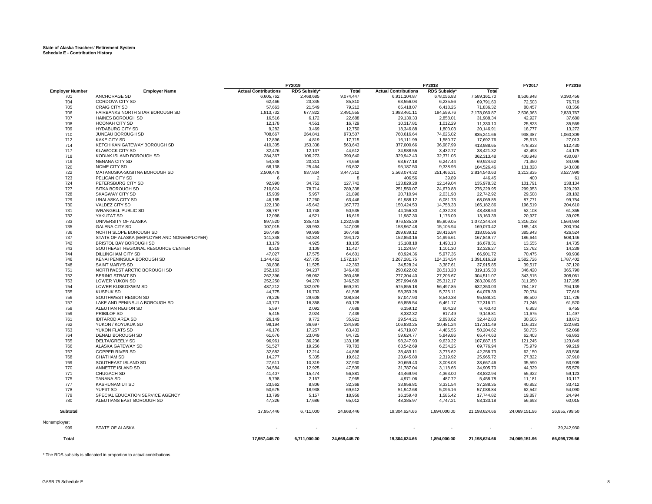#### **State of Alaska Teachers' Retirement System Schedule E - Contribution History**

|                        |                                            | FY2019<br>FY2018            |                    | FY2017        | FY2016                      |                    |               |               |               |
|------------------------|--------------------------------------------|-----------------------------|--------------------|---------------|-----------------------------|--------------------|---------------|---------------|---------------|
| <b>Employer Number</b> | <b>Employer Name</b>                       | <b>Actual Contributions</b> | <b>RDS Subsidy</b> | <b>Total</b>  | <b>Actual Contributions</b> | <b>RDS Subsidy</b> | <b>Total</b>  |               |               |
| 701                    | ANCHORAGE SD                               | 6,605,762                   | 2,468,685          | 9,074,447     | 6,911,104.87                | 678,056.83         | 7,589,161.70  | 8,536,948     | 9,390,456     |
| 704                    | CORDOVA CITY SD                            | 62,466                      | 23,345             | 85,810        | 63,556.04                   | 6,235.56           | 69,791.60     | 72,503        | 76,719        |
| 705                    | <b>CRAIG CITY SD</b>                       | 57,663                      | 21,549             | 79,212        | 65,418.07                   | 6,418.25           | 71,836.32     | 80,457        | 83,356        |
| 706                    | FAIRBANKS NORTH STAR BOROUGH SD            | 1,813,732                   | 677,822            | 2,491,555     | 1,983,461.11                | 194,599.76         | 2,178,060.87  | 2,506,963     | 2,833,767     |
| 707                    | <b>HAINES BOROUGH SD</b>                   | 16.516                      | 6,172              | 22.688        | 29.130.33                   | 2.858.01           | 31,988.34     | 42,927        | 37,680        |
| 708                    | <b>HOONAH CITY SD</b>                      | 12.178                      | 4,551              | 16,729        | 10.317.81                   | 1,012.29           | 11,330.10     | 25,823        | 35,569        |
| 709                    | <b>HYDABURG CITY SD</b>                    | 9,282                       | 3.469              | 12,750        | 18,346.88                   | 1,800.03           | 20,146.91     | 18,777        | 13,272        |
| 710                    | JUNEAU BOROUGH SD                          | 708,667                     | 264,841            | 973,507       | 760,616.64                  | 74,625.02          | 835,241.66    | 938,387       | 1,060,309     |
| 712                    | <b>KAKE CITY SD</b>                        | 12,896                      | 4,819              | 17,715        | 16,111.99                   | 1,580.77           | 17,692.76     | 25,613        | 27,013        |
| 714                    | KETCHIKAN GATEWAY BOROUGH SD               | 410,305                     | 153,338            | 563,643       | 377,000.66                  | 36,987.99          | 413,988.65    | 478,833       | 512,430       |
| 717                    | <b>KLAWOCK CITY SD</b>                     | 32,476                      | 12,137             | 44,612        | 34,988.55                   | 3,432.77           | 38,421.32     | 42,493        | 44,175        |
| 718                    | KODIAK ISLAND BOROUGH SD                   | 284,367                     | 106,273            | 390,640       | 329,942.43                  | 32,371.05          | 362,313.48    | 400,948       | 430,087       |
| 719                    | NENANA CITY SD                             | 54,348                      | 20,311             | 74,659        | 63,677.18                   | 6,247.44           | 69,924.62     | 71,350        | 84,096        |
| 720                    | NOME CITY SD                               | 68,138                      | 25,464             | 93,602        | 95,187.50                   | 9,338.96           | 104,526.46    | 131,828       | 143,838       |
| 722                    | MATANUSKA-SUSITNA BOROUGH SD               | 2,509,478                   | 937,834            | 3,447,312     | 2,563,074.32                | 251,466.31         | 2,814,540.63  | 3,213,835     | 3,527,990     |
| 723                    | PELICAN CITY SD                            | 6                           | $\overline{2}$     | 8             | 406.56                      | 39.89              | 446.45        | 400           | 61            |
| 724                    | PETERSBURG CITY SD                         | 92,990                      | 34,752             | 127,742       | 123,829.28                  | 12,149.04          | 135,978.32    | 101,791       | 138,134       |
|                        |                                            |                             |                    |               |                             |                    |               |               |               |
| 727                    | SITKA BOROUGH SD                           | 210,624                     | 78,714             | 289,338       | 251,550.07                  | 24,679.88          | 276,229.95    | 299,953       | 329,293       |
| 728                    | SKAGWAY CITY SD                            | 15,939                      | 5,957              | 21,896        | 20,710.94                   | 2,031.98           | 22,742.92     | 29,508        | 28,182        |
| 729                    | UNALASKA CITY SD                           | 46,185                      | 17,260             | 63,446        | 61,988.12                   | 6,081.73           | 68,069.85     | 87,771        | 99,754        |
| 730                    | VALDEZ CITY SD                             | 122.130                     | 45.642             | 167,773       | 150.424.53                  | 14.758.33          | 165,182.86    | 196.519       | 204,610       |
| 731                    | WRANGELL PUBLIC SD                         | 36,787                      | 13,748             | 50,535        | 44,156.30                   | 4,332.23           | 48,488.53     | 52,108        | 61,365        |
| 732                    | YAKUTAT SD                                 | 12.098                      | 4.521              | 16.619        | 11.987.30                   | 1,176.09           | 13,163.39     | 20,937        | 39,025        |
| 733                    | UNIVERSITY OF ALASKA                       | 897,520                     | 335,418            | 1,232,938     | 976,535.29                  | 95,809.05          | 1,072,344.34  | 1,316,038     | 1,564,984     |
| 735                    | <b>GALENA CITY SD</b>                      | 107.015                     | 39.993             | 147.009       | 153.967.48                  | 15.105.94          | 169,073.42    | 185,143       | 200,704       |
| 736                    | NORTH SLOPE BOROUGH SD                     | 267,499                     | 99,969             | 367,468       | 289,639.12                  | 28,416.84          | 318,055.96    | 385,943       | 426,524       |
| 737                    | STATE OF ALASKA (EMPLOYER AND NONEMPLOYER) | 141.348                     | 52.824             | 194.172       | 152.853.16                  | 14.996.61          | 167,849.77    | 186,644       | 508,146       |
| 742                    | BRISTOL BAY BOROUGH SD                     | 13,179                      | 4,925              | 18,105        | 15,188.18                   | 1,490.13           | 16,678.31     | 13,555        | 14,735        |
| 743                    | SOUTHEAST REGIONAL RESOURCE CENTER         | 8,319                       | 3,109              | 11,427        | 11,224.97                   | 1,101.30           | 12,326.27     | 13,762        | 14,239        |
| 744                    | DILLINGHAM CITY SD                         | 47,027                      | 17,575             | 64,601        | 60,924.36                   | 5,977.36           | 66,901.72     | 70,475        | 90,936        |
| 746                    | KENAI PENINSULA BOROUGH SD                 | 1,144,462                   | 427,705            | 1,572,167     | 1,267,281.75                | 124,334.54         | 1,391,616.29  | 1,582,726     | 1,787,402     |
| 748                    | SAINT MARY'S SD                            | 30,838                      | 11,525             | 42,363        | 34,528.24                   | 3,387.61           | 37,915.85     | 39,517        | 37,120        |
| 751                    | NORTHWEST ARCTIC BOROUGH SD                | 252,163                     | 94,237             | 346.400       | 290.622.02                  | 28,513.28          | 319,135.30    | 346,420       | 365,790       |
| 752                    | <b>BERING STRAIT SD</b>                    | 262,396                     | 98,062             | 360,458       | 277,304.40                  | 27,206.67          | 304,511.07    | 343,515       | 308,061       |
| 753                    | <b>LOWER YUKON SD</b>                      | 252,250                     | 94,270             | 346,520       | 257,994.68                  | 25,312.17          | 283,306.85    | 311,950       | 317,285       |
| 754                    | LOWER KUSKOKWIM SD                         | 487,212                     | 182,079            | 669.291       | 575.855.18                  | 56,497.85          | 632,353.03    | 764,187       | 794,139       |
| 755                    | <b>KUSPUK SD</b>                           | 44,775                      | 16,733             | 61,508        | 58,353.28                   | 5,725.11           | 64,078.39     | 70,074        | 77,619        |
| 756                    | SOUTHWEST REGION SD                        | 79.226                      | 29,608             | 108.834       | 87.047.93                   | 8.540.38           | 95,588.31     | 98,500        | 111,726       |
| 757                    | LAKE AND PENINSULA BOROUGH SD              | 43,771                      | 16,358             | 60,128        | 65,855.54                   | 6,461.17           | 72,316.71     | 71,246        |               |
|                        |                                            |                             |                    |               |                             |                    |               |               | 61,520        |
| 758                    | ALEUTIAN REGION SD                         | 5,597                       | 2,092              | 7,688         | 6,159.12                    | 604.28             | 6,763.40      | 6,953         | 6,455         |
| 759                    | PRIBILOF SD                                | 5,415                       | 2,024              | 7,439         | 8,332.32                    | 817.49             | 9,149.81      | 11,675        | 11,497        |
| 761                    | <b>IDITAROD AREA SD</b>                    | 26,149                      | 9,772              | 35,921        | 29,544.21                   | 2,898.62           | 32,442.83     | 30,505        | 18,871        |
| 762                    | YUKON / KOYUKUK SD                         | 98.194                      | 36,697             | 134,890       | 106.830.25                  | 10,481.24          | 117,311.49    | 116,313       | 122,681       |
| 763                    | YUKON FLATS SD                             | 46,176                      | 17,257             | 63,433        | 45,719.07                   | 4,485.55           | 50,204.62     | 50,735        | 52,068        |
| 764                    | <b>DENALI BOROUGH SD</b>                   | 61,676                      | 23,049             | 84,725        | 59,624.77                   | 5,849.86           | 65,474.63     | 62,403        | 66,863        |
| 765                    | DELTA/GREELY SD                            | 96,961                      | 36,236             | 133,198       | 98,247.93                   | 9,639.22           | 107,887.15    | 121,245       | 123,849       |
| 766                    | ALASKA GATEWAY SD                          | 51,527                      | 19,256             | 70,783        | 63,542.69                   | 6,234.25           | 69,776.94     | 75,979        | 99,219        |
| 767                    | <b>COPPER RIVER SD</b>                     | 32,682                      | 12,214             | 44,896        | 38,483.11                   | 3,775.62           | 42,258.73     | 62,150        | 83,536        |
| 768                    | <b>CHATHAM SD</b>                          | 14,277                      | 5,335              | 19,612        | 23,645.80                   | 2,319.92           | 25,965.72     | 27,822        | 37,910        |
| 769                    | SOUTHEAST ISLAND SD                        | 27,611                      | 10,319             | 37,930        | 30,659.43                   | 3,008.03           | 33,667.46     | 35,590        | 53,909        |
| 770                    | ANNETTE ISLAND SD                          | 34,584                      | 12,925             | 47,509        | 31,787.04                   | 3,118.66           | 34,905.70     | 44,329        | 55,579        |
| 771                    | <b>CHUGACH SD</b>                          | 41,407                      | 15,474             | 56,881        | 44,469.94                   | 4,363.00           | 48.832.94     | 55,922        | 59,123        |
| 775                    | <b>TANANA SD</b>                           | 5,798                       | 2,167              | 7,965         | 4,971.06                    | 487.72             | 5,458.78      | 11,181        | 10,117        |
| 777                    | <b>KASHUNAMIUT SD</b>                      | 23.562                      | 8.806              | 32.368        | 33.956.81                   | 3.331.54           | 37,288.35     | 40.852        | 33.412        |
| 778                    | YUPIIT SD                                  | 50,675                      | 18,938             | 69,612        | 51,942.68                   | 5,096.16           | 57,038.84     | 62,542        | 54,090        |
| 779                    | SPECIAL EDUCATION SERVICE AGENCY           | 13.799                      | 5.157              | 18.956        | 16.159.40                   | 1.585.42           | 17.744.82     | 19,897        | 24,494        |
| 780                    | ALEUTIANS EAST BOROUGH SD                  | 47,326                      | 17,686             | 65,012        | 48,385.97                   | 4,747.21           | 53,133.18     | 56,693        | 60,015        |
| <b>Subtotal</b>        |                                            | 17,957,446                  | 6,711,000          | 24,668,446    | 19,304,624.66               | 1,894,000.00       | 21,198,624.66 | 24,069,151.96 | 26,855,799.50 |
| Nonemployer:           |                                            |                             |                    |               |                             |                    |               |               |               |
| 999                    | STATE OF ALASKA                            |                             |                    |               |                             |                    |               |               | 39,242,930    |
| Total                  |                                            | 17,957,445.70               | 6,711,000.00       | 24,668,445.70 | 19,304,624.66               | 1,894,000.00       | 21,198,624.66 | 24,069,151.96 | 66,098,729.66 |

\* The RDS subsidy is allocated in proportion to actual contributions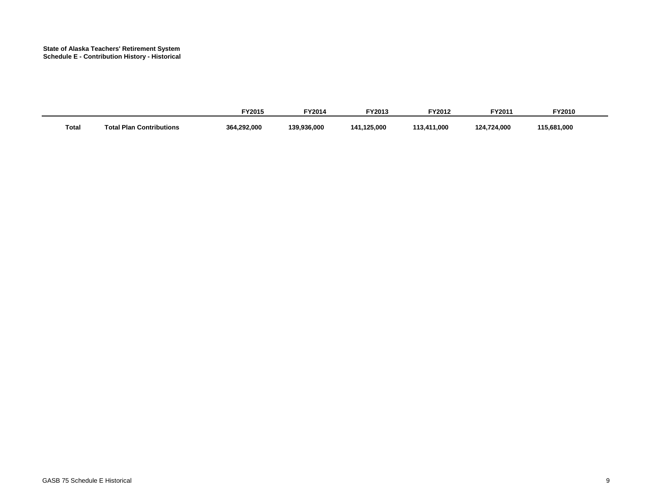#### **State of Alaska Teachers' Retirement System Schedule E - Contribution History - Historical**

|              |                                 | <b>FY2015</b> | <b>FY2014</b> | EV2042<br>12013.            | <b>FY2012</b>        | -Y2011      | <b>FY2010</b> |
|--------------|---------------------------------|---------------|---------------|-----------------------------|----------------------|-------------|---------------|
| <b>Total</b> | ่าไ Plan Contributions<br>Total | 364,292,000   | 139,936,000   | .125.000<br>14 <sup>4</sup> | 411,000,<br>,,,<br>. | 124,724,000 | 115,681,000   |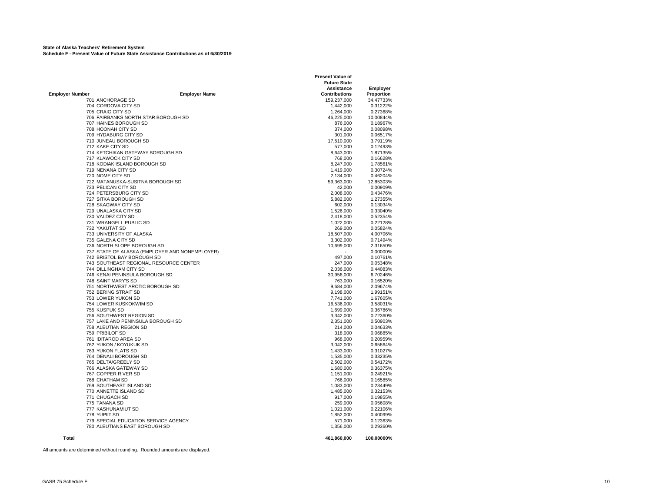**State of Alaska Teachers' Retirement System Schedule F - Present Value of Future State Assistance Contributions as of 6/30/2019**

|                        |                                                  | <b>Present Value of</b> |                 |  |  |
|------------------------|--------------------------------------------------|-------------------------|-----------------|--|--|
|                        |                                                  | <b>Future State</b>     |                 |  |  |
|                        |                                                  | Assistance              | <b>Employer</b> |  |  |
| <b>Employer Number</b> | <b>Employer Name</b>                             | <b>Contributions</b>    | Proportion      |  |  |
|                        | 701 ANCHORAGE SD                                 | 159.237.000             | 34.47733%       |  |  |
|                        | 704 CORDOVA CITY SD                              | 1,442,000               | 0.31222%        |  |  |
|                        | 705 CRAIG CITY SD                                | 1,264,000               | 0.27368%        |  |  |
|                        | 706 FAIRBANKS NORTH STAR BOROUGH SD              | 46,225,000              | 10.00844%       |  |  |
|                        | 707 HAINES BOROUGH SD                            | 876,000                 | 0.18967%        |  |  |
|                        | 708 HOONAH CITY SD                               | 374,000                 | 0.08098%        |  |  |
|                        | 709 HYDABURG CITY SD                             | 301,000                 | 0.06517%        |  |  |
|                        | 710 JUNEAU BOROUGH SD                            | 17,510,000              | 3.79119%        |  |  |
|                        | 712 KAKE CITY SD                                 | 577,000                 | 0.12493%        |  |  |
|                        | 714 KETCHIKAN GATEWAY BOROUGH SD                 | 8,643,000               | 1.87135%        |  |  |
|                        | 717 KLAWOCK CITY SD                              | 768,000                 | 0.16628%        |  |  |
|                        | 718 KODIAK ISLAND BOROUGH SD                     | 8,247,000               | 1.78561%        |  |  |
|                        | 719 NENANA CITY SD                               | 1,419,000               | 0.30724%        |  |  |
|                        | 720 NOME CITY SD                                 | 2,134,000               | 0.46204%        |  |  |
|                        | 722 MATANUSKA-SUSITNA BOROUGH SD                 | 59,363,000              | 12.85303%       |  |  |
|                        | 723 PELICAN CITY SD                              | 42,000                  | 0.00909%        |  |  |
|                        | 724 PETERSBURG CITY SD                           | 2,008,000               | 0.43476%        |  |  |
|                        | 727 SITKA BOROUGH SD                             | 5,882,000               | 1.27355%        |  |  |
|                        | 728 SKAGWAY CITY SD                              | 602,000                 | 0.13034%        |  |  |
|                        | 729 UNALASKA CITY SD                             | 1,526,000               | 0.33040%        |  |  |
|                        | 730 VALDEZ CITY SD                               | 2,418,000               | 0.52354%        |  |  |
|                        | 731 WRANGELL PUBLIC SD                           | 1,022,000               | 0.22128%        |  |  |
|                        | 732 YAKUTAT SD                                   | 269,000                 | 0.05824%        |  |  |
|                        | 733 UNIVERSITY OF ALASKA                         | 18,507,000              | 4.00706%        |  |  |
|                        | 735 GALENA CITY SD                               | 3,302,000               | 0.71494%        |  |  |
|                        | 736 NORTH SLOPE BOROUGH SD                       | 10,699,000              | 2.31650%        |  |  |
|                        | 737 STATE OF ALASKA (EMPLOYER AND NONEMPLOYER)   |                         | 0.00000%        |  |  |
|                        | 742 BRISTOL BAY BOROUGH SD                       | 497,000                 | 0.10761%        |  |  |
|                        | 743 SOUTHEAST REGIONAL RESOURCE CENTER           | 247,000                 | 0.05348%        |  |  |
|                        | 744 DILLINGHAM CITY SD                           | 2,036,000               | 0.44083%        |  |  |
|                        | 746 KENAI PENINSULA BOROUGH SD                   | 30,956,000              | 6.70246%        |  |  |
|                        | 748 SAINT MARY'S SD                              | 763,000                 | 0.16520%        |  |  |
|                        | 751 NORTHWEST ARCTIC BOROUGH SD                  | 9,684,000               | 2.09674%        |  |  |
|                        | 752 BERING STRAIT SD                             | 9,198,000               | 1.99151%        |  |  |
|                        | 753 LOWER YUKON SD                               | 7,741,000               | 1.67605%        |  |  |
|                        | 754 LOWER KUSKOKWIM SD                           | 16,536,000              | 3.58031%        |  |  |
|                        | 755 KUSPUK SD                                    | 1,699,000               | 0.36786%        |  |  |
|                        | 756 SOUTHWEST REGION SD                          | 3,342,000               | 0.72360%        |  |  |
|                        | 757 LAKE AND PENINSULA BOROUGH SD                | 2,351,000               | 0.50903%        |  |  |
|                        | 758 ALEUTIAN REGION SD                           | 214,000                 | 0.04633%        |  |  |
|                        | 759 PRIBILOF SD                                  | 318,000                 | 0.06885%        |  |  |
|                        | 761 IDITAROD AREA SD                             | 968,000                 | 0.20959%        |  |  |
|                        | 762 YUKON / KOYUKUK SD                           | 3,042,000               | 0.65864%        |  |  |
|                        | 763 YUKON FLATS SD                               | 1,433,000               | 0.31027%        |  |  |
|                        | 764 DENALI BOROUGH SD                            | 1,535,000               | 0.33235%        |  |  |
|                        | 765 DELTA/GREELY SD                              | 2,502,000               | 0.54172%        |  |  |
|                        | 766 ALASKA GATEWAY SD                            | 1,680,000               | 0.36375%        |  |  |
|                        | 767 COPPER RIVER SD                              | 1,151,000               | 0.24921%        |  |  |
|                        | 768 CHATHAM SD                                   | 766,000                 | 0.16585%        |  |  |
|                        |                                                  |                         |                 |  |  |
|                        | 769 SOUTHEAST ISLAND SD<br>770 ANNETTE ISLAND SD | 1,083,000<br>1,485,000  | 0.23449%        |  |  |
|                        | 771 CHUGACH SD                                   |                         | 0.32153%        |  |  |
|                        |                                                  | 917,000                 | 0.19855%        |  |  |
|                        | 775 TANANA SD                                    | 259,000                 | 0.05608%        |  |  |
|                        | 777 KASHUNAMIUT SD                               | 1,021,000               | 0.22106%        |  |  |
|                        | 778 YUPIIT SD                                    | 1,852,000               | 0.40099%        |  |  |
|                        | 779 SPECIAL EDUCATION SERVICE AGENCY             | 571,000                 | 0.12363%        |  |  |
|                        | 780 ALEUTIANS EAST BOROUGH SD                    | 1,356,000               | 0.29360%        |  |  |
|                        |                                                  |                         |                 |  |  |
| Total                  |                                                  | 461,860,000             | 100.00000%      |  |  |

All amounts are determined without rounding. Rounded amounts are displayed.